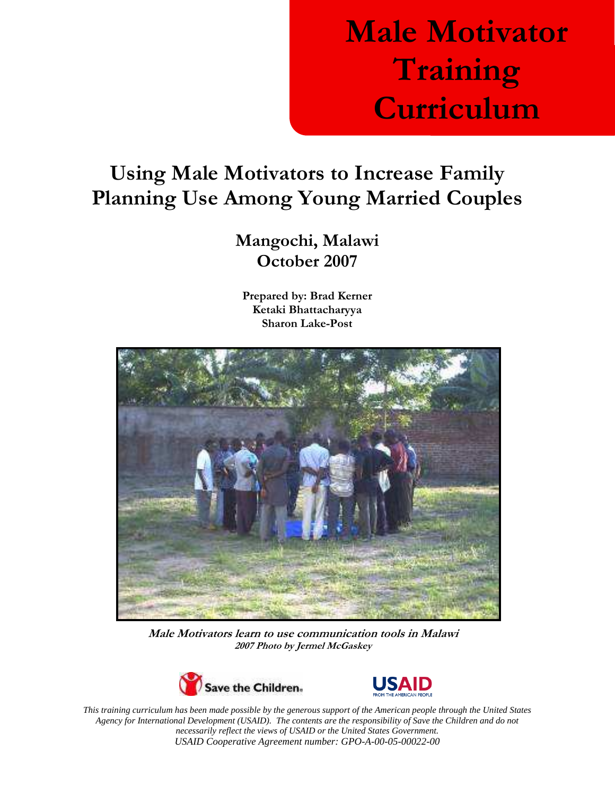# Male Motivator Training Curriculum

# Using Male Motivators to Increase Family Planning Use Among Young Married Couples

# Mangochi, Malawi October 2007

Prepared by: Brad Kerner Ketaki Bhattacharyya Sharon Lake-Post



 Male Motivators learn to use communication tools in Malawi 2007 Photo by Jermel McGaskey





*This training curriculum has been made possible by the generous support of the American people through the United States Agency for International Development (USAID). The contents are the responsibility of Save the Children and do not necessarily reflect the views of USAID or the United States Government. USAID Cooperative Agreement number: GPO-A-00-05-00022-00*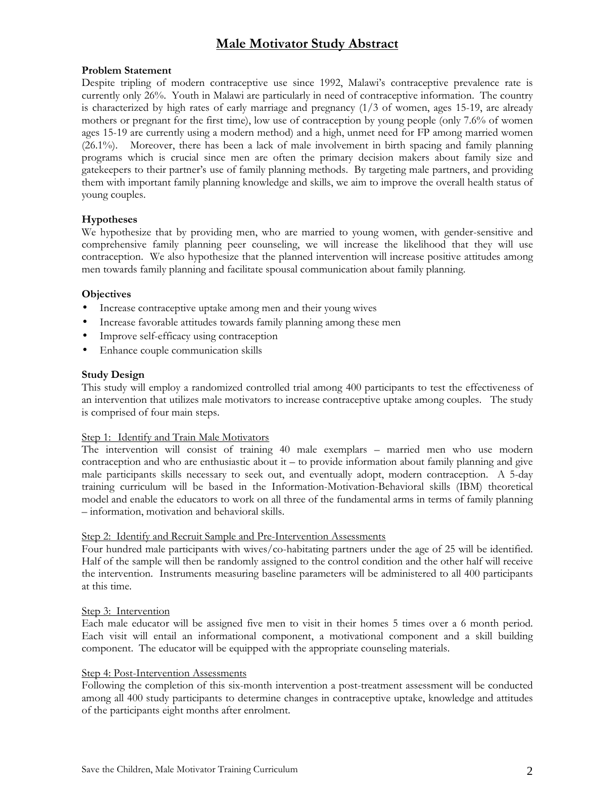# Male Motivator Study Abstract

#### Problem Statement

Despite tripling of modern contraceptive use since 1992, Malawi's contraceptive prevalence rate is currently only 26%. Youth in Malawi are particularly in need of contraceptive information. The country is characterized by high rates of early marriage and pregnancy (1/3 of women, ages 15-19, are already mothers or pregnant for the first time), low use of contraception by young people (only 7.6% of women ages 15-19 are currently using a modern method) and a high, unmet need for FP among married women (26.1%). Moreover, there has been a lack of male involvement in birth spacing and family planning programs which is crucial since men are often the primary decision makers about family size and gatekeepers to their partner's use of family planning methods. By targeting male partners, and providing them with important family planning knowledge and skills, we aim to improve the overall health status of young couples.

### Hypotheses

We hypothesize that by providing men, who are married to young women, with gender-sensitive and comprehensive family planning peer counseling, we will increase the likelihood that they will use contraception. We also hypothesize that the planned intervention will increase positive attitudes among men towards family planning and facilitate spousal communication about family planning.

#### **Objectives**

- Increase contraceptive uptake among men and their young wives
- Increase favorable attitudes towards family planning among these men
- Improve self-efficacy using contraception
- Enhance couple communication skills

#### Study Design

This study will employ a randomized controlled trial among 400 participants to test the effectiveness of an intervention that utilizes male motivators to increase contraceptive uptake among couples. The study is comprised of four main steps.

#### Step 1: Identify and Train Male Motivators

The intervention will consist of training 40 male exemplars – married men who use modern contraception and who are enthusiastic about  $it - to$  provide information about family planning and give male participants skills necessary to seek out, and eventually adopt, modern contraception. A 5-day training curriculum will be based in the Information-Motivation-Behavioral skills (IBM) theoretical model and enable the educators to work on all three of the fundamental arms in terms of family planning – information, motivation and behavioral skills.

#### Step 2: Identify and Recruit Sample and Pre-Intervention Assessments

Four hundred male participants with wives/co-habitating partners under the age of 25 will be identified. Half of the sample will then be randomly assigned to the control condition and the other half will receive the intervention. Instruments measuring baseline parameters will be administered to all 400 participants at this time.

#### Step 3: Intervention

Each male educator will be assigned five men to visit in their homes 5 times over a 6 month period. Each visit will entail an informational component, a motivational component and a skill building component. The educator will be equipped with the appropriate counseling materials.

#### Step 4: Post-Intervention Assessments

Following the completion of this six-month intervention a post-treatment assessment will be conducted among all 400 study participants to determine changes in contraceptive uptake, knowledge and attitudes of the participants eight months after enrolment.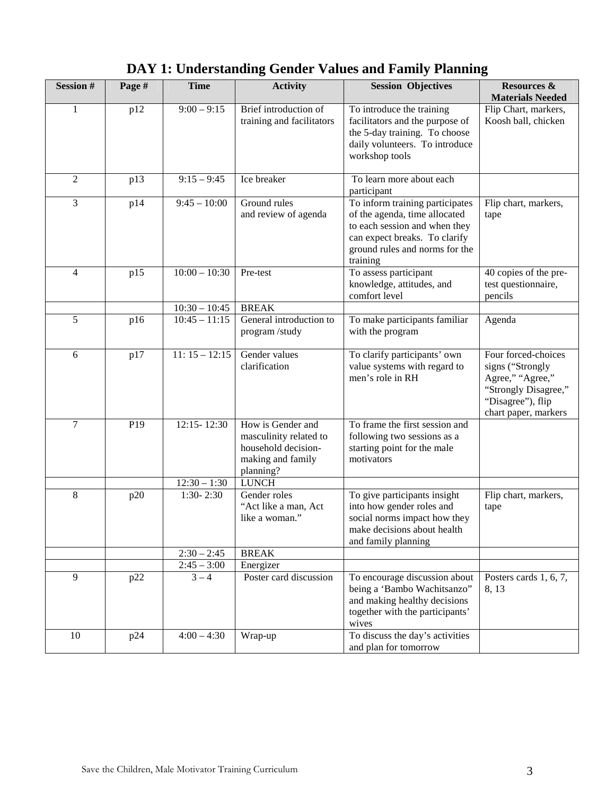| <b>Session#</b> | Page #          | <b>Time</b>                   | <b>Activity</b>                                                                                                      | <b>Session Objectives</b>                                                                                                                                                        | <b>Resources &amp;</b><br><b>Materials Needed</b>                                                                                |
|-----------------|-----------------|-------------------------------|----------------------------------------------------------------------------------------------------------------------|----------------------------------------------------------------------------------------------------------------------------------------------------------------------------------|----------------------------------------------------------------------------------------------------------------------------------|
| $\mathbf{1}$    | p12             | $9:00 - 9:15$                 | Brief introduction of<br>training and facilitators                                                                   | To introduce the training<br>facilitators and the purpose of<br>the 5-day training. To choose<br>daily volunteers. To introduce<br>workshop tools                                | Flip Chart, markers,<br>Koosh ball, chicken                                                                                      |
| $\overline{2}$  | p13             | $9:15 - 9:45$                 | Ice breaker                                                                                                          | To learn more about each<br>participant                                                                                                                                          |                                                                                                                                  |
| 3               | p14             | $9:45 - 10:00$                | Ground rules<br>and review of agenda                                                                                 | To inform training participates<br>of the agenda, time allocated<br>to each session and when they<br>can expect breaks. To clarify<br>ground rules and norms for the<br>training | Flip chart, markers,<br>tape                                                                                                     |
| $\overline{4}$  | p15             | $10:00 - 10:30$               | Pre-test                                                                                                             | To assess participant<br>knowledge, attitudes, and<br>comfort level                                                                                                              | 40 copies of the pre-<br>test questionnaire,<br>pencils                                                                          |
|                 |                 | $10:30 - 10:45$               | <b>BREAK</b>                                                                                                         |                                                                                                                                                                                  |                                                                                                                                  |
| 5               | p16             | $10:45 - 11:15$               | General introduction to<br>program/study                                                                             | To make participants familiar<br>with the program                                                                                                                                | Agenda                                                                                                                           |
| 6               | p17             | $11: 15 - 12:15$              | Gender values<br>clarification                                                                                       | To clarify participants' own<br>value systems with regard to<br>men's role in RH                                                                                                 | Four forced-choices<br>signs ("Strongly<br>Agree," "Agree,"<br>"Strongly Disagree,"<br>"Disagree"), flip<br>chart paper, markers |
| $\tau$          | P <sub>19</sub> | 12:15-12:30<br>$12:30 - 1:30$ | How is Gender and<br>masculinity related to<br>household decision-<br>making and family<br>planning?<br><b>LUNCH</b> | To frame the first session and<br>following two sessions as a<br>starting point for the male<br>motivators                                                                       |                                                                                                                                  |
| $\,8\,$         | p20             | $1:30 - 2:30$                 | Gender roles                                                                                                         | To give participants insight                                                                                                                                                     | Flip chart, markers,                                                                                                             |
|                 |                 |                               | "Act like a man, Act<br>like a woman."                                                                               | into how gender roles and<br>social norms impact how they<br>make decisions about health<br>and family planning                                                                  | tape                                                                                                                             |
|                 |                 | $2:30 - 2:45$                 | <b>BREAK</b>                                                                                                         |                                                                                                                                                                                  |                                                                                                                                  |
|                 |                 | $2:45 - 3:00$                 | Energizer                                                                                                            |                                                                                                                                                                                  |                                                                                                                                  |
| 9               | p22             | $3 - 4$                       | Poster card discussion                                                                                               | To encourage discussion about<br>being a 'Bambo Wachitsanzo"<br>and making healthy decisions<br>together with the participants'<br>wives                                         | Posters cards $1, 6, 7$ ,<br>8, 13                                                                                               |
| 10              | p24             | $4:00 - 4:30$                 | Wrap-up                                                                                                              | To discuss the day's activities<br>and plan for tomorrow                                                                                                                         |                                                                                                                                  |

# **DAY 1: Understanding Gender Values and Family Planning**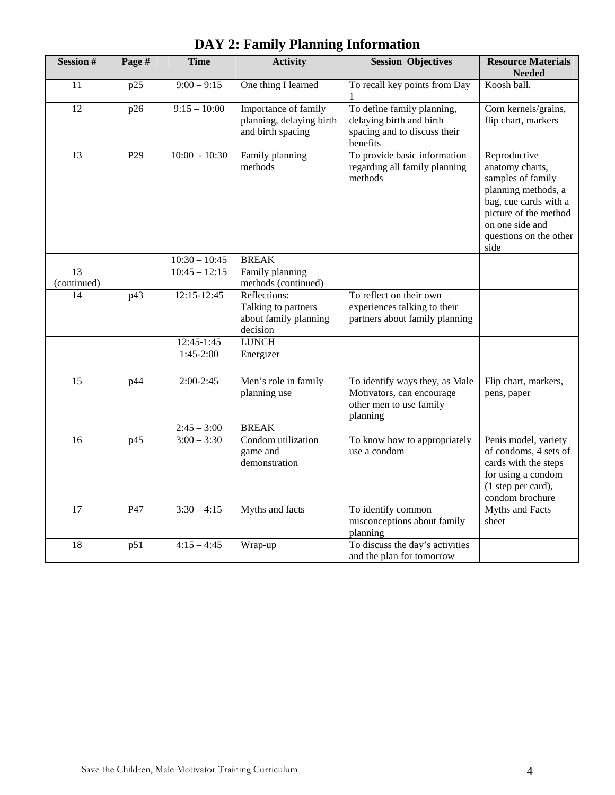| <b>Session#</b>   | Page # | <b>Time</b>              | <b>Activity</b>                                                          | <b>Session Objectives</b>                                                                          | <b>Resource Materials</b><br><b>Needed</b>                                                                                                                                         |
|-------------------|--------|--------------------------|--------------------------------------------------------------------------|----------------------------------------------------------------------------------------------------|------------------------------------------------------------------------------------------------------------------------------------------------------------------------------------|
| 11                | p25    | $9:00 - 9:15$            | One thing I learned                                                      | To recall key points from Day                                                                      | Koosh ball.                                                                                                                                                                        |
|                   |        |                          |                                                                          |                                                                                                    |                                                                                                                                                                                    |
| $\overline{12}$   | p26    | $9:15 - 10:00$           | Importance of family<br>planning, delaying birth<br>and birth spacing    | To define family planning,<br>delaying birth and birth<br>spacing and to discuss their<br>benefits | Corn kernels/grains,<br>flip chart, markers                                                                                                                                        |
| $\overline{13}$   | P29    | $10:00 - 10:30$          | Family planning<br>methods                                               | To provide basic information<br>regarding all family planning<br>methods                           | Reproductive<br>anatomy charts,<br>samples of family<br>planning methods, a<br>bag, cue cards with a<br>picture of the method<br>on one side and<br>questions on the other<br>side |
|                   |        | $10:30 - 10:45$          | <b>BREAK</b>                                                             |                                                                                                    |                                                                                                                                                                                    |
| 13<br>(continued) |        | $10:45 - 12:15$          | Family planning<br>methods (continued)                                   |                                                                                                    |                                                                                                                                                                                    |
| 14                | p43    | 12:15-12:45              | Reflections:<br>Talking to partners<br>about family planning<br>decision | To reflect on their own<br>experiences talking to their<br>partners about family planning          |                                                                                                                                                                                    |
|                   |        | 12:45-1:45               | <b>LUNCH</b>                                                             |                                                                                                    |                                                                                                                                                                                    |
|                   |        | $1:45-2:00$              | Energizer                                                                |                                                                                                    |                                                                                                                                                                                    |
| 15                | p44    | $2:00-2:45$              | Men's role in family<br>planning use                                     | To identify ways they, as Male<br>Motivators, can encourage<br>other men to use family<br>planning | Flip chart, markers,<br>pens, paper                                                                                                                                                |
|                   |        | $2:45 - 3:00$            | <b>BREAK</b>                                                             |                                                                                                    |                                                                                                                                                                                    |
| 16                | p45    | $\overline{3:00 - 3:30}$ | Condom utilization<br>game and<br>demonstration                          | To know how to appropriately<br>use a condom                                                       | Penis model, variety<br>of condoms, 4 sets of<br>cards with the steps<br>for using a condom<br>(1 step per card),<br>condom brochure                                               |
| 17                | P47    | $3:30 - 4:15$            | Myths and facts                                                          | To identify common<br>misconceptions about family<br>planning                                      | <b>Myths and Facts</b><br>sheet                                                                                                                                                    |
| 18                | p51    | $4:15 - 4:45$            | Wrap-up                                                                  | To discuss the day's activities<br>and the plan for tomorrow                                       |                                                                                                                                                                                    |

**DAY 2: Family Planning Information**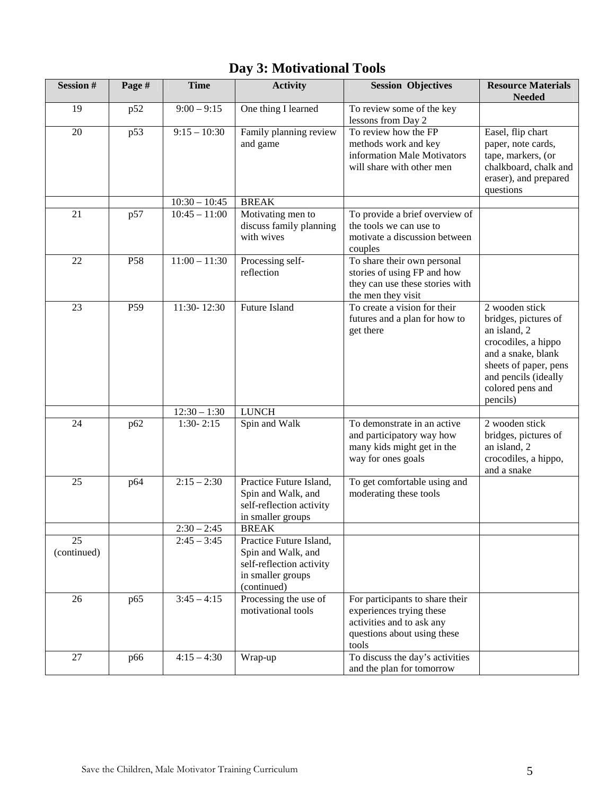| <b>Session#</b>                | Page #          | <b>Time</b>     | <b>Activity</b>                                                                                               | <b>Session Objectives</b>                                                                                                        | <b>Resource Materials</b><br><b>Needed</b>                                                                                                                                           |
|--------------------------------|-----------------|-----------------|---------------------------------------------------------------------------------------------------------------|----------------------------------------------------------------------------------------------------------------------------------|--------------------------------------------------------------------------------------------------------------------------------------------------------------------------------------|
| 19                             | p52             | $9:00 - 9:15$   | One thing I learned                                                                                           | To review some of the key<br>lessons from Day 2                                                                                  |                                                                                                                                                                                      |
| 20                             | p53             | $9:15 - 10:30$  | Family planning review<br>and game                                                                            | To review how the FP<br>methods work and key<br>information Male Motivators<br>will share with other men                         | Easel, flip chart<br>paper, note cards,<br>tape, markers, (or<br>chalkboard, chalk and<br>eraser), and prepared<br>questions                                                         |
|                                |                 | $10:30 - 10:45$ | <b>BREAK</b>                                                                                                  |                                                                                                                                  |                                                                                                                                                                                      |
| 21                             | p57             | $10:45 - 11:00$ | Motivating men to<br>discuss family planning<br>with wives                                                    | To provide a brief overview of<br>the tools we can use to<br>motivate a discussion between<br>couples                            |                                                                                                                                                                                      |
| 22                             | P58             | $11:00 - 11:30$ | Processing self-<br>reflection                                                                                | To share their own personal<br>stories of using FP and how<br>they can use these stories with<br>the men they visit              |                                                                                                                                                                                      |
| 23                             | P <sub>59</sub> | 11:30-12:30     | Future Island                                                                                                 | To create a vision for their<br>futures and a plan for how to<br>get there                                                       | 2 wooden stick<br>bridges, pictures of<br>an island, 2<br>crocodiles, a hippo<br>and a snake, blank<br>sheets of paper, pens<br>and pencils (ideally<br>colored pens and<br>pencils) |
|                                |                 | $12:30 - 1:30$  | <b>LUNCH</b>                                                                                                  |                                                                                                                                  |                                                                                                                                                                                      |
| 24                             | p62             | $1:30 - 2:15$   | Spin and Walk                                                                                                 | To demonstrate in an active<br>and participatory way how<br>many kids might get in the<br>way for ones goals                     | 2 wooden stick<br>bridges, pictures of<br>an island, 2<br>crocodiles, a hippo,<br>and a snake                                                                                        |
| 25                             | p64             | $2:15 - 2:30$   | Practice Future Island,<br>Spin and Walk, and<br>self-reflection activity<br>in smaller groups                | To get comfortable using and<br>moderating these tools                                                                           |                                                                                                                                                                                      |
|                                |                 | $2:30 - 2:45$   | <b>BREAK</b>                                                                                                  |                                                                                                                                  |                                                                                                                                                                                      |
| $\overline{25}$<br>(continued) |                 | $2:45 - 3:45$   | Practice Future Island,<br>Spin and Walk, and<br>self-reflection activity<br>in smaller groups<br>(continued) |                                                                                                                                  |                                                                                                                                                                                      |
| 26                             | p65             | $3:45 - 4:15$   | Processing the use of<br>motivational tools                                                                   | For participants to share their<br>experiences trying these<br>activities and to ask any<br>questions about using these<br>tools |                                                                                                                                                                                      |
| 27                             | p66             | $4:15 - 4:30$   | Wrap-up                                                                                                       | To discuss the day's activities<br>and the plan for tomorrow                                                                     |                                                                                                                                                                                      |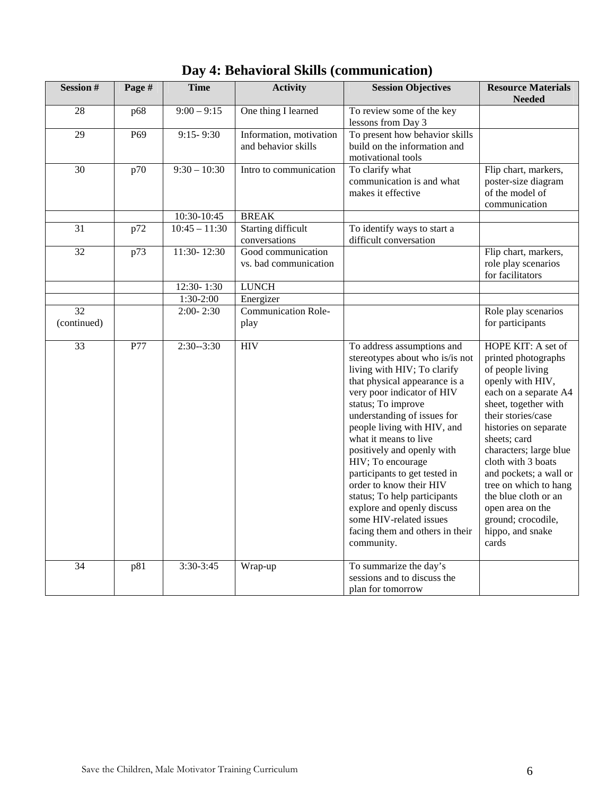| <b>Session#</b>   | Page #          | <b>Time</b>     | <b>Activity</b>                                | <b>Session Objectives</b>                                                                                                                                                                                                                                                                                                                                                                                                                                                                                                         | <b>Resource Materials</b><br><b>Needed</b>                                                                                                                                                                                                                                                                                                                                                          |
|-------------------|-----------------|-----------------|------------------------------------------------|-----------------------------------------------------------------------------------------------------------------------------------------------------------------------------------------------------------------------------------------------------------------------------------------------------------------------------------------------------------------------------------------------------------------------------------------------------------------------------------------------------------------------------------|-----------------------------------------------------------------------------------------------------------------------------------------------------------------------------------------------------------------------------------------------------------------------------------------------------------------------------------------------------------------------------------------------------|
| 28                | p68             | $9:00 - 9:15$   | One thing I learned                            | To review some of the key<br>lessons from Day 3                                                                                                                                                                                                                                                                                                                                                                                                                                                                                   |                                                                                                                                                                                                                                                                                                                                                                                                     |
| 29                | P <sub>69</sub> | $9:15 - 9:30$   | Information, motivation<br>and behavior skills | To present how behavior skills<br>build on the information and<br>motivational tools                                                                                                                                                                                                                                                                                                                                                                                                                                              |                                                                                                                                                                                                                                                                                                                                                                                                     |
| 30                | p70             | $9:30 - 10:30$  | Intro to communication                         | To clarify what<br>communication is and what<br>makes it effective                                                                                                                                                                                                                                                                                                                                                                                                                                                                | Flip chart, markers,<br>poster-size diagram<br>of the model of<br>communication                                                                                                                                                                                                                                                                                                                     |
|                   |                 | 10:30-10:45     | <b>BREAK</b>                                   |                                                                                                                                                                                                                                                                                                                                                                                                                                                                                                                                   |                                                                                                                                                                                                                                                                                                                                                                                                     |
| 31                | p72             | $10:45 - 11:30$ | Starting difficult<br>conversations            | To identify ways to start a<br>difficult conversation                                                                                                                                                                                                                                                                                                                                                                                                                                                                             |                                                                                                                                                                                                                                                                                                                                                                                                     |
| $\overline{32}$   | p73             | 11:30-12:30     | Good communication<br>vs. bad communication    |                                                                                                                                                                                                                                                                                                                                                                                                                                                                                                                                   | Flip chart, markers,<br>role play scenarios<br>for facilitators                                                                                                                                                                                                                                                                                                                                     |
|                   |                 | 12:30-1:30      | <b>LUNCH</b>                                   |                                                                                                                                                                                                                                                                                                                                                                                                                                                                                                                                   |                                                                                                                                                                                                                                                                                                                                                                                                     |
|                   |                 | 1:30-2:00       | Energizer                                      |                                                                                                                                                                                                                                                                                                                                                                                                                                                                                                                                   |                                                                                                                                                                                                                                                                                                                                                                                                     |
| 32<br>(continued) |                 | $2:00 - 2:30$   | <b>Communication Role-</b><br>play             |                                                                                                                                                                                                                                                                                                                                                                                                                                                                                                                                   | Role play scenarios<br>for participants                                                                                                                                                                                                                                                                                                                                                             |
| $\overline{33}$   | P77             | $2:30-3:30$     | <b>HIV</b>                                     | To address assumptions and<br>stereotypes about who is/is not<br>living with HIV; To clarify<br>that physical appearance is a<br>very poor indicator of HIV<br>status; To improve<br>understanding of issues for<br>people living with HIV, and<br>what it means to live<br>positively and openly with<br>HIV; To encourage<br>participants to get tested in<br>order to know their HIV<br>status; To help participants<br>explore and openly discuss<br>some HIV-related issues<br>facing them and others in their<br>community. | HOPE KIT: A set of<br>printed photographs<br>of people living<br>openly with HIV,<br>each on a separate A4<br>sheet, together with<br>their stories/case<br>histories on separate<br>sheets; card<br>characters; large blue<br>cloth with 3 boats<br>and pockets; a wall or<br>tree on which to hang<br>the blue cloth or an<br>open area on the<br>ground; crocodile,<br>hippo, and snake<br>cards |
| $\overline{34}$   | p81             | $3:30-3:45$     | Wrap-up                                        | To summarize the day's<br>sessions and to discuss the<br>plan for tomorrow                                                                                                                                                                                                                                                                                                                                                                                                                                                        |                                                                                                                                                                                                                                                                                                                                                                                                     |

**Day 4: Behavioral Skills (communication)**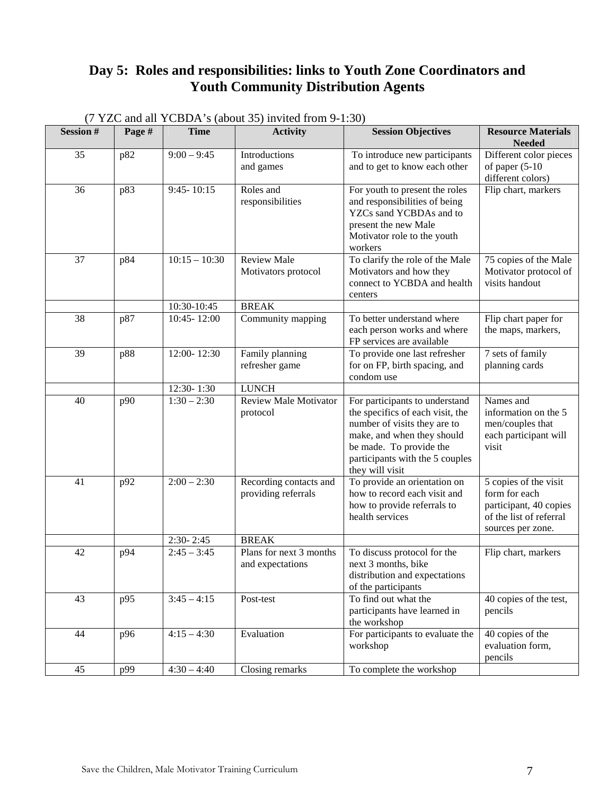# **Day 5: Roles and responsibilities: links to Youth Zone Coordinators and Youth Community Distribution Agents**

| <b>Session#</b> | Page # | <b>Time</b>                    | <b>Activity</b>                         | <b>Session Objectives</b>                                      | <b>Resource Materials</b>                   |
|-----------------|--------|--------------------------------|-----------------------------------------|----------------------------------------------------------------|---------------------------------------------|
| 35              |        | $9:00 - 9:45$                  | Introductions                           |                                                                | <b>Needed</b>                               |
|                 | p82    |                                | and games                               | To introduce new participants<br>and to get to know each other | Different color pieces<br>of paper $(5-10)$ |
|                 |        |                                |                                         |                                                                | different colors)                           |
| 36              | p83    | $9:45 - 10:15$                 | Roles and                               | For youth to present the roles                                 | Flip chart, markers                         |
|                 |        |                                | responsibilities                        | and responsibilities of being                                  |                                             |
|                 |        |                                |                                         | YZCs sand YCBDAs and to                                        |                                             |
|                 |        |                                |                                         | present the new Male                                           |                                             |
|                 |        |                                |                                         | Motivator role to the youth                                    |                                             |
|                 |        |                                |                                         | workers                                                        |                                             |
| 37              | p84    | $10:15 - 10:30$                | <b>Review Male</b>                      | To clarify the role of the Male                                | 75 copies of the Male                       |
|                 |        |                                | Motivators protocol                     | Motivators and how they                                        | Motivator protocol of                       |
|                 |        |                                |                                         | connect to YCBDA and health                                    | visits handout                              |
|                 |        |                                | <b>BREAK</b>                            | centers                                                        |                                             |
| 38              | p87    | 10:30-10:45<br>10:45-12:00     | Community mapping                       | To better understand where                                     | Flip chart paper for                        |
|                 |        |                                |                                         | each person works and where                                    | the maps, markers,                          |
|                 |        |                                |                                         | FP services are available                                      |                                             |
| 39              | p88    | 12:00-12:30                    | Family planning                         | To provide one last refresher                                  | 7 sets of family                            |
|                 |        |                                | refresher game                          | for on FP, birth spacing, and                                  | planning cards                              |
|                 |        |                                |                                         | condom use                                                     |                                             |
|                 |        | 12:30-1:30                     | <b>LUNCH</b>                            |                                                                |                                             |
| 40              | p90    | $1:30 - 2:30$                  | <b>Review Male Motivator</b>            | For participants to understand                                 | Names and                                   |
|                 |        |                                | protocol                                | the specifics of each visit, the                               | information on the 5                        |
|                 |        |                                |                                         | number of visits they are to                                   | men/couples that                            |
|                 |        |                                |                                         | make, and when they should<br>be made. To provide the          | each participant will<br>visit              |
|                 |        |                                |                                         | participants with the 5 couples                                |                                             |
|                 |        |                                |                                         | they will visit                                                |                                             |
| 41              | p92    | $2:00 - 2:30$                  | Recording contacts and                  | To provide an orientation on                                   | 5 copies of the visit                       |
|                 |        |                                | providing referrals                     | how to record each visit and                                   | form for each                               |
|                 |        |                                |                                         | how to provide referrals to                                    | participant, 40 copies                      |
|                 |        |                                |                                         | health services                                                | of the list of referral                     |
|                 |        |                                |                                         |                                                                | sources per zone.                           |
| 42              |        | $2:30 - 2:45$<br>$2:45 - 3:45$ | <b>BREAK</b><br>Plans for next 3 months |                                                                |                                             |
|                 | p94    |                                | and expectations                        | To discuss protocol for the<br>next 3 months, bike             | Flip chart, markers                         |
|                 |        |                                |                                         | distribution and expectations                                  |                                             |
|                 |        |                                |                                         | of the participants                                            |                                             |
| 43              | p95    | $3:45 - 4:15$                  | Post-test                               | To find out what the                                           | 40 copies of the test,                      |
|                 |        |                                |                                         | participants have learned in                                   | pencils                                     |
|                 |        |                                |                                         | the workshop                                                   |                                             |
| 44              | p96    | $4:15 - 4:30$                  | Evaluation                              | For participants to evaluate the                               | 40 copies of the                            |
|                 |        |                                |                                         | workshop                                                       | evaluation form,                            |
|                 |        |                                |                                         |                                                                | pencils                                     |
| 45              | p99    | $4:30 - 4:40$                  | Closing remarks                         | To complete the workshop                                       |                                             |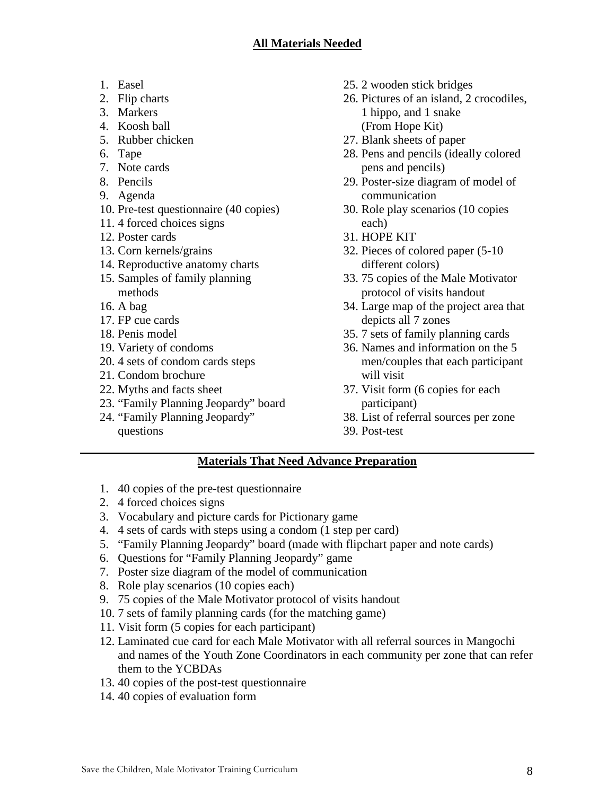- 1. Easel
- 2. Flip charts
- 3. Markers
- 4. Koosh ball
- 5. Rubber chicken
- 6. Tape
- 7. Note cards
- 8. Pencils
- 9. Agenda
- 10. Pre-test questionnaire (40 copies)
- 11. 4 forced choices signs
- 12. Poster cards
- 13. Corn kernels/grains
- 14. Reproductive anatomy charts 15. Samples of family planning
- methods
- 16. A bag
- 17. FP cue cards
- 18. Penis model
- 19. Variety of condoms
- 20. 4 sets of condom cards steps
- 21. Condom brochure
- 22. Myths and facts sheet
- 23. "Family Planning Jeopardy" board
- 24. "Family Planning Jeopardy" questions
- 25. 2 wooden stick bridges
- 26. Pictures of an island, 2 crocodiles, 1 hippo, and 1 snake (From Hope Kit)
- 27. Blank sheets of paper
- 28. Pens and pencils (ideally colored pens and pencils)
- 29. Poster-size diagram of model of communication
- 30. Role play scenarios (10 copies each)
- 31. HOPE KIT
- 32. Pieces of colored paper (5-10 different colors)
- 33. 75 copies of the Male Motivator protocol of visits handout
- 34. Large map of the project area that depicts all 7 zones
- 35. 7 sets of family planning cards
- 36. Names and information on the 5 men/couples that each participant will visit
- 37. Visit form (6 copies for each participant)
- 38. List of referral sources per zone
- 39. Post-test

# **Materials That Need Advance Preparation**

- 1. 40 copies of the pre-test questionnaire
- 2. 4 forced choices signs
- 3. Vocabulary and picture cards for Pictionary game
- 4. 4 sets of cards with steps using a condom (1 step per card)
- 5. "Family Planning Jeopardy" board (made with flipchart paper and note cards)
- 6. Questions for "Family Planning Jeopardy" game
- 7. Poster size diagram of the model of communication
- 8. Role play scenarios (10 copies each)
- 9. 75 copies of the Male Motivator protocol of visits handout
- 10. 7 sets of family planning cards (for the matching game)
- 11. Visit form (5 copies for each participant)
- 12. Laminated cue card for each Male Motivator with all referral sources in Mangochi and names of the Youth Zone Coordinators in each community per zone that can refer them to the YCBDAs
- 13. 40 copies of the post-test questionnaire
- 14. 40 copies of evaluation form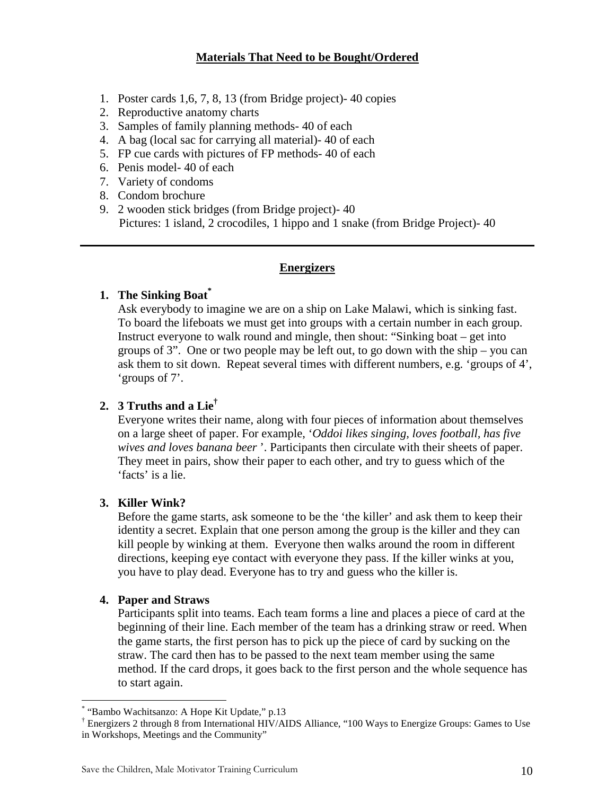## **Materials That Need to be Bought/Ordered**

- 1. Poster cards 1,6, 7, 8, 13 (from Bridge project)- 40 copies
- 2. Reproductive anatomy charts
- 3. Samples of family planning methods- 40 of each
- 4. A bag (local sac for carrying all material)- 40 of each
- 5. FP cue cards with pictures of FP methods- 40 of each
- 6. Penis model- 40 of each
- 7. Variety of condoms
- 8. Condom brochure
- 9. 2 wooden stick bridges (from Bridge project)- 40 Pictures: 1 island, 2 crocodiles, 1 hippo and 1 snake (from Bridge Project)- 40

### **Energizers**

### **1. The Sinking Boat\***

Ask everybody to imagine we are on a ship on Lake Malawi, which is sinking fast. To board the lifeboats we must get into groups with a certain number in each group. Instruct everyone to walk round and mingle, then shout: "Sinking boat – get into groups of 3". One or two people may be left out, to go down with the ship – you can ask them to sit down. Repeat several times with different numbers, e.g. 'groups of 4', 'groups of 7'.

# **2. 3 Truths and a Lie†**

Everyone writes their name, along with four pieces of information about themselves on a large sheet of paper. For example, '*Oddoi likes singing, loves football, has five wives and loves banana beer* '. Participants then circulate with their sheets of paper. They meet in pairs, show their paper to each other, and try to guess which of the 'facts' is a lie.

### **3. Killer Wink?**

Before the game starts, ask someone to be the 'the killer' and ask them to keep their identity a secret. Explain that one person among the group is the killer and they can kill people by winking at them. Everyone then walks around the room in different directions, keeping eye contact with everyone they pass. If the killer winks at you, you have to play dead. Everyone has to try and guess who the killer is.

### **4. Paper and Straws**

<u>.</u>

Participants split into teams. Each team forms a line and places a piece of card at the beginning of their line. Each member of the team has a drinking straw or reed. When the game starts, the first person has to pick up the piece of card by sucking on the straw. The card then has to be passed to the next team member using the same method. If the card drops, it goes back to the first person and the whole sequence has to start again.

<sup>\*</sup> "Bambo Wachitsanzo: A Hope Kit Update," p.13

<sup>†</sup> Energizers 2 through 8 from International HIV/AIDS Alliance, "100 Ways to Energize Groups: Games to Use in Workshops, Meetings and the Community"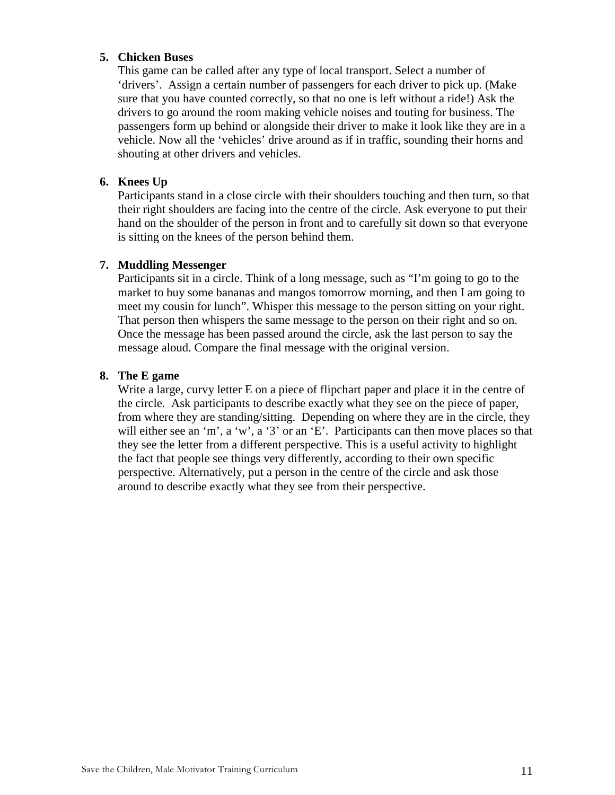### **5. Chicken Buses**

This game can be called after any type of local transport. Select a number of 'drivers'. Assign a certain number of passengers for each driver to pick up. (Make sure that you have counted correctly, so that no one is left without a ride!) Ask the drivers to go around the room making vehicle noises and touting for business. The passengers form up behind or alongside their driver to make it look like they are in a vehicle. Now all the 'vehicles' drive around as if in traffic, sounding their horns and shouting at other drivers and vehicles.

### **6. Knees Up**

Participants stand in a close circle with their shoulders touching and then turn, so that their right shoulders are facing into the centre of the circle. Ask everyone to put their hand on the shoulder of the person in front and to carefully sit down so that everyone is sitting on the knees of the person behind them.

### **7. Muddling Messenger**

Participants sit in a circle. Think of a long message, such as "I'm going to go to the market to buy some bananas and mangos tomorrow morning, and then I am going to meet my cousin for lunch". Whisper this message to the person sitting on your right. That person then whispers the same message to the person on their right and so on. Once the message has been passed around the circle, ask the last person to say the message aloud. Compare the final message with the original version.

### **8. The E game**

Write a large, curvy letter E on a piece of flipchart paper and place it in the centre of the circle. Ask participants to describe exactly what they see on the piece of paper, from where they are standing/sitting. Depending on where they are in the circle, they will either see an 'm', a 'w', a '3' or an 'E'. Participants can then move places so that they see the letter from a different perspective. This is a useful activity to highlight the fact that people see things very differently, according to their own specific perspective. Alternatively, put a person in the centre of the circle and ask those around to describe exactly what they see from their perspective.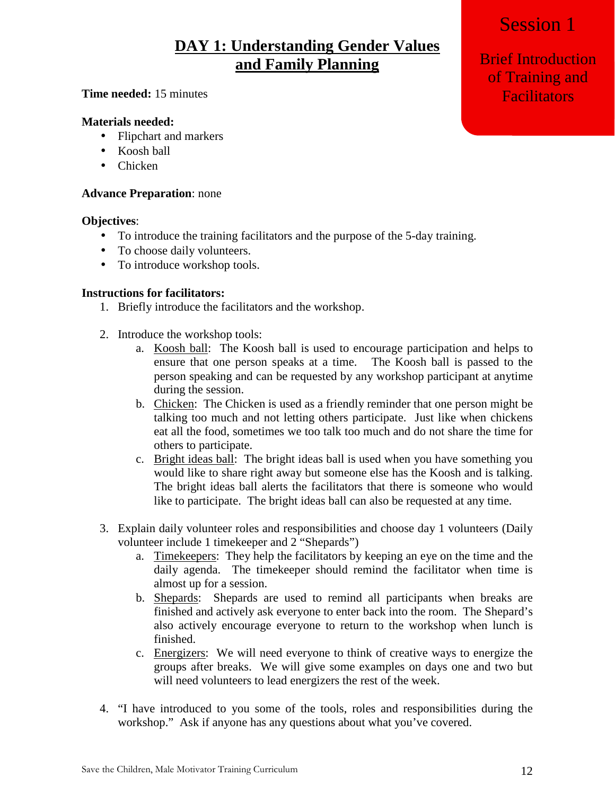# Session 1

# **DAY 1: Understanding Gender Values and Family Planning**

### **Time needed:** 15 minutes

### **Materials needed:**

- Flipchart and markers
- Koosh ball
- Chicken

### **Advance Preparation**: none

### **Objectives**:

- To introduce the training facilitators and the purpose of the 5-day training.
- To choose daily volunteers.
- To introduce workshop tools.

### **Instructions for facilitators:**

- 1. Briefly introduce the facilitators and the workshop.
- 2. Introduce the workshop tools:
	- a. Koosh ball: The Koosh ball is used to encourage participation and helps to ensure that one person speaks at a time. The Koosh ball is passed to the person speaking and can be requested by any workshop participant at anytime during the session.
	- b. Chicken: The Chicken is used as a friendly reminder that one person might be talking too much and not letting others participate. Just like when chickens eat all the food, sometimes we too talk too much and do not share the time for others to participate.
	- c. Bright ideas ball: The bright ideas ball is used when you have something you would like to share right away but someone else has the Koosh and is talking. The bright ideas ball alerts the facilitators that there is someone who would like to participate. The bright ideas ball can also be requested at any time.
- 3. Explain daily volunteer roles and responsibilities and choose day 1 volunteers (Daily volunteer include 1 timekeeper and 2 "Shepards")
	- a. Timekeepers: They help the facilitators by keeping an eye on the time and the daily agenda. The timekeeper should remind the facilitator when time is almost up for a session.
	- b. Shepards: Shepards are used to remind all participants when breaks are finished and actively ask everyone to enter back into the room. The Shepard's also actively encourage everyone to return to the workshop when lunch is finished.
	- c. Energizers: We will need everyone to think of creative ways to energize the groups after breaks. We will give some examples on days one and two but will need volunteers to lead energizers the rest of the week.
- 4. "I have introduced to you some of the tools, roles and responsibilities during the workshop." Ask if anyone has any questions about what you've covered.

Brief Introduction of Training and **Facilitators**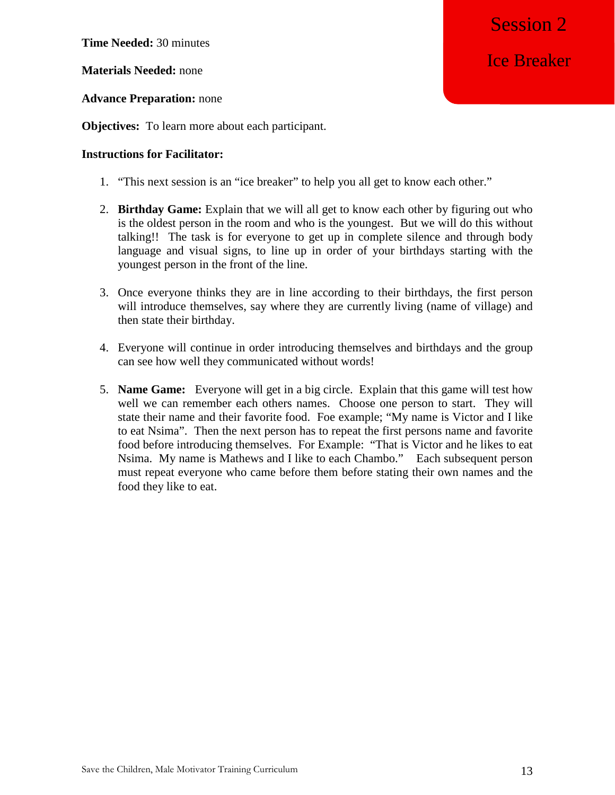**Time Needed:** 30 minutes

**Materials Needed:** none

### **Advance Preparation:** none

**Objectives:** To learn more about each participant.

### **Instructions for Facilitator:**

- 1. "This next session is an "ice breaker" to help you all get to know each other."
- 2. **Birthday Game:** Explain that we will all get to know each other by figuring out who is the oldest person in the room and who is the youngest. But we will do this without talking!! The task is for everyone to get up in complete silence and through body language and visual signs, to line up in order of your birthdays starting with the youngest person in the front of the line.
- 3. Once everyone thinks they are in line according to their birthdays, the first person will introduce themselves, say where they are currently living (name of village) and then state their birthday.
- 4. Everyone will continue in order introducing themselves and birthdays and the group can see how well they communicated without words!
- 5. **Name Game:** Everyone will get in a big circle. Explain that this game will test how well we can remember each others names. Choose one person to start. They will state their name and their favorite food. Foe example; "My name is Victor and I like to eat Nsima". Then the next person has to repeat the first persons name and favorite food before introducing themselves. For Example: "That is Victor and he likes to eat Nsima. My name is Mathews and I like to each Chambo." Each subsequent person must repeat everyone who came before them before stating their own names and the food they like to eat.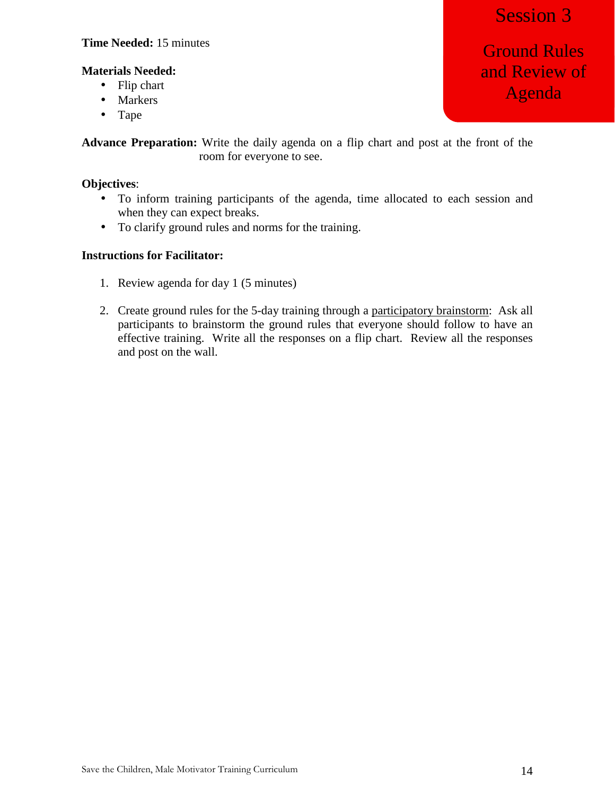## **Time Needed:** 15 minutes

# Session 3

## **Materials Needed:**

- Flip chart
- Markers
- Tape

**Advance Preparation:** Write the daily agenda on a flip chart and post at the front of the room for everyone to see.

### **Objectives**:

- To inform training participants of the agenda, time allocated to each session and when they can expect breaks.
- To clarify ground rules and norms for the training.

### **Instructions for Facilitator:**

- 1. Review agenda for day 1 (5 minutes)
- 2. Create ground rules for the 5-day training through a participatory brainstorm: Ask all participants to brainstorm the ground rules that everyone should follow to have an effective training. Write all the responses on a flip chart. Review all the responses and post on the wall.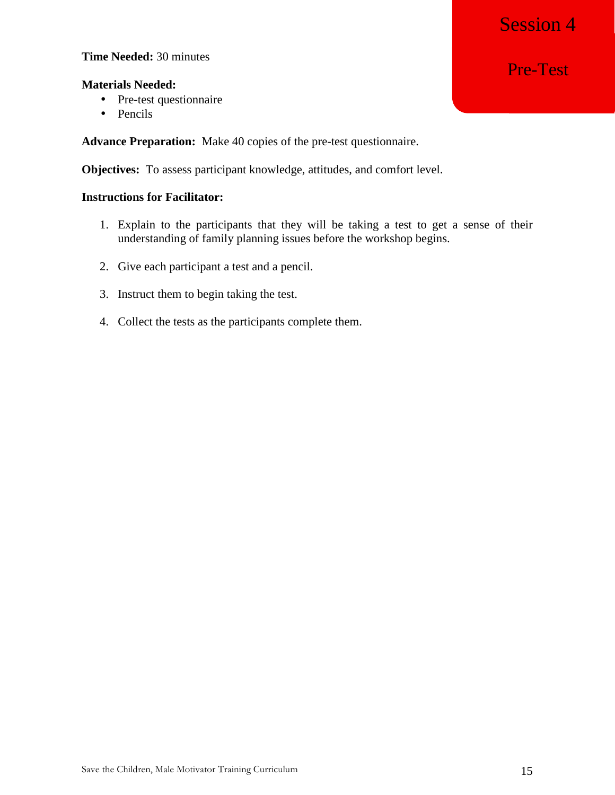# Session 4

### **Time Needed:** 30 minutes

### **Materials Needed:**

- Pre-test questionnaire
- Pencils

**Advance Preparation:** Make 40 copies of the pre-test questionnaire.

**Objectives:** To assess participant knowledge, attitudes, and comfort level.

### **Instructions for Facilitator:**

- 1. Explain to the participants that they will be taking a test to get a sense of their understanding of family planning issues before the workshop begins.
- 2. Give each participant a test and a pencil.
- 3. Instruct them to begin taking the test.
- 4. Collect the tests as the participants complete them.

Pre-Test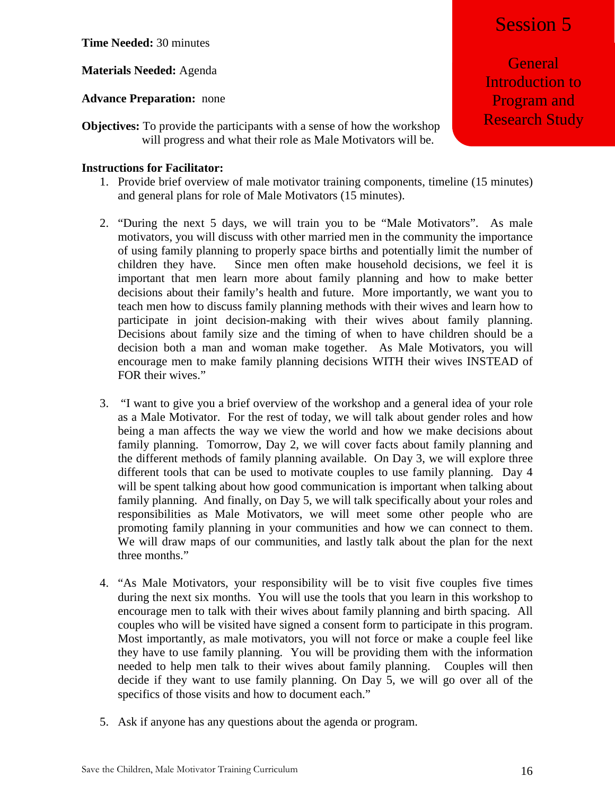**Time Needed:** 30 minutes

**Materials Needed:** Agenda

**Advance Preparation:** none

**Objectives:** To provide the participants with a sense of how the workshop will progress and what their role as Male Motivators will be.

### **Instructions for Facilitator:**

- 1. Provide brief overview of male motivator training components, timeline (15 minutes) and general plans for role of Male Motivators (15 minutes).
- 2. "During the next 5 days, we will train you to be "Male Motivators". As male motivators, you will discuss with other married men in the community the importance of using family planning to properly space births and potentially limit the number of children they have. Since men often make household decisions, we feel it is important that men learn more about family planning and how to make better decisions about their family's health and future. More importantly, we want you to teach men how to discuss family planning methods with their wives and learn how to participate in joint decision-making with their wives about family planning. Decisions about family size and the timing of when to have children should be a decision both a man and woman make together. As Male Motivators, you will encourage men to make family planning decisions WITH their wives INSTEAD of FOR their wives."
- 3. "I want to give you a brief overview of the workshop and a general idea of your role as a Male Motivator. For the rest of today, we will talk about gender roles and how being a man affects the way we view the world and how we make decisions about family planning. Tomorrow, Day 2, we will cover facts about family planning and the different methods of family planning available. On Day 3, we will explore three different tools that can be used to motivate couples to use family planning. Day 4 will be spent talking about how good communication is important when talking about family planning. And finally, on Day 5, we will talk specifically about your roles and responsibilities as Male Motivators, we will meet some other people who are promoting family planning in your communities and how we can connect to them. We will draw maps of our communities, and lastly talk about the plan for the next three months."
- 4. "As Male Motivators, your responsibility will be to visit five couples five times during the next six months. You will use the tools that you learn in this workshop to encourage men to talk with their wives about family planning and birth spacing. All couples who will be visited have signed a consent form to participate in this program. Most importantly, as male motivators, you will not force or make a couple feel like they have to use family planning. You will be providing them with the information needed to help men talk to their wives about family planning. Couples will then decide if they want to use family planning. On Day 5, we will go over all of the specifics of those visits and how to document each."
- 5. Ask if anyone has any questions about the agenda or program.

**General** Introduction to Program and Research Study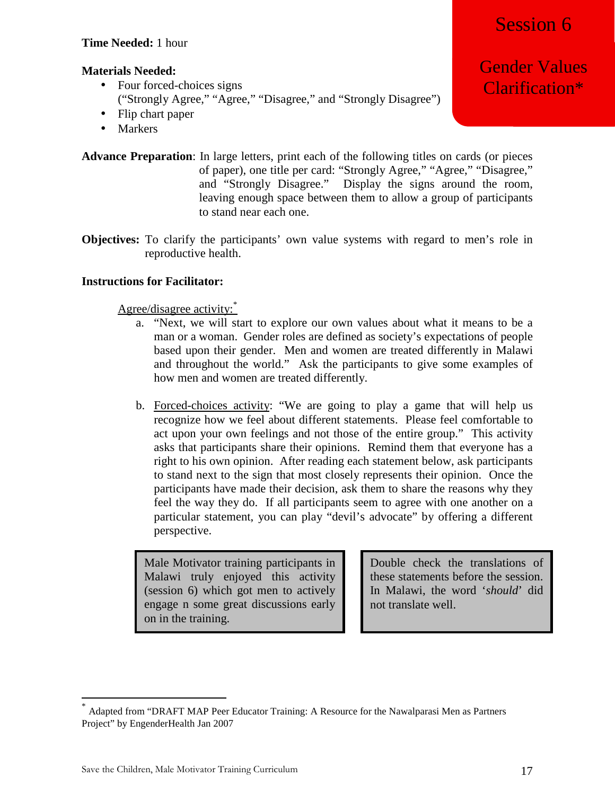# Session 6

# **Materials Needed:**

- Four forced-choices signs ("Strongly Agree," "Agree," "Disagree," and "Strongly Disagree")
- Flip chart paper
- Markers

**Advance Preparation**: In large letters, print each of the following titles on cards (or pieces of paper), one title per card: "Strongly Agree," "Agree," "Disagree," and "Strongly Disagree." Display the signs around the room, leaving enough space between them to allow a group of participants to stand near each one.

**Objectives:** To clarify the participants' own value systems with regard to men's role in reproductive health.

# **Instructions for Facilitator:**

Agree/disagree activity:\*

- a. "Next, we will start to explore our own values about what it means to be a man or a woman. Gender roles are defined as society's expectations of people based upon their gender. Men and women are treated differently in Malawi and throughout the world." Ask the participants to give some examples of how men and women are treated differently.
- b. Forced-choices activity: "We are going to play a game that will help us recognize how we feel about different statements. Please feel comfortable to act upon your own feelings and not those of the entire group." This activity asks that participants share their opinions. Remind them that everyone has a right to his own opinion. After reading each statement below, ask participants to stand next to the sign that most closely represents their opinion. Once the participants have made their decision, ask them to share the reasons why they feel the way they do. If all participants seem to agree with one another on a particular statement, you can play "devil's advocate" by offering a different perspective.

Male Motivator training participants in Malawi truly enjoyed this activity (session 6) which got men to actively engage n some great discussions early on in the training.

Double check the translations of these statements before the session. In Malawi, the word '*should*' did not translate well.

<u>.</u>

Gender Values Clarification\*

<sup>\*</sup> Adapted from "DRAFT MAP Peer Educator Training: A Resource for the Nawalparasi Men as Partners Project" by EngenderHealth Jan 2007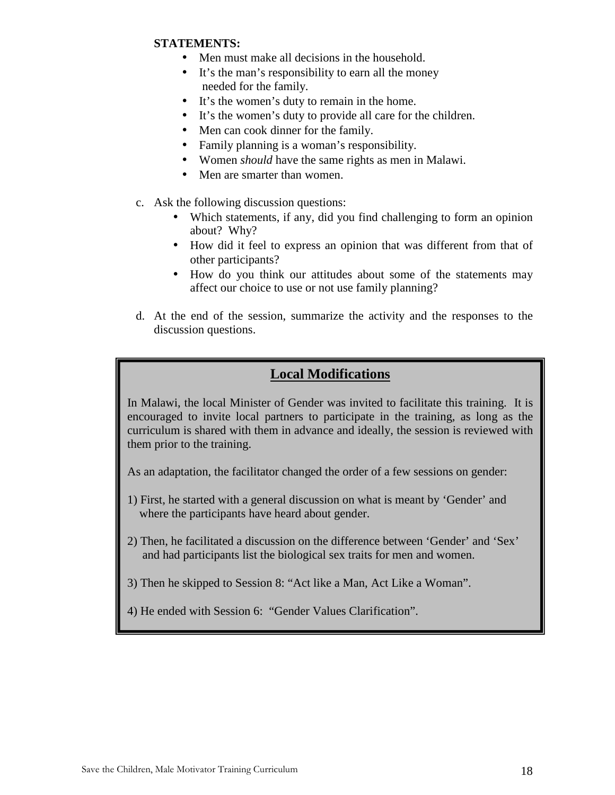### **STATEMENTS:**

- Men must make all decisions in the household.
- It's the man's responsibility to earn all the money needed for the family.
- It's the women's duty to remain in the home.
- It's the women's duty to provide all care for the children.
- Men can cook dinner for the family.
- Family planning is a woman's responsibility.
- Women *should* have the same rights as men in Malawi.
- Men are smarter than women.
- c. Ask the following discussion questions:
	- Which statements, if any, did you find challenging to form an opinion about? Why?
	- How did it feel to express an opinion that was different from that of other participants?
	- How do you think our attitudes about some of the statements may affect our choice to use or not use family planning?
- d. At the end of the session, summarize the activity and the responses to the discussion questions.

# **Local Modifications**

In Malawi, the local Minister of Gender was invited to facilitate this training. It is encouraged to invite local partners to participate in the training, as long as the curriculum is shared with them in advance and ideally, the session is reviewed with them prior to the training.

As an adaptation, the facilitator changed the order of a few sessions on gender:

- 1) First, he started with a general discussion on what is meant by 'Gender' and where the participants have heard about gender.
- 2) Then, he facilitated a discussion on the difference between 'Gender' and 'Sex' and had participants list the biological sex traits for men and women.
- 3) Then he skipped to Session 8: "Act like a Man, Act Like a Woman".
- 4) He ended with Session 6: "Gender Values Clarification".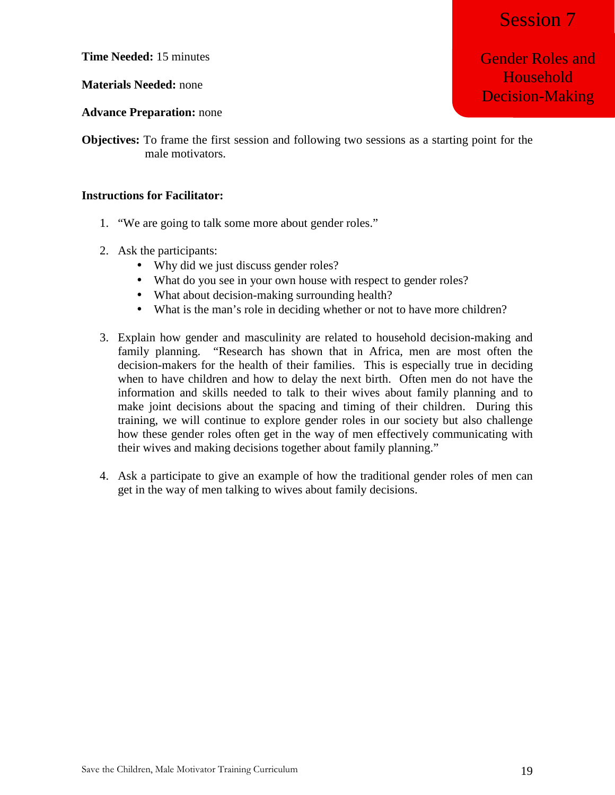Session 7

Gender Roles and Household

Decision-Making

**Time Needed:** 15 minutes

### **Materials Needed:** none

### **Advance Preparation:** none

**Objectives:** To frame the first session and following two sessions as a starting point for the male motivators.

### **Instructions for Facilitator:**

- 1. "We are going to talk some more about gender roles."
- 2. Ask the participants:
	- Why did we just discuss gender roles?
	- What do you see in your own house with respect to gender roles?
	- What about decision-making surrounding health?
	- What is the man's role in deciding whether or not to have more children?
- 3. Explain how gender and masculinity are related to household decision-making and family planning. "Research has shown that in Africa, men are most often the decision-makers for the health of their families. This is especially true in deciding when to have children and how to delay the next birth. Often men do not have the information and skills needed to talk to their wives about family planning and to make joint decisions about the spacing and timing of their children. During this training, we will continue to explore gender roles in our society but also challenge how these gender roles often get in the way of men effectively communicating with their wives and making decisions together about family planning."
- 4. Ask a participate to give an example of how the traditional gender roles of men can get in the way of men talking to wives about family decisions.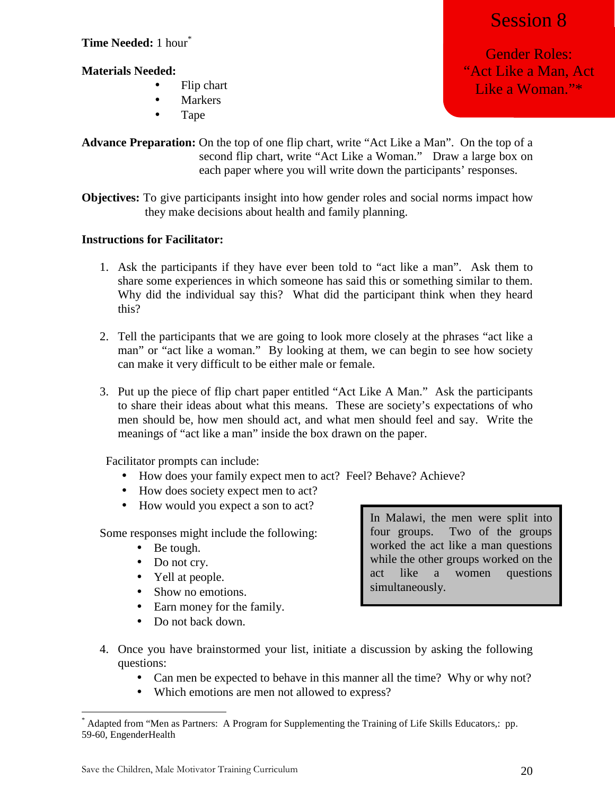**Time Needed:** 1 hour\*

# **Materials Needed:**

- Flip chart
- Markers
- Tape

**Advance Preparation:** On the top of one flip chart, write "Act Like a Man". On the top of a second flip chart, write "Act Like a Woman." Draw a large box on each paper where you will write down the participants' responses.

**Objectives:** To give participants insight into how gender roles and social norms impact how they make decisions about health and family planning.

# **Instructions for Facilitator:**

- 1. Ask the participants if they have ever been told to "act like a man". Ask them to share some experiences in which someone has said this or something similar to them. Why did the individual say this? What did the participant think when they heard this?
- 2. Tell the participants that we are going to look more closely at the phrases "act like a man" or "act like a woman." By looking at them, we can begin to see how society can make it very difficult to be either male or female.
- 3. Put up the piece of flip chart paper entitled "Act Like A Man." Ask the participants to share their ideas about what this means. These are society's expectations of who men should be, how men should act, and what men should feel and say. Write the meanings of "act like a man" inside the box drawn on the paper.

Facilitator prompts can include:

- How does your family expect men to act? Feel? Behave? Achieve?
- How does society expect men to act?
- How would you expect a son to act?

Some responses might include the following:

- Be tough.
- Do not cry.
- Yell at people.
- Show no emotions.
- Earn money for the family.
- Do not back down.

In Malawi, the men were split into four groups. Two of the groups worked the act like a man questions while the other groups worked on the act like a women questions simultaneously.

- 4. Once you have brainstormed your list, initiate a discussion by asking the following questions:
	- Can men be expected to behave in this manner all the time? Why or why not?
	- Which emotions are men not allowed to express?

Gender Roles: "Act Like a Man, Act Like a Woman."\*

Session 8

<sup>&</sup>lt;u>.</u> \* Adapted from "Men as Partners: A Program for Supplementing the Training of Life Skills Educators,: pp. 59-60, EngenderHealth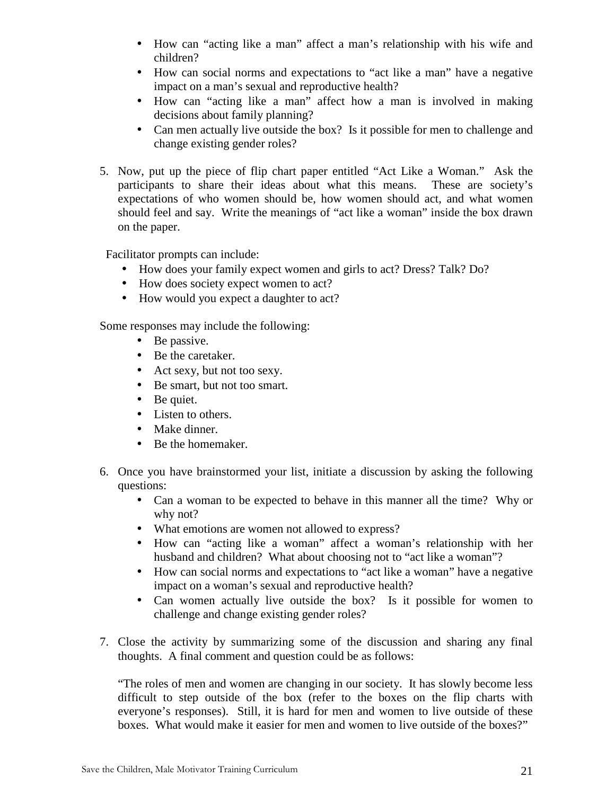- How can "acting like a man" affect a man's relationship with his wife and children?
- How can social norms and expectations to "act like a man" have a negative impact on a man's sexual and reproductive health?
- How can "acting like a man" affect how a man is involved in making decisions about family planning?
- Can men actually live outside the box? Is it possible for men to challenge and change existing gender roles?
- 5. Now, put up the piece of flip chart paper entitled "Act Like a Woman." Ask the participants to share their ideas about what this means. These are society's expectations of who women should be, how women should act, and what women should feel and say. Write the meanings of "act like a woman" inside the box drawn on the paper.

Facilitator prompts can include:

- How does your family expect women and girls to act? Dress? Talk? Do?
- How does society expect women to act?
- How would you expect a daughter to act?

Some responses may include the following:

- Be passive.
- Be the caretaker.
- Act sexy, but not too sexy.
- Be smart, but not too smart.
- Be quiet.
- Listen to others.
- Make dinner.
- Be the homemaker.
- 6. Once you have brainstormed your list, initiate a discussion by asking the following questions:
	- Can a woman to be expected to behave in this manner all the time? Why or why not?
	- What emotions are women not allowed to express?
	- How can "acting like a woman" affect a woman's relationship with her husband and children? What about choosing not to "act like a woman"?
	- How can social norms and expectations to "act like a woman" have a negative impact on a woman's sexual and reproductive health?
	- Can women actually live outside the box? Is it possible for women to challenge and change existing gender roles?
- 7. Close the activity by summarizing some of the discussion and sharing any final thoughts. A final comment and question could be as follows:

"The roles of men and women are changing in our society. It has slowly become less difficult to step outside of the box (refer to the boxes on the flip charts with everyone's responses). Still, it is hard for men and women to live outside of these boxes. What would make it easier for men and women to live outside of the boxes?"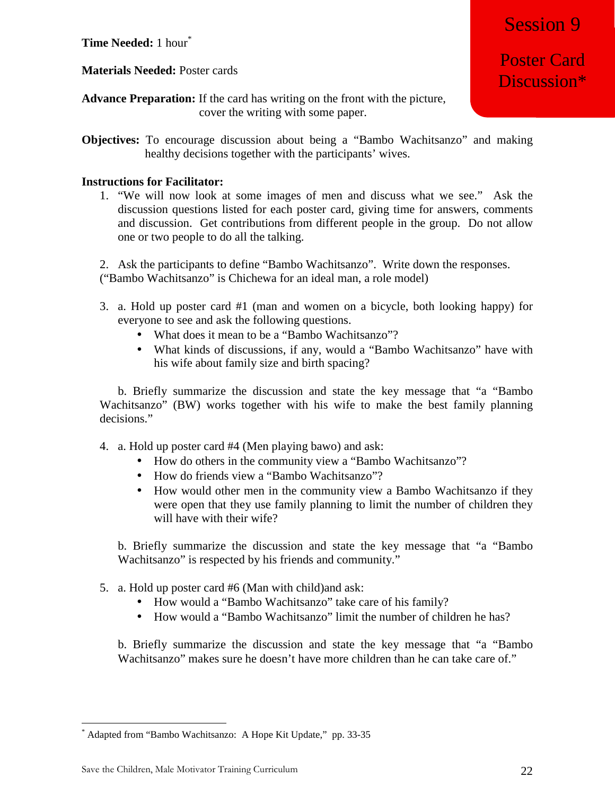**Time Needed:** 1 hour\*

**Materials Needed:** Poster cards

**Advance Preparation:** If the card has writing on the front with the picture, cover the writing with some paper.

**Objectives:** To encourage discussion about being a "Bambo Wachitsanzo" and making healthy decisions together with the participants' wives.

# **Instructions for Facilitator:**

1. "We will now look at some images of men and discuss what we see." Ask the discussion questions listed for each poster card, giving time for answers, comments and discussion. Get contributions from different people in the group. Do not allow one or two people to do all the talking.

2. Ask the participants to define "Bambo Wachitsanzo". Write down the responses. ("Bambo Wachitsanzo" is Chichewa for an ideal man, a role model)

- 3. a. Hold up poster card #1 (man and women on a bicycle, both looking happy) for everyone to see and ask the following questions.
	- What does it mean to be a "Bambo Wachitsanzo"?
	- What kinds of discussions, if any, would a "Bambo Wachitsanzo" have with his wife about family size and birth spacing?

b. Briefly summarize the discussion and state the key message that "a "Bambo Wachitsanzo" (BW) works together with his wife to make the best family planning decisions."

- 4. a. Hold up poster card #4 (Men playing bawo) and ask:
	- How do others in the community view a "Bambo Wachitsanzo"?
	- How do friends view a "Bambo Wachitsanzo"?
	- How would other men in the community view a Bambo Wachitsanzo if they were open that they use family planning to limit the number of children they will have with their wife?

b. Briefly summarize the discussion and state the key message that "a "Bambo Wachitsanzo" is respected by his friends and community."

- 5. a. Hold up poster card #6 (Man with child)and ask:
	- How would a "Bambo Wachitsanzo" take care of his family?
	- How would a "Bambo Wachitsanzo" limit the number of children he has?

b. Briefly summarize the discussion and state the key message that "a "Bambo Wachitsanzo" makes sure he doesn't have more children than he can take care of."

Poster Card Discussion\*

<sup>&</sup>lt;u>.</u> \* Adapted from "Bambo Wachitsanzo: A Hope Kit Update," pp. 33-35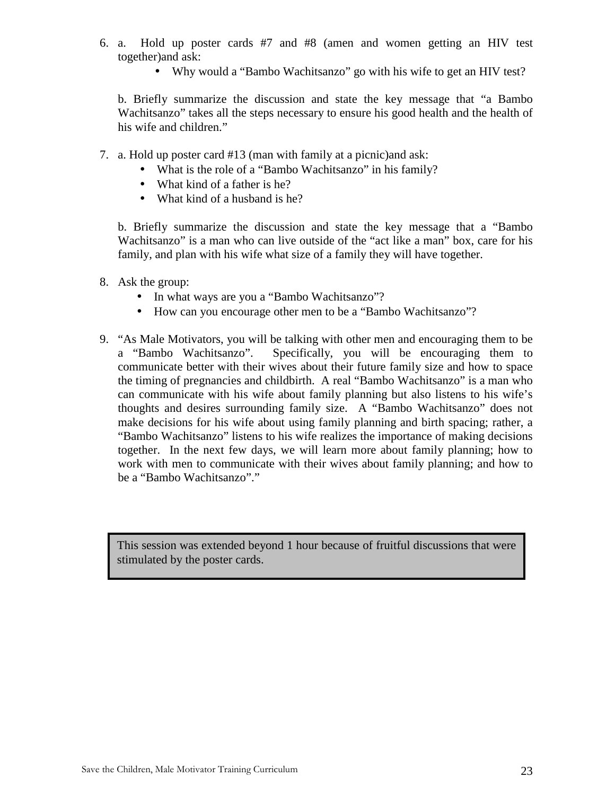- 6. a. Hold up poster cards #7 and #8 (amen and women getting an HIV test together)and ask:
	- Why would a "Bambo Wachitsanzo" go with his wife to get an HIV test?

b. Briefly summarize the discussion and state the key message that "a Bambo Wachitsanzo" takes all the steps necessary to ensure his good health and the health of his wife and children."

- 7. a. Hold up poster card #13 (man with family at a picnic)and ask:
	- What is the role of a "Bambo Wachitsanzo" in his family?
	- What kind of a father is he?
	- What kind of a husband is he?

b. Briefly summarize the discussion and state the key message that a "Bambo Wachitsanzo" is a man who can live outside of the "act like a man" box, care for his family, and plan with his wife what size of a family they will have together.

- 8. Ask the group:
	- In what ways are you a "Bambo Wachitsanzo"?
	- How can you encourage other men to be a "Bambo Wachitsanzo"?
- 9. "As Male Motivators, you will be talking with other men and encouraging them to be a "Bambo Wachitsanzo". Specifically, you will be encouraging them to communicate better with their wives about their future family size and how to space the timing of pregnancies and childbirth. A real "Bambo Wachitsanzo" is a man who can communicate with his wife about family planning but also listens to his wife's thoughts and desires surrounding family size. A "Bambo Wachitsanzo" does not make decisions for his wife about using family planning and birth spacing; rather, a "Bambo Wachitsanzo" listens to his wife realizes the importance of making decisions together. In the next few days, we will learn more about family planning; how to work with men to communicate with their wives about family planning; and how to be a "Bambo Wachitsanzo"."

This session was extended beyond 1 hour because of fruitful discussions that were stimulated by the poster cards.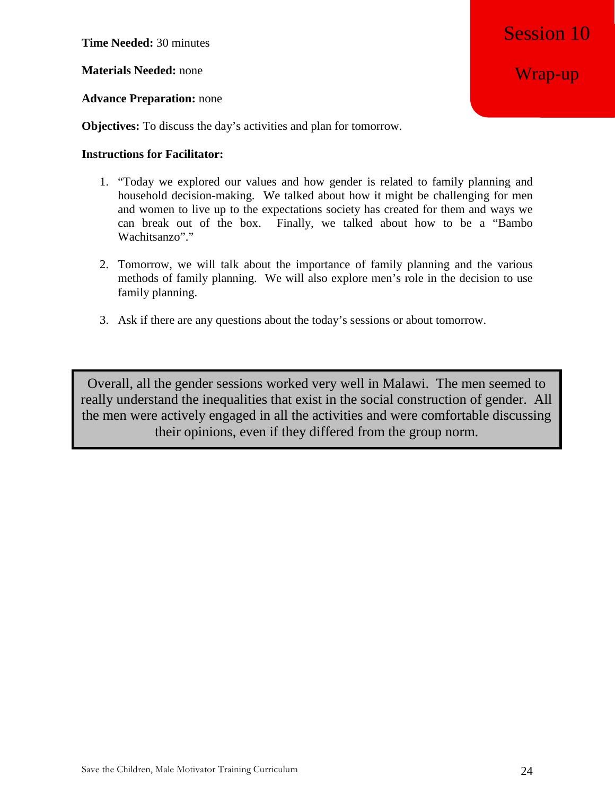**Time Needed:** 30 minutes

**Materials Needed:** none

### **Advance Preparation:** none

**Objectives:** To discuss the day's activities and plan for tomorrow.

### **Instructions for Facilitator:**

- 1. "Today we explored our values and how gender is related to family planning and household decision-making. We talked about how it might be challenging for men and women to live up to the expectations society has created for them and ways we can break out of the box. Finally, we talked about how to be a "Bambo Wachitsanzo"."
- 2. Tomorrow, we will talk about the importance of family planning and the various methods of family planning. We will also explore men's role in the decision to use family planning.
- 3. Ask if there are any questions about the today's sessions or about tomorrow.

Overall, all the gender sessions worked very well in Malawi. The men seemed to really understand the inequalities that exist in the social construction of gender. All the men were actively engaged in all the activities and were comfortable discussing their opinions, even if they differed from the group norm.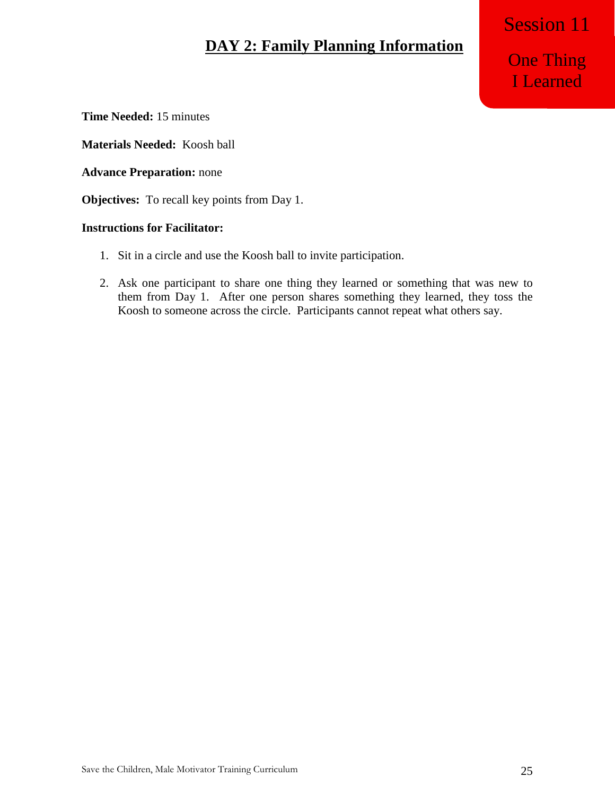# **DAY 2: Family Planning Information**

One Thing I Learned

Session 11

**Time Needed:** 15 minutes

**Materials Needed:** Koosh ball

**Advance Preparation:** none

**Objectives:** To recall key points from Day 1.

## **Instructions for Facilitator:**

- 1. Sit in a circle and use the Koosh ball to invite participation.
- 2. Ask one participant to share one thing they learned or something that was new to them from Day 1. After one person shares something they learned, they toss the Koosh to someone across the circle. Participants cannot repeat what others say.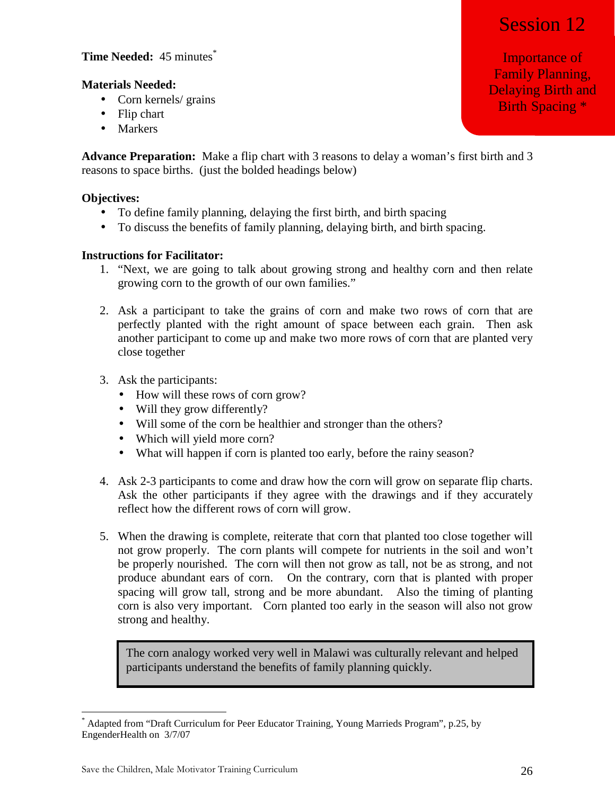# Session 12

# **Time Needed:** 45 minutes<sup>\*</sup>

# **Materials Needed:**

- Corn kernels/ grains
- Flip chart
- Markers

**Advance Preparation:** Make a flip chart with 3 reasons to delay a woman's first birth and 3 reasons to space births. (just the bolded headings below)

### **Objectives:**

- To define family planning, delaying the first birth, and birth spacing
- To discuss the benefits of family planning, delaying birth, and birth spacing.

### **Instructions for Facilitator:**

- 1. "Next, we are going to talk about growing strong and healthy corn and then relate growing corn to the growth of our own families."
- 2. Ask a participant to take the grains of corn and make two rows of corn that are perfectly planted with the right amount of space between each grain. Then ask another participant to come up and make two more rows of corn that are planted very close together
- 3. Ask the participants:
	- How will these rows of corn grow?
	- Will they grow differently?
	- Will some of the corn be healthier and stronger than the others?
	- Which will yield more corn?
	- What will happen if corn is planted too early, before the rainy season?
- 4. Ask 2-3 participants to come and draw how the corn will grow on separate flip charts. Ask the other participants if they agree with the drawings and if they accurately reflect how the different rows of corn will grow.
- 5. When the drawing is complete, reiterate that corn that planted too close together will not grow properly. The corn plants will compete for nutrients in the soil and won't be properly nourished. The corn will then not grow as tall, not be as strong, and not produce abundant ears of corn. On the contrary, corn that is planted with proper spacing will grow tall, strong and be more abundant. Also the timing of planting corn is also very important. Corn planted too early in the season will also not grow strong and healthy.

The corn analogy worked very well in Malawi was culturally relevant and helped participants understand the benefits of family planning quickly.

<sup>&</sup>lt;u>.</u> \* Adapted from "Draft Curriculum for Peer Educator Training, Young Marrieds Program", p.25, by EngenderHealth on 3/7/07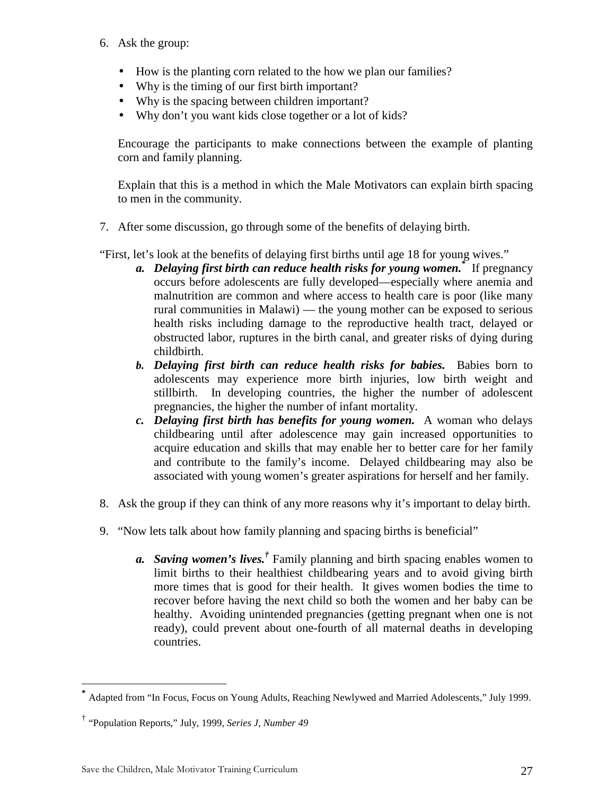- 6. Ask the group:
	- How is the planting corn related to the how we plan our families?
	- Why is the timing of our first birth important?
	- Why is the spacing between children important?
	- Why don't you want kids close together or a lot of kids?

Encourage the participants to make connections between the example of planting corn and family planning.

Explain that this is a method in which the Male Motivators can explain birth spacing to men in the community.

7. After some discussion, go through some of the benefits of delaying birth.

"First, let's look at the benefits of delaying first births until age 18 for young wives."

- *a. Delaying first birth can reduce health risks for young women.\** If pregnancy occurs before adolescents are fully developed—especially where anemia and malnutrition are common and where access to health care is poor (like many rural communities in Malawi) — the young mother can be exposed to serious health risks including damage to the reproductive health tract, delayed or obstructed labor, ruptures in the birth canal, and greater risks of dying during childbirth.
- *b. Delaying first birth can reduce health risks for babies.* Babies born to adolescents may experience more birth injuries, low birth weight and stillbirth. In developing countries, the higher the number of adolescent pregnancies, the higher the number of infant mortality.
- *c. Delaying first birth has benefits for young women.* A woman who delays childbearing until after adolescence may gain increased opportunities to acquire education and skills that may enable her to better care for her family and contribute to the family's income. Delayed childbearing may also be associated with young women's greater aspirations for herself and her family.
- 8. Ask the group if they can think of any more reasons why it's important to delay birth.
- 9. "Now lets talk about how family planning and spacing births is beneficial"
	- *a. Saving women's lives.†* Family planning and birth spacing enables women to limit births to their healthiest childbearing years and to avoid giving birth more times that is good for their health. It gives women bodies the time to recover before having the next child so both the women and her baby can be healthy. Avoiding unintended pregnancies (getting pregnant when one is not ready), could prevent about one-fourth of all maternal deaths in developing countries.

-

**<sup>\*</sup>** Adapted from "In Focus, Focus on Young Adults, Reaching Newlywed and Married Adolescents," July 1999.

<sup>†</sup> "Population Reports," July, 1999, *Series J, Number 49*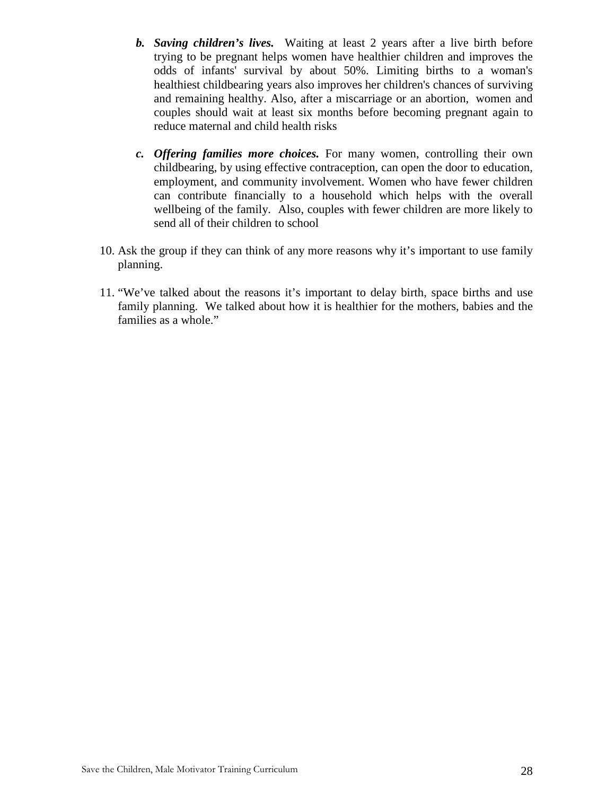- *b. Saving children's lives.* Waiting at least 2 years after a live birth before trying to be pregnant helps women have healthier children and improves the odds of infants' survival by about 50%. Limiting births to a woman's healthiest childbearing years also improves her children's chances of surviving and remaining healthy. Also, after a miscarriage or an abortion, women and couples should wait at least six months before becoming pregnant again to reduce maternal and child health risks
- *c. Offering families more choices.* For many women, controlling their own childbearing, by using effective contraception, can open the door to education, employment, and community involvement. Women who have fewer children can contribute financially to a household which helps with the overall wellbeing of the family. Also, couples with fewer children are more likely to send all of their children to school
- 10. Ask the group if they can think of any more reasons why it's important to use family planning.
- 11. "We've talked about the reasons it's important to delay birth, space births and use family planning. We talked about how it is healthier for the mothers, babies and the families as a whole."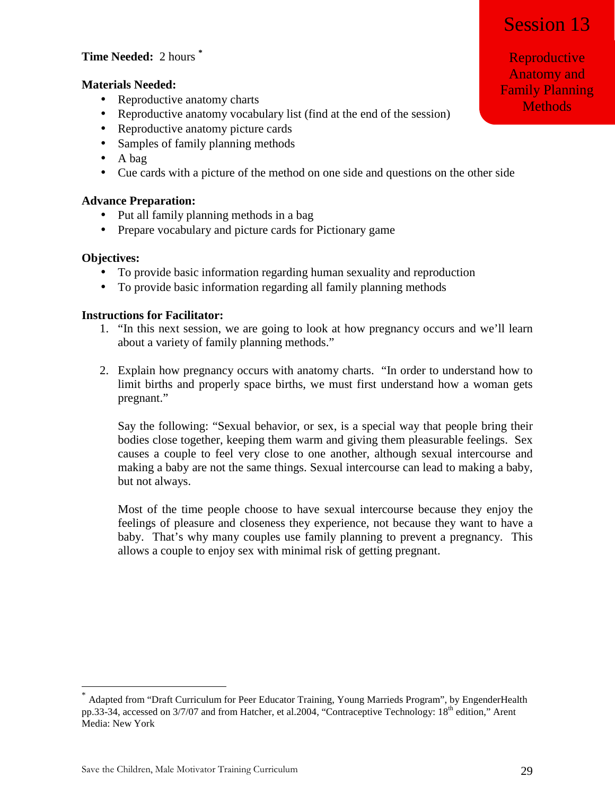# Session 13

# **Time Needed:** 2 hours **\***

### **Materials Needed:**

- Reproductive anatomy charts
- Reproductive anatomy vocabulary list (find at the end of the session)
- Reproductive anatomy picture cards
- Samples of family planning methods
- A bag
- Cue cards with a picture of the method on one side and questions on the other side

### **Advance Preparation:**

- Put all family planning methods in a bag
- Prepare vocabulary and picture cards for Pictionary game

### **Objectives:**

<u>.</u>

- To provide basic information regarding human sexuality and reproduction
- To provide basic information regarding all family planning methods

### **Instructions for Facilitator:**

- 1. "In this next session, we are going to look at how pregnancy occurs and we'll learn about a variety of family planning methods."
- 2. Explain how pregnancy occurs with anatomy charts. "In order to understand how to limit births and properly space births, we must first understand how a woman gets pregnant."

Say the following: "Sexual behavior, or sex, is a special way that people bring their bodies close together, keeping them warm and giving them pleasurable feelings. Sex causes a couple to feel very close to one another, although sexual intercourse and making a baby are not the same things. Sexual intercourse can lead to making a baby, but not always.

Most of the time people choose to have sexual intercourse because they enjoy the feelings of pleasure and closeness they experience, not because they want to have a baby. That's why many couples use family planning to prevent a pregnancy. This allows a couple to enjoy sex with minimal risk of getting pregnant.

Reproductive Anatomy and Family Planning Methods

<sup>\*</sup> Adapted from "Draft Curriculum for Peer Educator Training, Young Marrieds Program", by EngenderHealth pp.33-34, accessed on 3/7/07 and from Hatcher, et al.2004, "Contraceptive Technology: 18<sup>th</sup> edition," Arent Media: New York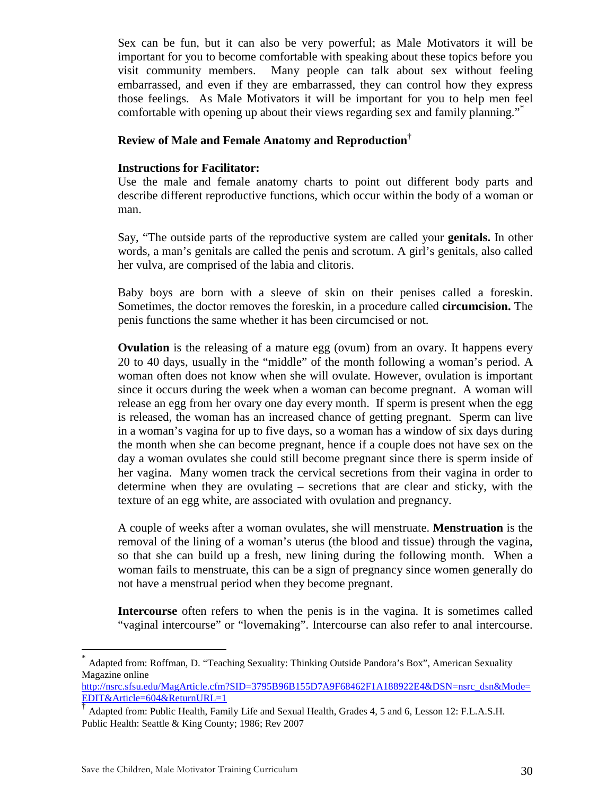Sex can be fun, but it can also be very powerful; as Male Motivators it will be important for you to become comfortable with speaking about these topics before you visit community members. Many people can talk about sex without feeling embarrassed, and even if they are embarrassed, they can control how they express those feelings. As Male Motivators it will be important for you to help men feel comfortable with opening up about their views regarding sex and family planning."\*

### **Review of Male and Female Anatomy and Reproduction†**

### **Instructions for Facilitator:**

Use the male and female anatomy charts to point out different body parts and describe different reproductive functions, which occur within the body of a woman or man.

Say, "The outside parts of the reproductive system are called your **genitals.** In other words, a man's genitals are called the penis and scrotum. A girl's genitals, also called her vulva, are comprised of the labia and clitoris.

Baby boys are born with a sleeve of skin on their penises called a foreskin. Sometimes, the doctor removes the foreskin, in a procedure called **circumcision.** The penis functions the same whether it has been circumcised or not.

**Ovulation** is the releasing of a mature egg (ovum) from an ovary. It happens every 20 to 40 days, usually in the "middle" of the month following a woman's period. A woman often does not know when she will ovulate. However, ovulation is important since it occurs during the week when a woman can become pregnant. A woman will release an egg from her ovary one day every month. If sperm is present when the egg is released, the woman has an increased chance of getting pregnant. Sperm can live in a woman's vagina for up to five days, so a woman has a window of six days during the month when she can become pregnant, hence if a couple does not have sex on the day a woman ovulates she could still become pregnant since there is sperm inside of her vagina. Many women track the cervical secretions from their vagina in order to determine when they are ovulating – secretions that are clear and sticky, with the texture of an egg white, are associated with ovulation and pregnancy.

A couple of weeks after a woman ovulates, she will menstruate. **Menstruation** is the removal of the lining of a woman's uterus (the blood and tissue) through the vagina, so that she can build up a fresh, new lining during the following month. When a woman fails to menstruate, this can be a sign of pregnancy since women generally do not have a menstrual period when they become pregnant.

**Intercourse** often refers to when the penis is in the vagina. It is sometimes called "vaginal intercourse" or "lovemaking". Intercourse can also refer to anal intercourse.

<u>.</u>

<sup>\*</sup> Adapted from: Roffman, D. "Teaching Sexuality: Thinking Outside Pandora's Box", American Sexuality Magazine online

http://nsrc.sfsu.edu/MagArticle.cfm?SID=3795B96B155D7A9F68462F1A188922F4&DSN=nsrc\_dsn&Mode= EDIT&Article=604&ReturnURL=1

<sup>†</sup> Adapted from: Public Health, Family Life and Sexual Health, Grades 4, 5 and 6, Lesson 12: F.L.A.S.H. Public Health: Seattle & King County; 1986; Rev 2007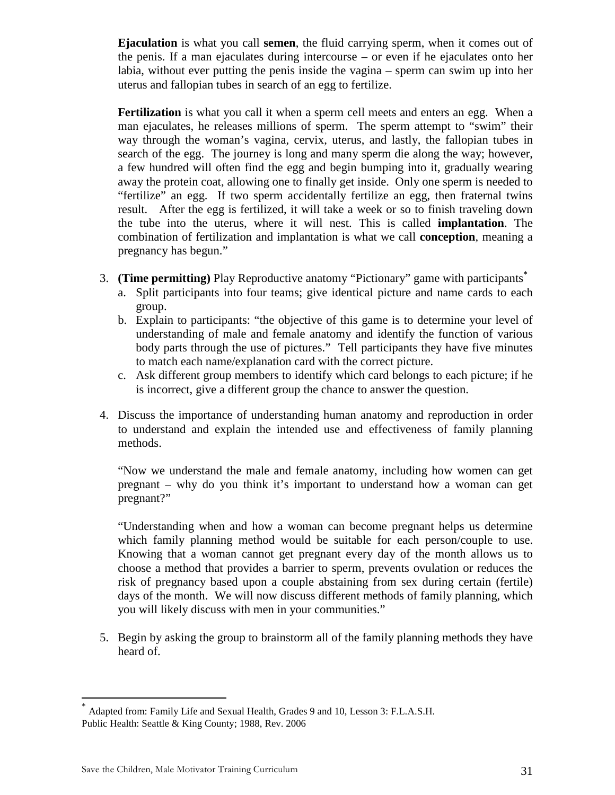**Ejaculation** is what you call **semen**, the fluid carrying sperm, when it comes out of the penis. If a man ejaculates during intercourse – or even if he ejaculates onto her labia, without ever putting the penis inside the vagina – sperm can swim up into her uterus and fallopian tubes in search of an egg to fertilize.

**Fertilization** is what you call it when a sperm cell meets and enters an egg. When a man ejaculates, he releases millions of sperm. The sperm attempt to "swim" their way through the woman's vagina, cervix, uterus, and lastly, the fallopian tubes in search of the egg. The journey is long and many sperm die along the way; however, a few hundred will often find the egg and begin bumping into it, gradually wearing away the protein coat, allowing one to finally get inside. Only one sperm is needed to "fertilize" an egg. If two sperm accidentally fertilize an egg, then fraternal twins result. After the egg is fertilized, it will take a week or so to finish traveling down the tube into the uterus, where it will nest. This is called **implantation**. The combination of fertilization and implantation is what we call **conception**, meaning a pregnancy has begun."

- 3. **(Time permitting)** Play Reproductive anatomy "Pictionary" game with participants**\***
	- a. Split participants into four teams; give identical picture and name cards to each group.
	- b. Explain to participants: "the objective of this game is to determine your level of understanding of male and female anatomy and identify the function of various body parts through the use of pictures." Tell participants they have five minutes to match each name/explanation card with the correct picture.
	- c. Ask different group members to identify which card belongs to each picture; if he is incorrect, give a different group the chance to answer the question.
- 4. Discuss the importance of understanding human anatomy and reproduction in order to understand and explain the intended use and effectiveness of family planning methods.

"Now we understand the male and female anatomy, including how women can get pregnant – why do you think it's important to understand how a woman can get pregnant?"

"Understanding when and how a woman can become pregnant helps us determine which family planning method would be suitable for each person/couple to use. Knowing that a woman cannot get pregnant every day of the month allows us to choose a method that provides a barrier to sperm, prevents ovulation or reduces the risk of pregnancy based upon a couple abstaining from sex during certain (fertile) days of the month. We will now discuss different methods of family planning, which you will likely discuss with men in your communities."

5. Begin by asking the group to brainstorm all of the family planning methods they have heard of.

<u>.</u>

<sup>\*</sup> Adapted from: Family Life and Sexual Health, Grades 9 and 10, Lesson 3: F.L.A.S.H. Public Health: Seattle & King County; 1988, Rev. 2006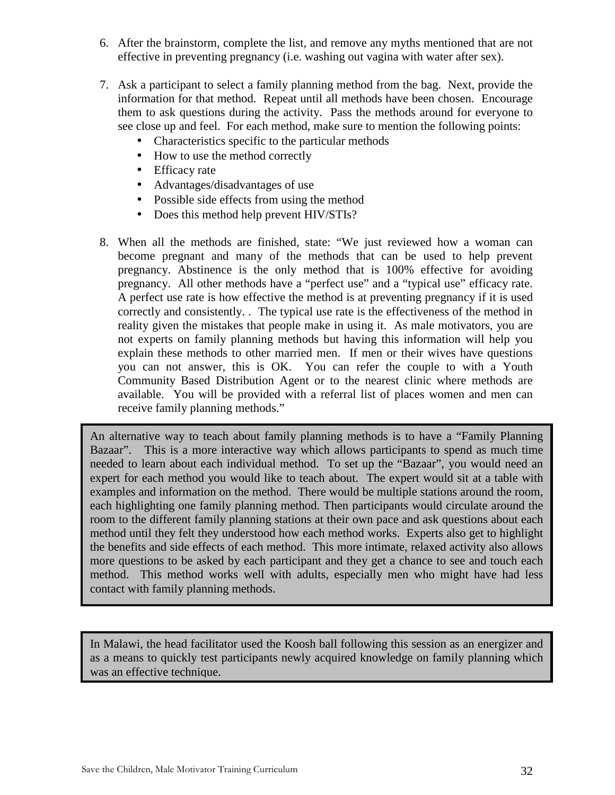- 6. After the brainstorm, complete the list, and remove any myths mentioned that are not effective in preventing pregnancy (i.e. washing out vagina with water after sex).
- 7. Ask a participant to select a family planning method from the bag. Next, provide the information for that method. Repeat until all methods have been chosen. Encourage them to ask questions during the activity. Pass the methods around for everyone to see close up and feel. For each method, make sure to mention the following points:
	- Characteristics specific to the particular methods
	- How to use the method correctly
	- Efficacy rate
	- Advantages/disadvantages of use
	- Possible side effects from using the method
	- Does this method help prevent HIV/STIs?
- 8. When all the methods are finished, state: "We just reviewed how a woman can become pregnant and many of the methods that can be used to help prevent pregnancy. Abstinence is the only method that is 100% effective for avoiding pregnancy. All other methods have a "perfect use" and a "typical use" efficacy rate. A perfect use rate is how effective the method is at preventing pregnancy if it is used correctly and consistently. . The typical use rate is the effectiveness of the method in reality given the mistakes that people make in using it. As male motivators, you are not experts on family planning methods but having this information will help you explain these methods to other married men. If men or their wives have questions you can not answer, this is OK. You can refer the couple to with a Youth Community Based Distribution Agent or to the nearest clinic where methods are available. You will be provided with a referral list of places women and men can receive family planning methods."

An alternative way to teach about family planning methods is to have a "Family Planning Bazaar". This is a more interactive way which allows participants to spend as much time needed to learn about each individual method. To set up the "Bazaar", you would need an expert for each method you would like to teach about. The expert would sit at a table with examples and information on the method. There would be multiple stations around the room, each highlighting one family planning method. Then participants would circulate around the room to the different family planning stations at their own pace and ask questions about each method until they felt they understood how each method works. Experts also get to highlight the benefits and side effects of each method. This more intimate, relaxed activity also allows more questions to be asked by each participant and they get a chance to see and touch each method. This method works well with adults, especially men who might have had less contact with family planning methods.

In Malawi, the head facilitator used the Koosh ball following this session as an energizer and as a means to quickly test participants newly acquired knowledge on family planning which was an effective technique.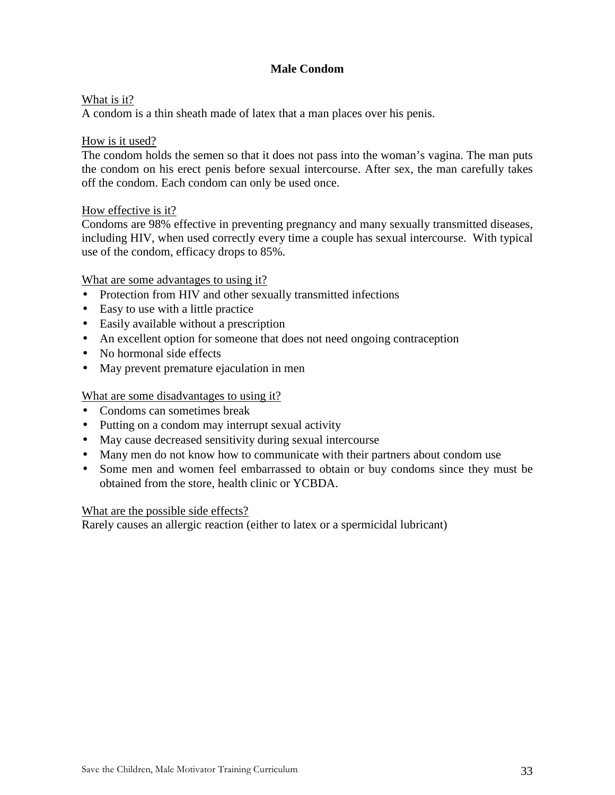# **Male Condom**

### What is it?

A condom is a thin sheath made of latex that a man places over his penis.

### How is it used?

The condom holds the semen so that it does not pass into the woman's vagina. The man puts the condom on his erect penis before sexual intercourse. After sex, the man carefully takes off the condom. Each condom can only be used once.

### How effective is it?

Condoms are 98% effective in preventing pregnancy and many sexually transmitted diseases, including HIV, when used correctly every time a couple has sexual intercourse. With typical use of the condom, efficacy drops to 85%.

### What are some advantages to using it?

- Protection from HIV and other sexually transmitted infections
- Easy to use with a little practice
- Easily available without a prescription
- An excellent option for someone that does not need ongoing contraception
- No hormonal side effects
- May prevent premature ejaculation in men

### What are some disadvantages to using it?

- Condoms can sometimes break
- Putting on a condom may interrupt sexual activity
- May cause decreased sensitivity during sexual intercourse
- Many men do not know how to communicate with their partners about condom use
- Some men and women feel embarrassed to obtain or buy condoms since they must be obtained from the store, health clinic or YCBDA.

### What are the possible side effects?

Rarely causes an allergic reaction (either to latex or a spermicidal lubricant)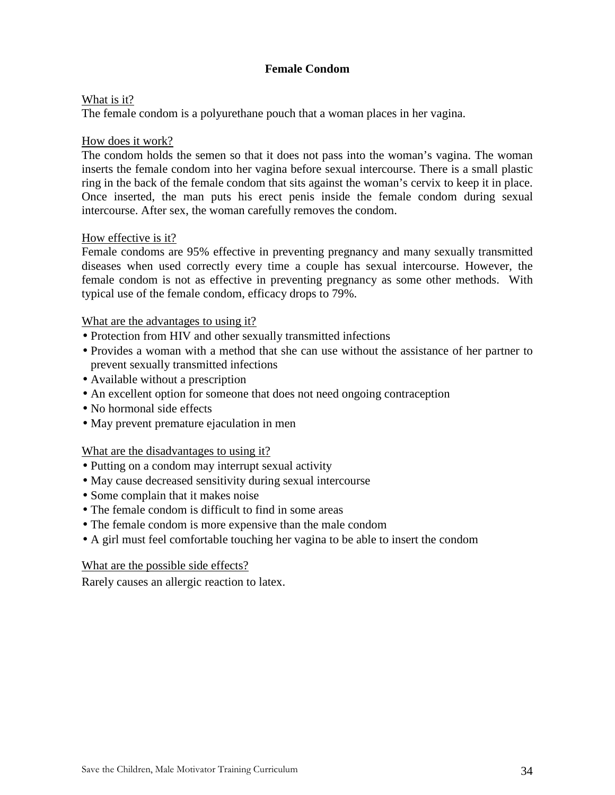## **Female Condom**

### What is it?

The female condom is a polyurethane pouch that a woman places in her vagina.

### How does it work?

The condom holds the semen so that it does not pass into the woman's vagina. The woman inserts the female condom into her vagina before sexual intercourse. There is a small plastic ring in the back of the female condom that sits against the woman's cervix to keep it in place. Once inserted, the man puts his erect penis inside the female condom during sexual intercourse. After sex, the woman carefully removes the condom.

### How effective is it?

Female condoms are 95% effective in preventing pregnancy and many sexually transmitted diseases when used correctly every time a couple has sexual intercourse. However, the female condom is not as effective in preventing pregnancy as some other methods. With typical use of the female condom, efficacy drops to 79%.

### What are the advantages to using it?

- Protection from HIV and other sexually transmitted infections
- Provides a woman with a method that she can use without the assistance of her partner to prevent sexually transmitted infections
- Available without a prescription
- An excellent option for someone that does not need ongoing contraception
- No hormonal side effects
- May prevent premature ejaculation in men

### What are the disadvantages to using it?

- Putting on a condom may interrupt sexual activity
- May cause decreased sensitivity during sexual intercourse
- Some complain that it makes noise
- The female condom is difficult to find in some areas
- The female condom is more expensive than the male condom
- A girl must feel comfortable touching her vagina to be able to insert the condom

### What are the possible side effects?

Rarely causes an allergic reaction to latex.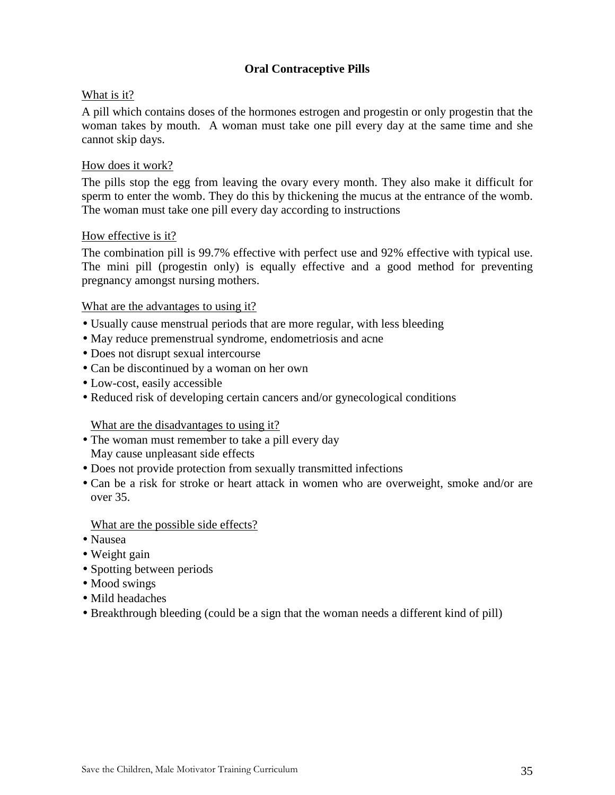# **Oral Contraceptive Pills**

### What is it?

A pill which contains doses of the hormones estrogen and progestin or only progestin that the woman takes by mouth. A woman must take one pill every day at the same time and she cannot skip days.

### How does it work?

The pills stop the egg from leaving the ovary every month. They also make it difficult for sperm to enter the womb. They do this by thickening the mucus at the entrance of the womb. The woman must take one pill every day according to instructions

### How effective is it?

The combination pill is 99.7% effective with perfect use and 92% effective with typical use. The mini pill (progestin only) is equally effective and a good method for preventing pregnancy amongst nursing mothers.

### What are the advantages to using it?

- Usually cause menstrual periods that are more regular, with less bleeding
- May reduce premenstrual syndrome, endometriosis and acne
- Does not disrupt sexual intercourse
- Can be discontinued by a woman on her own
- Low-cost, easily accessible
- Reduced risk of developing certain cancers and/or gynecological conditions

### What are the disadvantages to using it?

- The woman must remember to take a pill every day May cause unpleasant side effects
- Does not provide protection from sexually transmitted infections
- Can be a risk for stroke or heart attack in women who are overweight, smoke and/or are over 35.

### What are the possible side effects?

- Nausea
- Weight gain
- Spotting between periods
- Mood swings
- Mild headaches
- Breakthrough bleeding (could be a sign that the woman needs a different kind of pill)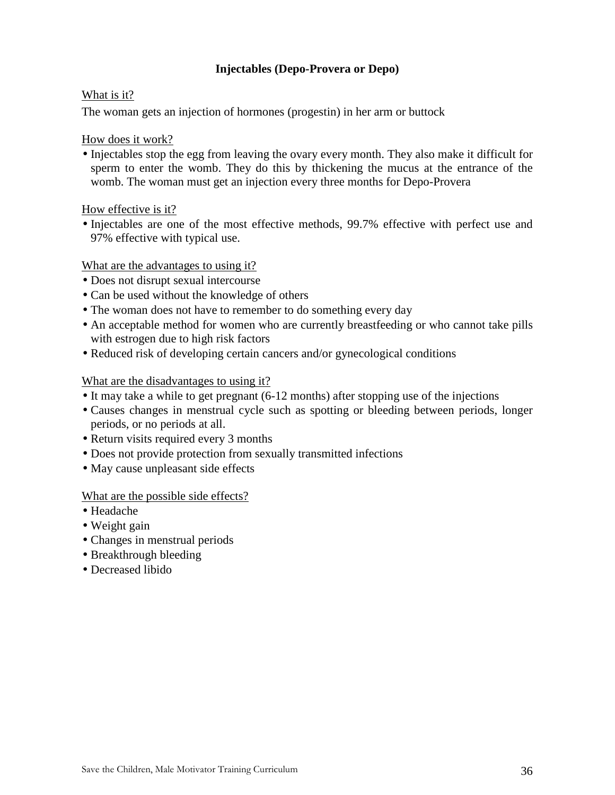# **Injectables (Depo-Provera or Depo)**

### What is it?

The woman gets an injection of hormones (progestin) in her arm or buttock

### How does it work?

• Injectables stop the egg from leaving the ovary every month. They also make it difficult for sperm to enter the womb. They do this by thickening the mucus at the entrance of the womb. The woman must get an injection every three months for Depo-Provera

How effective is it?

• Injectables are one of the most effective methods, 99.7% effective with perfect use and 97% effective with typical use.

### What are the advantages to using it?

- Does not disrupt sexual intercourse
- Can be used without the knowledge of others
- The woman does not have to remember to do something every day
- An acceptable method for women who are currently breastfeeding or who cannot take pills with estrogen due to high risk factors
- Reduced risk of developing certain cancers and/or gynecological conditions

### What are the disadvantages to using it?

- It may take a while to get pregnant (6-12 months) after stopping use of the injections
- Causes changes in menstrual cycle such as spotting or bleeding between periods, longer periods, or no periods at all.
- Return visits required every 3 months
- Does not provide protection from sexually transmitted infections
- May cause unpleasant side effects

# What are the possible side effects?

- Headache
- Weight gain
- Changes in menstrual periods
- Breakthrough bleeding
- Decreased libido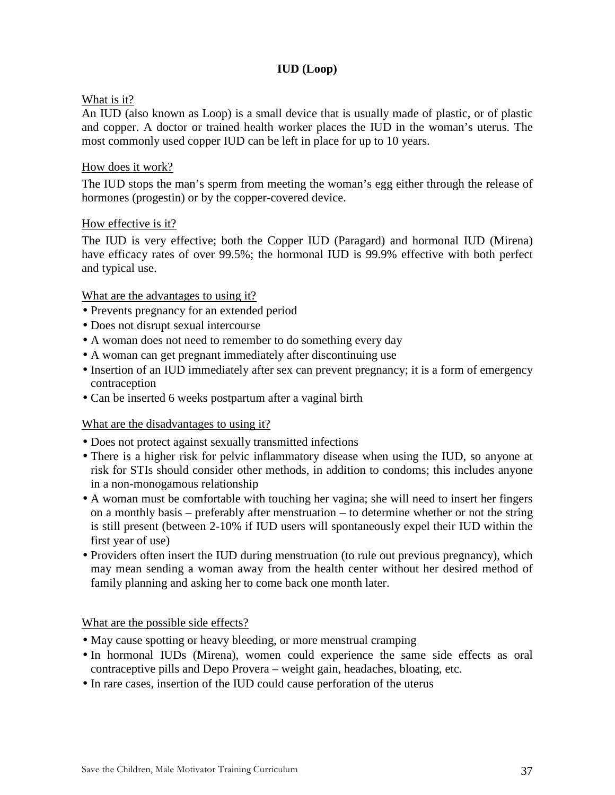# **IUD (Loop)**

## What is it?

An IUD (also known as Loop) is a small device that is usually made of plastic, or of plastic and copper. A doctor or trained health worker places the IUD in the woman's uterus. The most commonly used copper IUD can be left in place for up to 10 years.

### How does it work?

The IUD stops the man's sperm from meeting the woman's egg either through the release of hormones (progestin) or by the copper-covered device.

### How effective is it?

The IUD is very effective; both the Copper IUD (Paragard) and hormonal IUD (Mirena) have efficacy rates of over 99.5%; the hormonal IUD is 99.9% effective with both perfect and typical use.

### What are the advantages to using it?

- Prevents pregnancy for an extended period
- Does not disrupt sexual intercourse
- A woman does not need to remember to do something every day
- A woman can get pregnant immediately after discontinuing use
- Insertion of an IUD immediately after sex can prevent pregnancy; it is a form of emergency contraception
- Can be inserted 6 weeks postpartum after a vaginal birth

### What are the disadvantages to using it?

- Does not protect against sexually transmitted infections
- There is a higher risk for pelvic inflammatory disease when using the IUD, so anyone at risk for STIs should consider other methods, in addition to condoms; this includes anyone in a non-monogamous relationship
- A woman must be comfortable with touching her vagina; she will need to insert her fingers on a monthly basis – preferably after menstruation – to determine whether or not the string is still present (between 2-10% if IUD users will spontaneously expel their IUD within the first year of use)
- Providers often insert the IUD during menstruation (to rule out previous pregnancy), which may mean sending a woman away from the health center without her desired method of family planning and asking her to come back one month later.

What are the possible side effects?

- May cause spotting or heavy bleeding, or more menstrual cramping
- In hormonal IUDs (Mirena), women could experience the same side effects as oral contraceptive pills and Depo Provera – weight gain, headaches, bloating, etc.
- In rare cases, insertion of the IUD could cause perforation of the uterus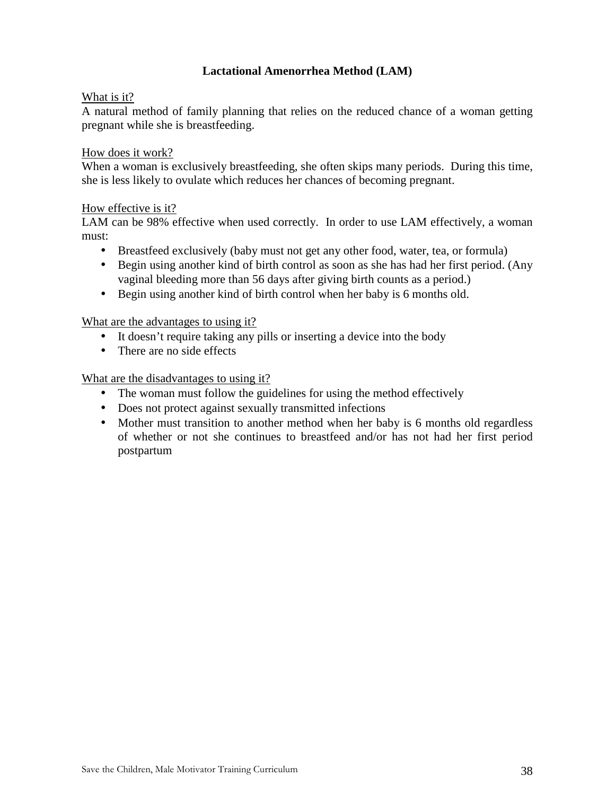## **Lactational Amenorrhea Method (LAM)**

## What is it?

A natural method of family planning that relies on the reduced chance of a woman getting pregnant while she is breastfeeding.

#### How does it work?

When a woman is exclusively breastfeeding, she often skips many periods. During this time, she is less likely to ovulate which reduces her chances of becoming pregnant.

#### How effective is it?

LAM can be 98% effective when used correctly. In order to use LAM effectively, a woman must:

- Breastfeed exclusively (baby must not get any other food, water, tea, or formula)
- Begin using another kind of birth control as soon as she has had her first period. (Any vaginal bleeding more than 56 days after giving birth counts as a period.)
- Begin using another kind of birth control when her baby is 6 months old.

## What are the advantages to using it?

- It doesn't require taking any pills or inserting a device into the body
- There are no side effects

## What are the disadvantages to using it?

- The woman must follow the guidelines for using the method effectively
- Does not protect against sexually transmitted infections
- Mother must transition to another method when her baby is 6 months old regardless of whether or not she continues to breastfeed and/or has not had her first period postpartum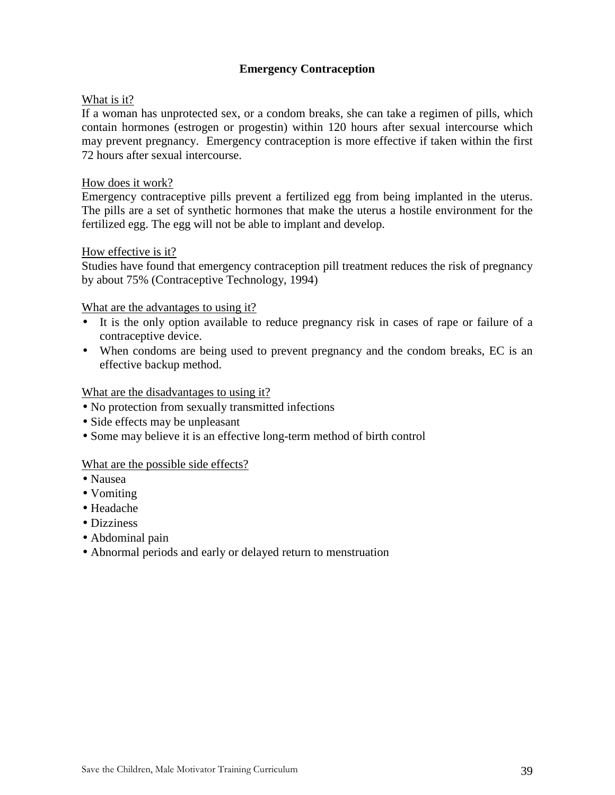## **Emergency Contraception**

## What is it?

If a woman has unprotected sex, or a condom breaks, she can take a regimen of pills, which contain hormones (estrogen or progestin) within 120 hours after sexual intercourse which may prevent pregnancy. Emergency contraception is more effective if taken within the first 72 hours after sexual intercourse.

#### How does it work?

Emergency contraceptive pills prevent a fertilized egg from being implanted in the uterus. The pills are a set of synthetic hormones that make the uterus a hostile environment for the fertilized egg. The egg will not be able to implant and develop.

#### How effective is it?

Studies have found that emergency contraception pill treatment reduces the risk of pregnancy by about 75% (Contraceptive Technology, 1994)

## What are the advantages to using it?

- It is the only option available to reduce pregnancy risk in cases of rape or failure of a contraceptive device.
- When condoms are being used to prevent pregnancy and the condom breaks, EC is an effective backup method.

#### What are the disadvantages to using it?

- No protection from sexually transmitted infections
- Side effects may be unpleasant
- Some may believe it is an effective long-term method of birth control

#### What are the possible side effects?

- Nausea
- Vomiting
- Headache
- Dizziness
- Abdominal pain
- Abnormal periods and early or delayed return to menstruation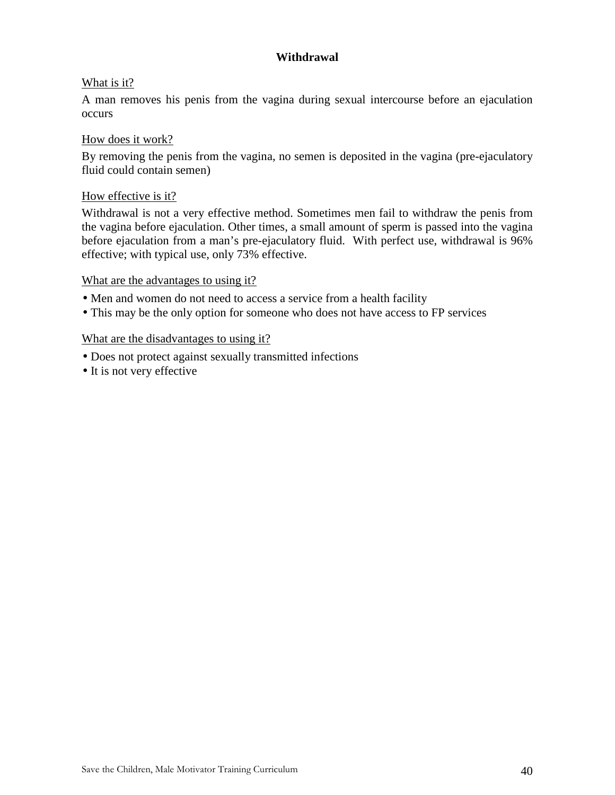## **Withdrawal**

## What is it?

A man removes his penis from the vagina during sexual intercourse before an ejaculation occurs

## How does it work?

By removing the penis from the vagina, no semen is deposited in the vagina (pre-ejaculatory fluid could contain semen)

## How effective is it?

Withdrawal is not a very effective method. Sometimes men fail to withdraw the penis from the vagina before ejaculation. Other times, a small amount of sperm is passed into the vagina before ejaculation from a man's pre-ejaculatory fluid. With perfect use, withdrawal is 96% effective; with typical use, only 73% effective.

#### What are the advantages to using it?

- Men and women do not need to access a service from a health facility
- This may be the only option for someone who does not have access to FP services

#### What are the disadvantages to using it?

- Does not protect against sexually transmitted infections
- It is not very effective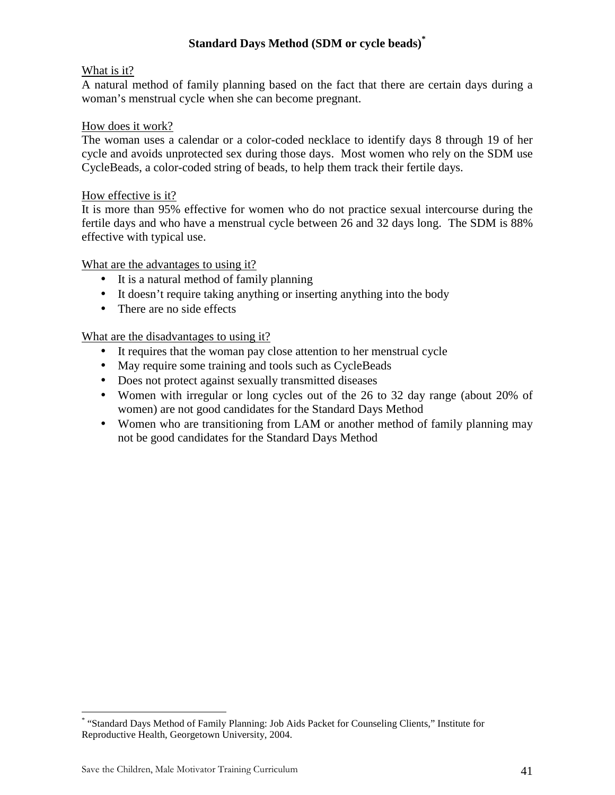## **Standard Days Method (SDM or cycle beads)\***

## What is it?

A natural method of family planning based on the fact that there are certain days during a woman's menstrual cycle when she can become pregnant.

## How does it work?

The woman uses a calendar or a color-coded necklace to identify days 8 through 19 of her cycle and avoids unprotected sex during those days. Most women who rely on the SDM use CycleBeads, a color-coded string of beads, to help them track their fertile days.

## How effective is it?

It is more than 95% effective for women who do not practice sexual intercourse during the fertile days and who have a menstrual cycle between 26 and 32 days long. The SDM is 88% effective with typical use.

## What are the advantages to using it?

- It is a natural method of family planning
- It doesn't require taking anything or inserting anything into the body
- There are no side effects

## What are the disadvantages to using it?

- It requires that the woman pay close attention to her menstrual cycle
- May require some training and tools such as CycleBeads
- Does not protect against sexually transmitted diseases
- Women with irregular or long cycles out of the 26 to 32 day range (about 20% of women) are not good candidates for the Standard Days Method
- Women who are transitioning from LAM or another method of family planning may not be good candidates for the Standard Days Method

<u>.</u>

<sup>\*</sup> "Standard Days Method of Family Planning: Job Aids Packet for Counseling Clients," Institute for Reproductive Health, Georgetown University, 2004.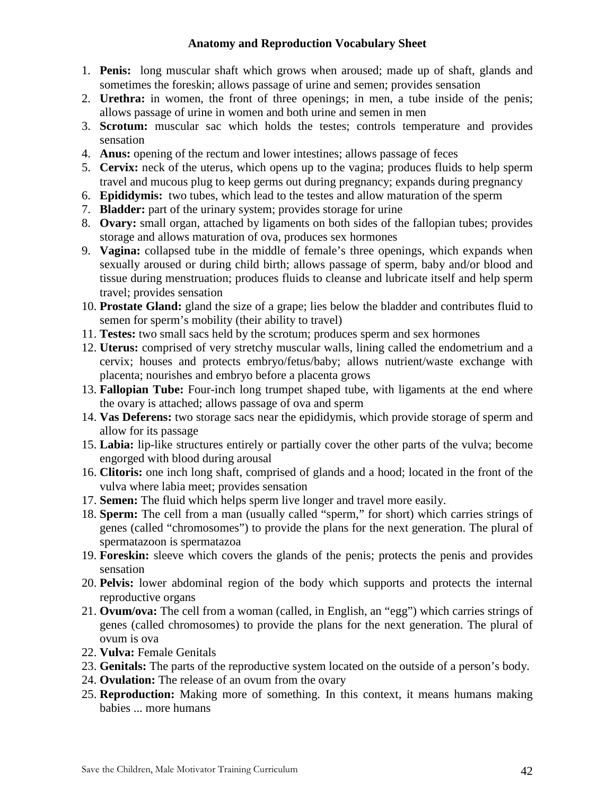## **Anatomy and Reproduction Vocabulary Sheet**

- 1. **Penis:** long muscular shaft which grows when aroused; made up of shaft, glands and sometimes the foreskin; allows passage of urine and semen; provides sensation
- 2. **Urethra:** in women, the front of three openings; in men, a tube inside of the penis; allows passage of urine in women and both urine and semen in men
- 3. **Scrotum:** muscular sac which holds the testes; controls temperature and provides sensation
- 4. **Anus:** opening of the rectum and lower intestines; allows passage of feces
- 5. **Cervix:** neck of the uterus, which opens up to the vagina; produces fluids to help sperm travel and mucous plug to keep germs out during pregnancy; expands during pregnancy
- 6. **Epididymis:** two tubes, which lead to the testes and allow maturation of the sperm
- 7. **Bladder:** part of the urinary system; provides storage for urine
- 8. **Ovary:** small organ, attached by ligaments on both sides of the fallopian tubes; provides storage and allows maturation of ova, produces sex hormones
- 9. **Vagina:** collapsed tube in the middle of female's three openings, which expands when sexually aroused or during child birth; allows passage of sperm, baby and/or blood and tissue during menstruation; produces fluids to cleanse and lubricate itself and help sperm travel; provides sensation
- 10. **Prostate Gland:** gland the size of a grape; lies below the bladder and contributes fluid to semen for sperm's mobility (their ability to travel)
- 11. **Testes:** two small sacs held by the scrotum; produces sperm and sex hormones
- 12. **Uterus:** comprised of very stretchy muscular walls, lining called the endometrium and a cervix; houses and protects embryo/fetus/baby; allows nutrient/waste exchange with placenta; nourishes and embryo before a placenta grows
- 13. **Fallopian Tube:** Four-inch long trumpet shaped tube, with ligaments at the end where the ovary is attached; allows passage of ova and sperm
- 14. **Vas Deferens:** two storage sacs near the epididymis, which provide storage of sperm and allow for its passage
- 15. **Labia:** lip-like structures entirely or partially cover the other parts of the vulva; become engorged with blood during arousal
- 16. **Clitoris:** one inch long shaft, comprised of glands and a hood; located in the front of the vulva where labia meet; provides sensation
- 17. **Semen:** The fluid which helps sperm live longer and travel more easily.
- 18. **Sperm:** The cell from a man (usually called "sperm," for short) which carries strings of genes (called "chromosomes") to provide the plans for the next generation. The plural of spermatazoon is spermatazoa
- 19. **Foreskin:** sleeve which covers the glands of the penis; protects the penis and provides sensation
- 20. **Pelvis:** lower abdominal region of the body which supports and protects the internal reproductive organs
- 21. **Ovum/ova:** The cell from a woman (called, in English, an "egg") which carries strings of genes (called chromosomes) to provide the plans for the next generation. The plural of ovum is ova
- 22. **Vulva:** Female Genitals
- 23. **Genitals:** The parts of the reproductive system located on the outside of a person's body.
- 24. **Ovulation:** The release of an ovum from the ovary
- 25. **Reproduction:** Making more of something. In this context, it means humans making babies ... more humans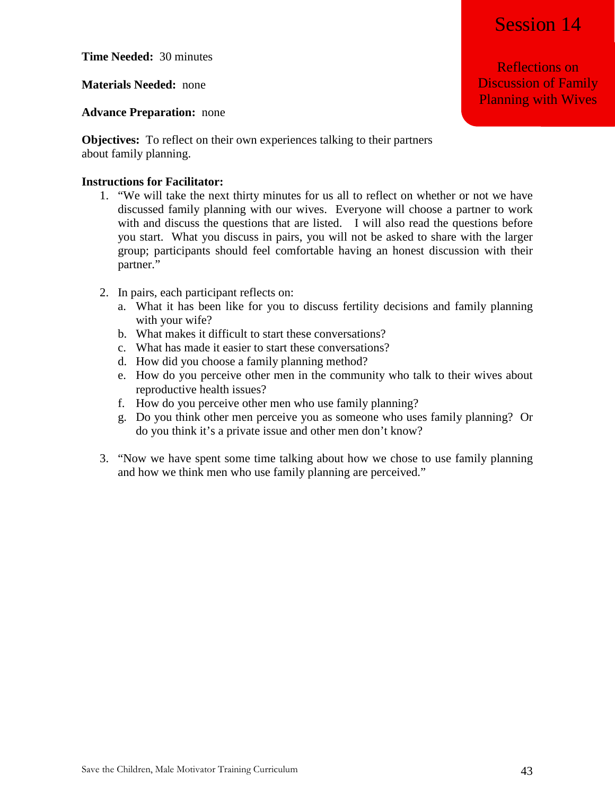**Time Needed:** 30 minutes

**Materials Needed:** none

**Advance Preparation:** none

**Objectives:** To reflect on their own experiences talking to their partners about family planning.

#### **Instructions for Facilitator:**

- 1. "We will take the next thirty minutes for us all to reflect on whether or not we have discussed family planning with our wives. Everyone will choose a partner to work with and discuss the questions that are listed. I will also read the questions before you start. What you discuss in pairs, you will not be asked to share with the larger group; participants should feel comfortable having an honest discussion with their partner."
- 2. In pairs, each participant reflects on:
	- a. What it has been like for you to discuss fertility decisions and family planning with your wife?
	- b. What makes it difficult to start these conversations?
	- c. What has made it easier to start these conversations?
	- d. How did you choose a family planning method?
	- e. How do you perceive other men in the community who talk to their wives about reproductive health issues?
	- f. How do you perceive other men who use family planning?
	- g. Do you think other men perceive you as someone who uses family planning? Or do you think it's a private issue and other men don't know?
- 3. "Now we have spent some time talking about how we chose to use family planning and how we think men who use family planning are perceived."

Reflections on Discussion of Family Planning with Wives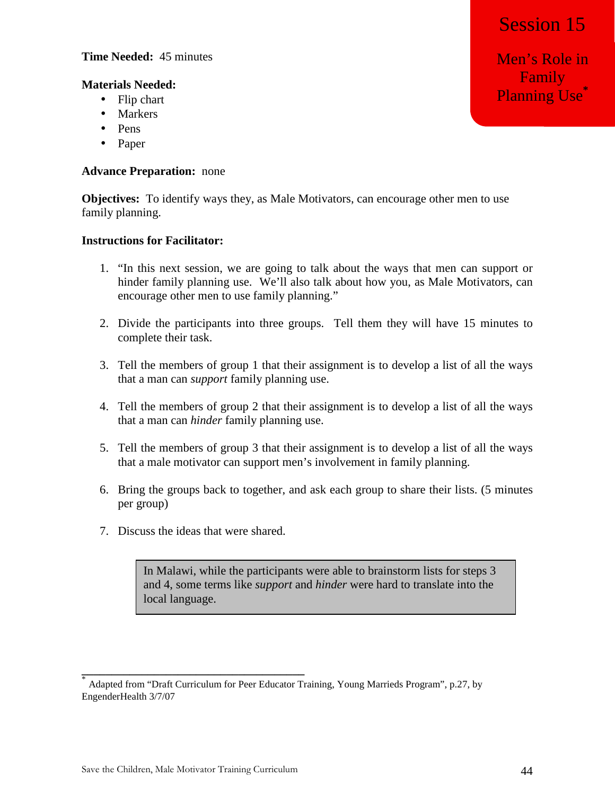Men's Role in Family **Planning Use**<sup>\*</sup>

## **Time Needed:** 45 minutes

## **Materials Needed:**

- Flip chart
- Markers
- Pens
- Paper

## **Advance Preparation:** none

**Objectives:** To identify ways they, as Male Motivators, can encourage other men to use family planning.

## **Instructions for Facilitator:**

- 1. "In this next session, we are going to talk about the ways that men can support or hinder family planning use. We'll also talk about how you, as Male Motivators, can encourage other men to use family planning."
- 2. Divide the participants into three groups. Tell them they will have 15 minutes to complete their task.
- 3. Tell the members of group 1 that their assignment is to develop a list of all the ways that a man can *support* family planning use.
- 4. Tell the members of group 2 that their assignment is to develop a list of all the ways that a man can *hinder* family planning use.
- 5. Tell the members of group 3 that their assignment is to develop a list of all the ways that a male motivator can support men's involvement in family planning.
- 6. Bring the groups back to together, and ask each group to share their lists. (5 minutes per group)
- 7. Discuss the ideas that were shared.

In Malawi, while the participants were able to brainstorm lists for steps 3 and 4, some terms like *support* and *hinder* were hard to translate into the local language.

**\_\_\_\_\_\_\_\_\_\_\_\_\_\_\_\_\_\_\_\_\_\_\_\_\_\_\_\_\_\_\_\_\_\_\_\_\_** 

<sup>\*</sup> Adapted from "Draft Curriculum for Peer Educator Training, Young Marrieds Program", p.27, by EngenderHealth 3/7/07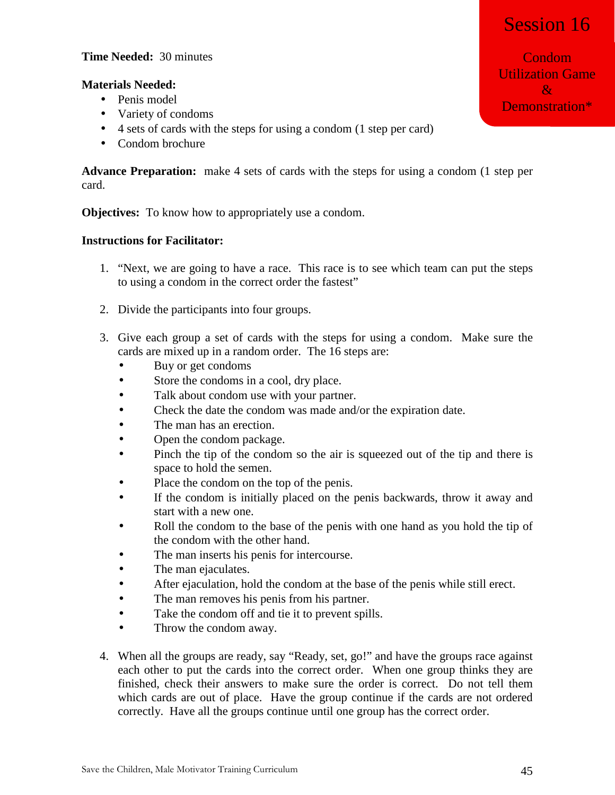# Session 16

## **Time Needed:** 30 minutes

## **Materials Needed:**

- Penis model
- Variety of condoms
- 4 sets of cards with the steps for using a condom (1 step per card)
- Condom brochure

**Advance Preparation:** make 4 sets of cards with the steps for using a condom (1 step per card.

**Objectives:** To know how to appropriately use a condom.

## **Instructions for Facilitator:**

- 1. "Next, we are going to have a race. This race is to see which team can put the steps to using a condom in the correct order the fastest"
- 2. Divide the participants into four groups.
- 3. Give each group a set of cards with the steps for using a condom. Make sure the cards are mixed up in a random order. The 16 steps are:
	- Buy or get condoms
	- Store the condoms in a cool, dry place.
	- Talk about condom use with your partner.
	- Check the date the condom was made and/or the expiration date.
	- The man has an erection.
	- Open the condom package.
	- Pinch the tip of the condom so the air is squeezed out of the tip and there is space to hold the semen.
	- Place the condom on the top of the penis.
	- If the condom is initially placed on the penis backwards, throw it away and start with a new one.
	- Roll the condom to the base of the penis with one hand as you hold the tip of the condom with the other hand.
	- The man inserts his penis for intercourse.
	- The man ejaculates.
	- After ejaculation, hold the condom at the base of the penis while still erect.
	- The man removes his penis from his partner.
	- Take the condom off and tie it to prevent spills.
	- Throw the condom away.
- 4. When all the groups are ready, say "Ready, set, go!" and have the groups race against each other to put the cards into the correct order. When one group thinks they are finished, check their answers to make sure the order is correct. Do not tell them which cards are out of place. Have the group continue if the cards are not ordered correctly. Have all the groups continue until one group has the correct order.

Condom Utilization Game  $R_{\Gamma}$ Demonstration\*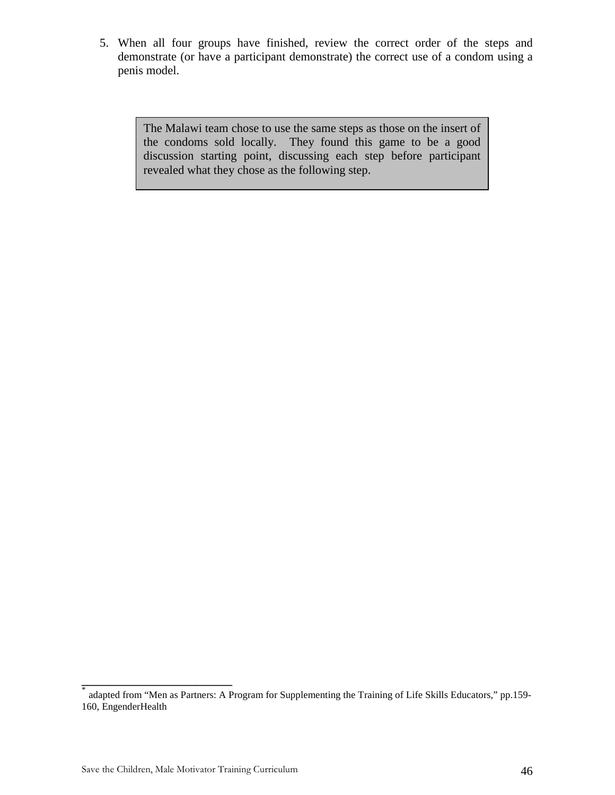5. When all four groups have finished, review the correct order of the steps and demonstrate (or have a participant demonstrate) the correct use of a condom using a penis model.

> The Malawi team chose to use the same steps as those on the insert of the condoms sold locally. They found this game to be a good discussion starting point, discussing each step before participant revealed what they chose as the following step.

**\_\_\_\_\_\_\_\_\_\_\_\_\_\_\_\_\_\_\_\_\_\_\_\_\_** 

<sup>\*</sup> adapted from "Men as Partners: A Program for Supplementing the Training of Life Skills Educators," pp.159- 160, EngenderHealth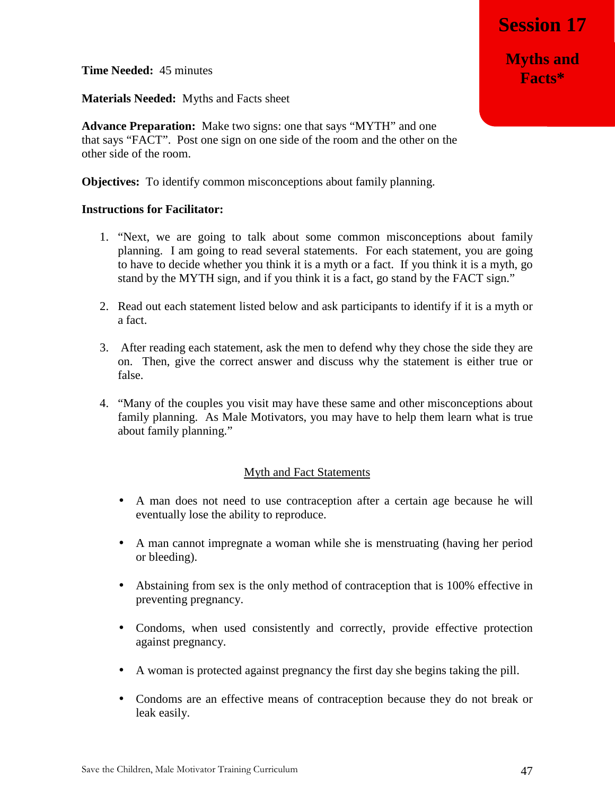**Time Needed:** 45 minutes

**Materials Needed:** Myths and Facts sheet

**Advance Preparation:** Make two signs: one that says "MYTH" and one that says "FACT". Post one sign on one side of the room and the other on the other side of the room.

**Objectives:** To identify common misconceptions about family planning.

#### **Instructions for Facilitator:**

- 1. "Next, we are going to talk about some common misconceptions about family planning. I am going to read several statements. For each statement, you are going to have to decide whether you think it is a myth or a fact. If you think it is a myth, go stand by the MYTH sign, and if you think it is a fact, go stand by the FACT sign."
- 2. Read out each statement listed below and ask participants to identify if it is a myth or a fact.
- 3. After reading each statement, ask the men to defend why they chose the side they are on. Then, give the correct answer and discuss why the statement is either true or false.
- 4. "Many of the couples you visit may have these same and other misconceptions about family planning. As Male Motivators, you may have to help them learn what is true about family planning."

## Myth and Fact Statements

- A man does not need to use contraception after a certain age because he will eventually lose the ability to reproduce.
- A man cannot impregnate a woman while she is menstruating (having her period or bleeding).
- Abstaining from sex is the only method of contraception that is 100% effective in preventing pregnancy.
- Condoms, when used consistently and correctly, provide effective protection against pregnancy.
- A woman is protected against pregnancy the first day she begins taking the pill.
- Condoms are an effective means of contraception because they do not break or leak easily.

**Myths and Facts\***

**Session 17**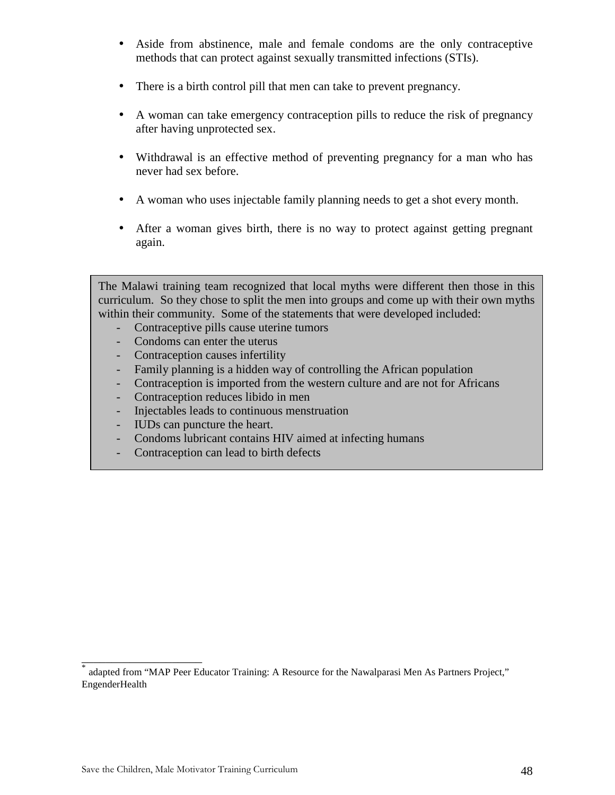- Aside from abstinence, male and female condoms are the only contraceptive methods that can protect against sexually transmitted infections (STIs).
- There is a birth control pill that men can take to prevent pregnancy.
- A woman can take emergency contraception pills to reduce the risk of pregnancy after having unprotected sex.
- Withdrawal is an effective method of preventing pregnancy for a man who has never had sex before.
- A woman who uses injectable family planning needs to get a shot every month.
- After a woman gives birth, there is no way to protect against getting pregnant again.

The Malawi training team recognized that local myths were different then those in this curriculum. So they chose to split the men into groups and come up with their own myths within their community. Some of the statements that were developed included:

- Contraceptive pills cause uterine tumors
- Condoms can enter the uterus
- Contraception causes infertility
- Family planning is a hidden way of controlling the African population
- Contraception is imported from the western culture and are not for Africans
- Contraception reduces libido in men
- Injectables leads to continuous menstruation
- IUDs can puncture the heart.
- Condoms lubricant contains HIV aimed at infecting humans
- Contraception can lead to birth defects

\_\_\_\_\_\_\_\_\_\_\_\_\_\_\_\_\_\_\_\_

<sup>\*</sup> adapted from "MAP Peer Educator Training: A Resource for the Nawalparasi Men As Partners Project," EngenderHealth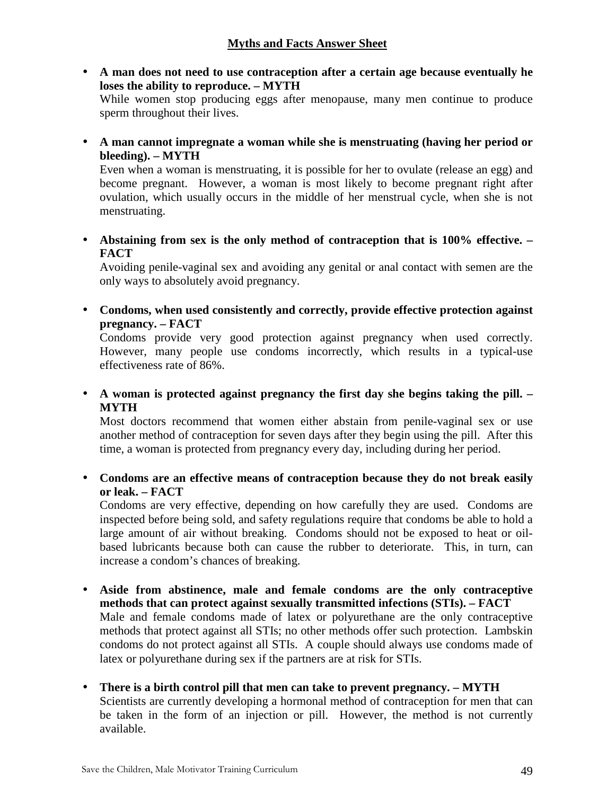## **Myths and Facts Answer Sheet**

• **A man does not need to use contraception after a certain age because eventually he loses the ability to reproduce. – MYTH** 

While women stop producing eggs after menopause, many men continue to produce sperm throughout their lives.

• **A man cannot impregnate a woman while she is menstruating (having her period or bleeding). – MYTH** 

Even when a woman is menstruating, it is possible for her to ovulate (release an egg) and become pregnant. However, a woman is most likely to become pregnant right after ovulation, which usually occurs in the middle of her menstrual cycle, when she is not menstruating.

• **Abstaining from sex is the only method of contraception that is 100% effective. – FACT** 

Avoiding penile-vaginal sex and avoiding any genital or anal contact with semen are the only ways to absolutely avoid pregnancy.

• **Condoms, when used consistently and correctly, provide effective protection against pregnancy. – FACT** 

Condoms provide very good protection against pregnancy when used correctly. However, many people use condoms incorrectly, which results in a typical-use effectiveness rate of 86%.

• **A woman is protected against pregnancy the first day she begins taking the pill. – MYTH** 

Most doctors recommend that women either abstain from penile-vaginal sex or use another method of contraception for seven days after they begin using the pill. After this time, a woman is protected from pregnancy every day, including during her period.

• **Condoms are an effective means of contraception because they do not break easily or leak. – FACT** 

Condoms are very effective, depending on how carefully they are used. Condoms are inspected before being sold, and safety regulations require that condoms be able to hold a large amount of air without breaking. Condoms should not be exposed to heat or oilbased lubricants because both can cause the rubber to deteriorate. This, in turn, can increase a condom's chances of breaking.

- **Aside from abstinence, male and female condoms are the only contraceptive methods that can protect against sexually transmitted infections (STIs). – FACT**  Male and female condoms made of latex or polyurethane are the only contraceptive methods that protect against all STIs; no other methods offer such protection. Lambskin condoms do not protect against all STIs. A couple should always use condoms made of latex or polyurethane during sex if the partners are at risk for STIs.
- **There is a birth control pill that men can take to prevent pregnancy. MYTH**  Scientists are currently developing a hormonal method of contraception for men that can be taken in the form of an injection or pill. However, the method is not currently available.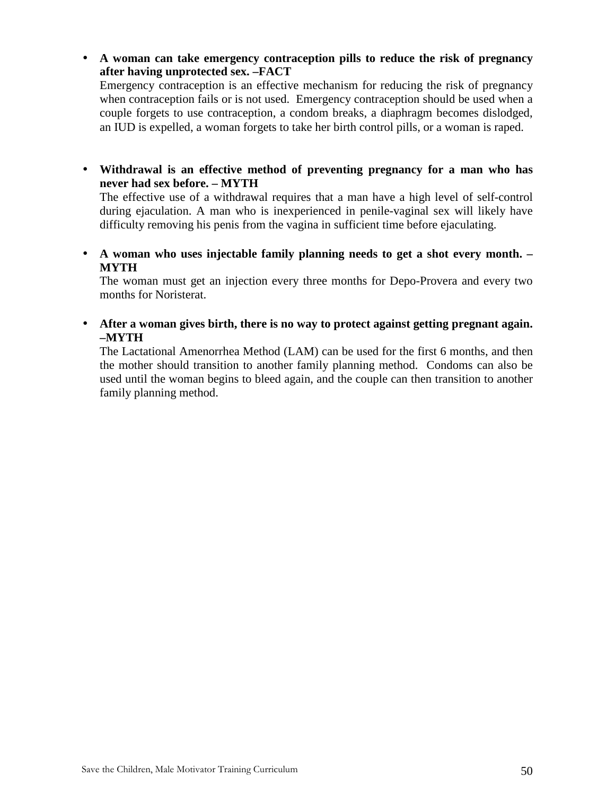- **A woman can take emergency contraception pills to reduce the risk of pregnancy after having unprotected sex. –FACT**  Emergency contraception is an effective mechanism for reducing the risk of pregnancy when contraception fails or is not used. Emergency contraception should be used when a couple forgets to use contraception, a condom breaks, a diaphragm becomes dislodged, an IUD is expelled, a woman forgets to take her birth control pills, or a woman is raped.
- **Withdrawal is an effective method of preventing pregnancy for a man who has never had sex before. – MYTH**

The effective use of a withdrawal requires that a man have a high level of self-control during ejaculation. A man who is inexperienced in penile-vaginal sex will likely have difficulty removing his penis from the vagina in sufficient time before ejaculating.

• **A woman who uses injectable family planning needs to get a shot every month. – MYTH** 

The woman must get an injection every three months for Depo-Provera and every two months for Noristerat.

• **After a woman gives birth, there is no way to protect against getting pregnant again. –MYTH** 

The Lactational Amenorrhea Method (LAM) can be used for the first 6 months, and then the mother should transition to another family planning method. Condoms can also be used until the woman begins to bleed again, and the couple can then transition to another family planning method.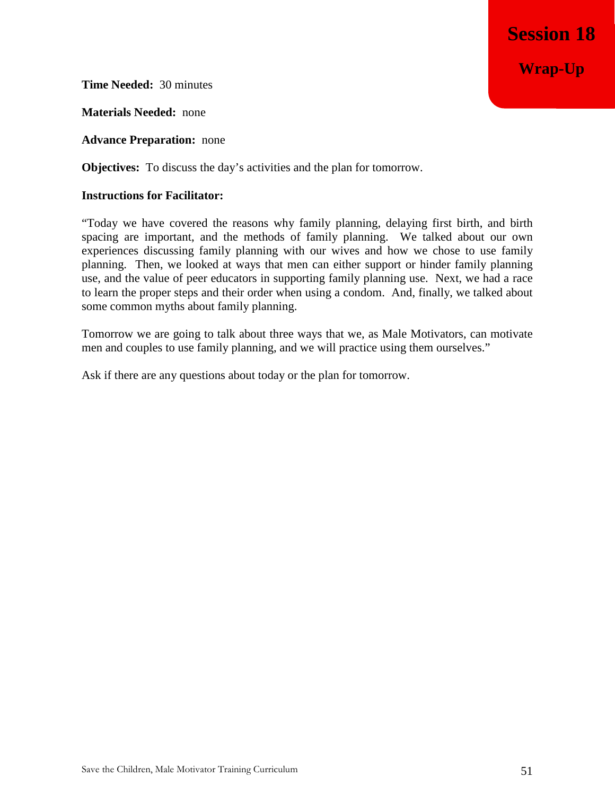**Session 18 Wrap-Up**

**Time Needed:** 30 minutes

**Materials Needed:** none

**Advance Preparation:** none

**Objectives:** To discuss the day's activities and the plan for tomorrow.

## **Instructions for Facilitator:**

"Today we have covered the reasons why family planning, delaying first birth, and birth spacing are important, and the methods of family planning. We talked about our own experiences discussing family planning with our wives and how we chose to use family planning. Then, we looked at ways that men can either support or hinder family planning use, and the value of peer educators in supporting family planning use. Next, we had a race to learn the proper steps and their order when using a condom. And, finally, we talked about some common myths about family planning.

Tomorrow we are going to talk about three ways that we, as Male Motivators, can motivate men and couples to use family planning, and we will practice using them ourselves."

Ask if there are any questions about today or the plan for tomorrow.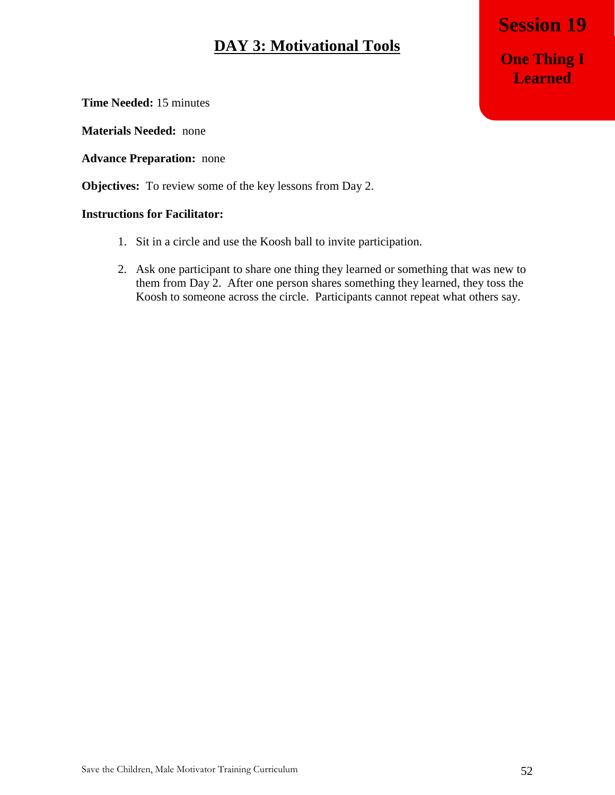## **DAY 3: Motivational Tools**

**Session 17 Session 19 One Thing I Learned** 

**Time Needed:** 15 minutes

**Materials Needed:** none

**Advance Preparation:** none

**Objectives:** To review some of the key lessons from Day 2.

- 1. Sit in a circle and use the Koosh ball to invite participation.
- 2. Ask one participant to share one thing they learned or something that was new to them from Day 2. After one person shares something they learned, they toss the Koosh to someone across the circle. Participants cannot repeat what others say.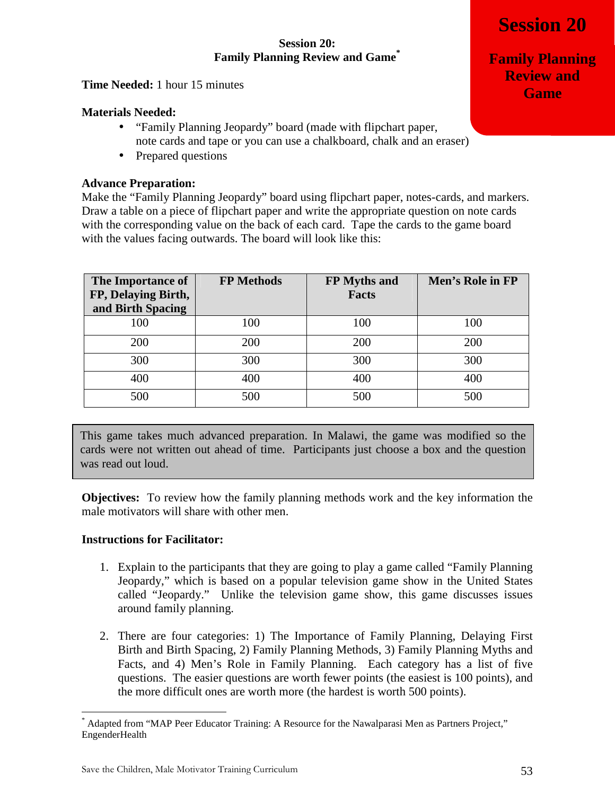## **Session 20: Family Planning Review and Game\***

**Time Needed:** 1 hour 15 minutes

## **Materials Needed:**

- "Family Planning Jeopardy" board (made with flipchart paper, note cards and tape or you can use a chalkboard, chalk and an eraser)
- Prepared questions

## **Advance Preparation:**

Make the "Family Planning Jeopardy" board using flipchart paper, notes-cards, and markers. Draw a table on a piece of flipchart paper and write the appropriate question on note cards with the corresponding value on the back of each card. Tape the cards to the game board with the values facing outwards. The board will look like this:

| The Importance of   | <b>FP Methods</b> | FP Myths and | Men's Role in FP |
|---------------------|-------------------|--------------|------------------|
| FP, Delaying Birth, |                   | <b>Facts</b> |                  |
| and Birth Spacing   |                   |              |                  |
| 100                 | 100               | 100          | 100              |
| 200                 | 200               | 200          | 200              |
| 300                 | 300               | 300          | 300              |
| 400                 | 400               | 400          | 400              |
| 500                 | 500               | 500          | 500              |

This game takes much advanced preparation. In Malawi, the game was modified so the cards were not written out ahead of time. Participants just choose a box and the question was read out loud.

**Objectives:** To review how the family planning methods work and the key information the male motivators will share with other men.

## **Instructions for Facilitator:**

<u>.</u>

- 1. Explain to the participants that they are going to play a game called "Family Planning Jeopardy," which is based on a popular television game show in the United States called "Jeopardy." Unlike the television game show, this game discusses issues around family planning.
- 2. There are four categories: 1) The Importance of Family Planning, Delaying First Birth and Birth Spacing, 2) Family Planning Methods, 3) Family Planning Myths and Facts, and 4) Men's Role in Family Planning. Each category has a list of five questions. The easier questions are worth fewer points (the easiest is 100 points), and the more difficult ones are worth more (the hardest is worth 500 points).

**Family Planning Review and Game**

<sup>\*</sup> Adapted from "MAP Peer Educator Training: A Resource for the Nawalparasi Men as Partners Project," EngenderHealth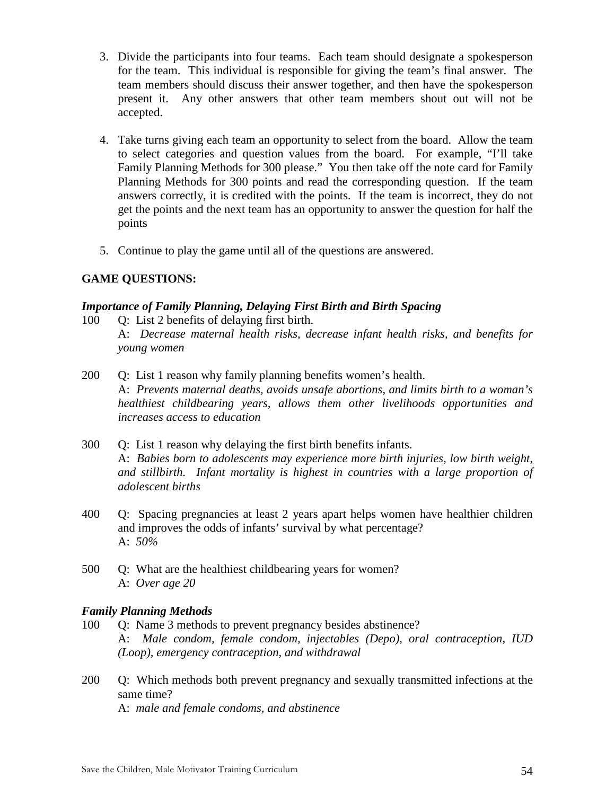- 3. Divide the participants into four teams. Each team should designate a spokesperson for the team. This individual is responsible for giving the team's final answer. The team members should discuss their answer together, and then have the spokesperson present it. Any other answers that other team members shout out will not be accepted.
- 4. Take turns giving each team an opportunity to select from the board. Allow the team to select categories and question values from the board. For example, "I'll take Family Planning Methods for 300 please." You then take off the note card for Family Planning Methods for 300 points and read the corresponding question. If the team answers correctly, it is credited with the points. If the team is incorrect, they do not get the points and the next team has an opportunity to answer the question for half the points
- 5. Continue to play the game until all of the questions are answered.

## **GAME QUESTIONS:**

## *Importance of Family Planning, Delaying First Birth and Birth Spacing*

- 100 Q: List 2 benefits of delaying first birth. A: *Decrease maternal health risks, decrease infant health risks, and benefits for young women*
- 200 Q: List 1 reason why family planning benefits women's health. A: *Prevents maternal deaths, avoids unsafe abortions, and limits birth to a woman's healthiest childbearing years, allows them other livelihoods opportunities and increases access to education*
- 300 Q: List 1 reason why delaying the first birth benefits infants. A: *Babies born to adolescents may experience more birth injuries, low birth weight, and stillbirth. Infant mortality is highest in countries with a large proportion of adolescent births*
- 400 Q: Spacing pregnancies at least 2 years apart helps women have healthier children and improves the odds of infants' survival by what percentage? A: *50%*
- 500 Q: What are the healthiest childbearing years for women? A: *Over age 20*

## *Family Planning Methods*

- 100 Q: Name 3 methods to prevent pregnancy besides abstinence? A: *Male condom, female condom, injectables (Depo), oral contraception, IUD (Loop), emergency contraception, and withdrawal*
- 200 Q: Which methods both prevent pregnancy and sexually transmitted infections at the same time?

A: *male and female condoms, and abstinence*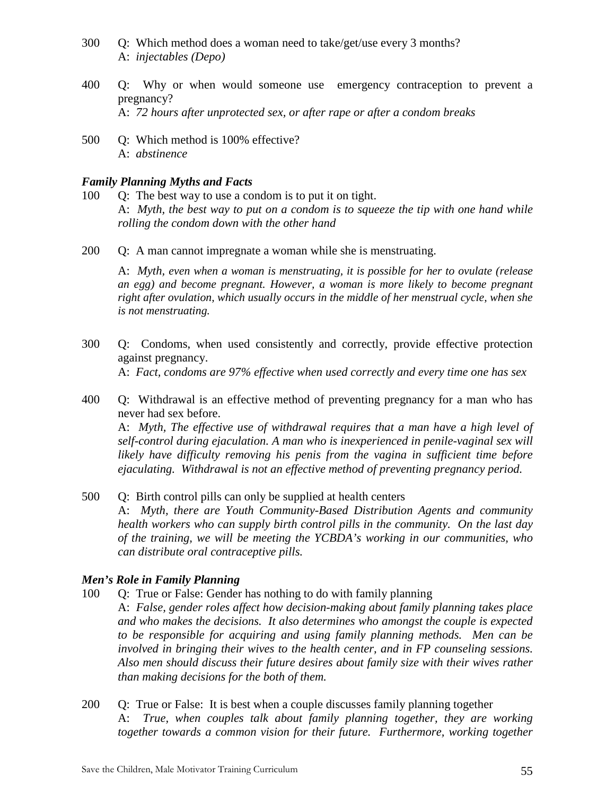- 300 Q: Which method does a woman need to take/get/use every 3 months? A: *injectables (Depo)*
- 400 Q: Why or when would someone use emergency contraception to prevent a pregnancy? A: *72 hours after unprotected sex, or after rape or after a condom breaks*
- 500 Q: Which method is 100% effective? A: *abstinence*

## *Family Planning Myths and Facts*

200 Q: A man cannot impregnate a woman while she is menstruating.

A: *Myth, even when a woman is menstruating, it is possible for her to ovulate (release an egg) and become pregnant. However, a woman is more likely to become pregnant right after ovulation, which usually occurs in the middle of her menstrual cycle, when she is not menstruating.*

- 300 Q: Condoms, when used consistently and correctly, provide effective protection against pregnancy. A: *Fact, condoms are 97% effective when used correctly and every time one has sex*
- 400 Q: Withdrawal is an effective method of preventing pregnancy for a man who has never had sex before.

A: *Myth, The effective use of withdrawal requires that a man have a high level of self-control during ejaculation. A man who is inexperienced in penile-vaginal sex will likely have difficulty removing his penis from the vagina in sufficient time before ejaculating. Withdrawal is not an effective method of preventing pregnancy period.*

500 Q: Birth control pills can only be supplied at health centers A: *Myth, there are Youth Community-Based Distribution Agents and community* 

*health workers who can supply birth control pills in the community. On the last day of the training, we will be meeting the YCBDA's working in our communities, who can distribute oral contraceptive pills.* 

## *Men's Role in Family Planning*

- 100 Q: True or False: Gender has nothing to do with family planning
	- A: *False, gender roles affect how decision-making about family planning takes place and who makes the decisions. It also determines who amongst the couple is expected to be responsible for acquiring and using family planning methods. Men can be involved in bringing their wives to the health center, and in FP counseling sessions. Also men should discuss their future desires about family size with their wives rather than making decisions for the both of them.*
- 200 Q: True or False: It is best when a couple discusses family planning together A: *True, when couples talk about family planning together, they are working*  together towards a common vision for their future. Furthermore, working together

<sup>100</sup> Q: The best way to use a condom is to put it on tight. A: *Myth, the best way to put on a condom is to squeeze the tip with one hand while rolling the condom down with the other hand*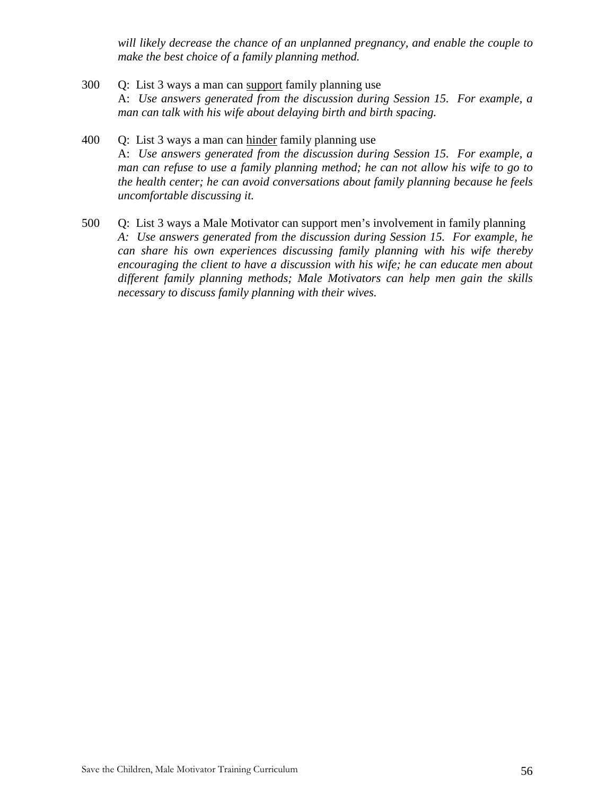*will likely decrease the chance of an unplanned pregnancy, and enable the couple to make the best choice of a family planning method.*

- 300 Q: List 3 ways a man can support family planning use A: *Use answers generated from the discussion during Session 15. For example, a man can talk with his wife about delaying birth and birth spacing.*
- 400 Q: List 3 ways a man can hinder family planning use A: *Use answers generated from the discussion during Session 15. For example, a man can refuse to use a family planning method; he can not allow his wife to go to the health center; he can avoid conversations about family planning because he feels uncomfortable discussing it.*
- 500 Q: List 3 ways a Male Motivator can support men's involvement in family planning *A: Use answers generated from the discussion during Session 15. For example, he can share his own experiences discussing family planning with his wife thereby encouraging the client to have a discussion with his wife; he can educate men about different family planning methods; Male Motivators can help men gain the skills necessary to discuss family planning with their wives.*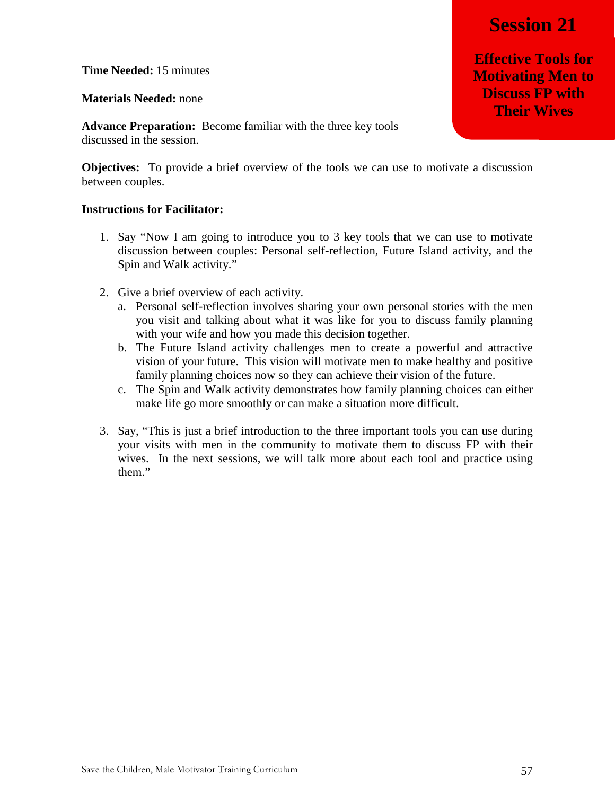**Session 21** 

**Effective Tools for Motivating Men to Discuss FP with Their Wives**

**Time Needed:** 15 minutes

**Materials Needed:** none

**Advance Preparation:** Become familiar with the three key tools discussed in the session.

**Objectives:** To provide a brief overview of the tools we can use to motivate a discussion between couples.

- 1. Say "Now I am going to introduce you to 3 key tools that we can use to motivate discussion between couples: Personal self-reflection, Future Island activity, and the Spin and Walk activity."
- 2. Give a brief overview of each activity.
	- a. Personal self-reflection involves sharing your own personal stories with the men you visit and talking about what it was like for you to discuss family planning with your wife and how you made this decision together.
	- b. The Future Island activity challenges men to create a powerful and attractive vision of your future. This vision will motivate men to make healthy and positive family planning choices now so they can achieve their vision of the future.
	- c. The Spin and Walk activity demonstrates how family planning choices can either make life go more smoothly or can make a situation more difficult.
- 3. Say, "This is just a brief introduction to the three important tools you can use during your visits with men in the community to motivate them to discuss FP with their wives. In the next sessions, we will talk more about each tool and practice using them."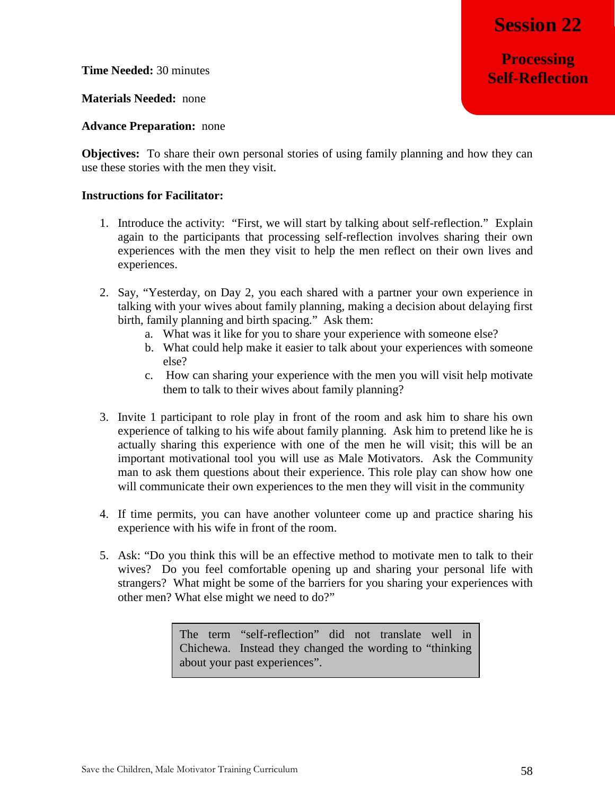**Processing Self-Reflection**

**Time Needed:** 30 minutes

**Materials Needed:** none

**Advance Preparation:** none

**Objectives:** To share their own personal stories of using family planning and how they can use these stories with the men they visit.

## **Instructions for Facilitator:**

- 1. Introduce the activity: "First, we will start by talking about self-reflection." Explain again to the participants that processing self-reflection involves sharing their own experiences with the men they visit to help the men reflect on their own lives and experiences.
- 2. Say, "Yesterday, on Day 2, you each shared with a partner your own experience in talking with your wives about family planning, making a decision about delaying first birth, family planning and birth spacing." Ask them:
	- a. What was it like for you to share your experience with someone else?
	- b. What could help make it easier to talk about your experiences with someone else?
	- c. How can sharing your experience with the men you will visit help motivate them to talk to their wives about family planning?
- 3. Invite 1 participant to role play in front of the room and ask him to share his own experience of talking to his wife about family planning. Ask him to pretend like he is actually sharing this experience with one of the men he will visit; this will be an important motivational tool you will use as Male Motivators. Ask the Community man to ask them questions about their experience. This role play can show how one will communicate their own experiences to the men they will visit in the community
- 4. If time permits, you can have another volunteer come up and practice sharing his experience with his wife in front of the room.
- 5. Ask: "Do you think this will be an effective method to motivate men to talk to their wives? Do you feel comfortable opening up and sharing your personal life with strangers? What might be some of the barriers for you sharing your experiences with other men? What else might we need to do?"

The term "self-reflection" did not translate well in Chichewa. Instead they changed the wording to "thinking about your past experiences".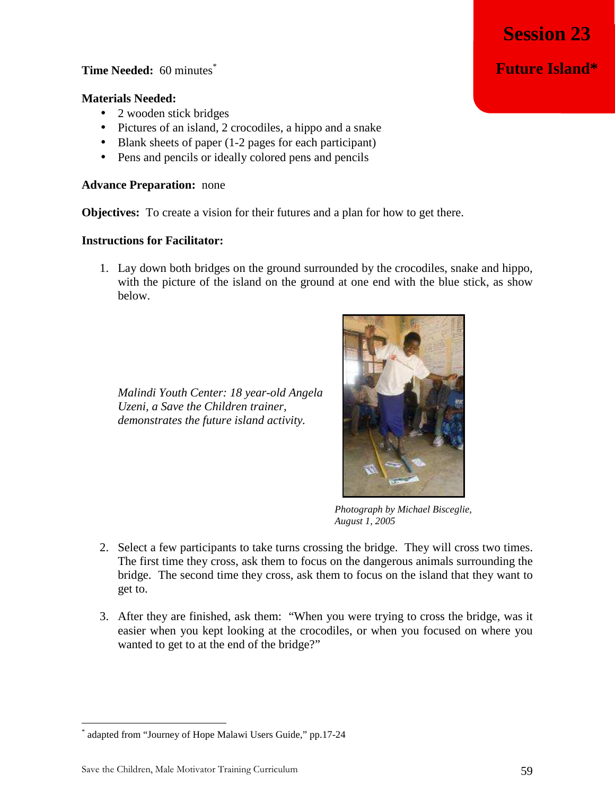## **Time Needed:** 60 minutes<sup>\*</sup>

#### **Materials Needed:**

- 2 wooden stick bridges
- Pictures of an island, 2 crocodiles, a hippo and a snake
- Blank sheets of paper (1-2 pages for each participant)
- Pens and pencils or ideally colored pens and pencils

## **Advance Preparation:** none

**Objectives:** To create a vision for their futures and a plan for how to get there.

## **Instructions for Facilitator:**

1. Lay down both bridges on the ground surrounded by the crocodiles, snake and hippo, with the picture of the island on the ground at one end with the blue stick, as show below.

*Malindi Youth Center: 18 year-old Angela Uzeni, a Save the Children trainer, demonstrates the future island activity.* 

\* adapted from "Journey of Hope Malawi Users Guide," pp.17-24

<u>.</u>



*Photograph by Michael Bisceglie, August 1, 2005* 

- 2. Select a few participants to take turns crossing the bridge. They will cross two times. The first time they cross, ask them to focus on the dangerous animals surrounding the bridge. The second time they cross, ask them to focus on the island that they want to get to.
- 3. After they are finished, ask them: "When you were trying to cross the bridge, was it easier when you kept looking at the crocodiles, or when you focused on where you wanted to get to at the end of the bridge?"

**Session 23** 

**Future Island\***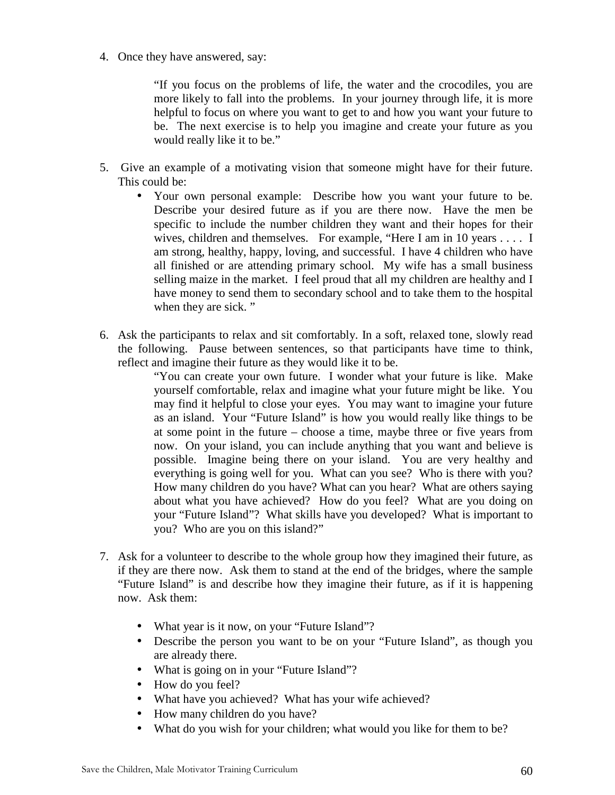4. Once they have answered, say:

"If you focus on the problems of life, the water and the crocodiles, you are more likely to fall into the problems. In your journey through life, it is more helpful to focus on where you want to get to and how you want your future to be. The next exercise is to help you imagine and create your future as you would really like it to be."

- 5. Give an example of a motivating vision that someone might have for their future. This could be:
	- Your own personal example: Describe how you want your future to be. Describe your desired future as if you are there now. Have the men be specific to include the number children they want and their hopes for their wives, children and themselves. For example, "Here I am in 10 years . . . . I am strong, healthy, happy, loving, and successful. I have 4 children who have all finished or are attending primary school. My wife has a small business selling maize in the market. I feel proud that all my children are healthy and I have money to send them to secondary school and to take them to the hospital when they are sick."
- 6. Ask the participants to relax and sit comfortably. In a soft, relaxed tone, slowly read the following. Pause between sentences, so that participants have time to think, reflect and imagine their future as they would like it to be.

"You can create your own future. I wonder what your future is like. Make yourself comfortable, relax and imagine what your future might be like. You may find it helpful to close your eyes. You may want to imagine your future as an island. Your "Future Island" is how you would really like things to be at some point in the future – choose a time, maybe three or five years from now. On your island, you can include anything that you want and believe is possible. Imagine being there on your island. You are very healthy and everything is going well for you. What can you see? Who is there with you? How many children do you have? What can you hear? What are others saying about what you have achieved? How do you feel? What are you doing on your "Future Island"? What skills have you developed? What is important to you? Who are you on this island?"

- 7. Ask for a volunteer to describe to the whole group how they imagined their future, as if they are there now. Ask them to stand at the end of the bridges, where the sample "Future Island" is and describe how they imagine their future, as if it is happening now. Ask them:
	- What year is it now, on your "Future Island"?
	- Describe the person you want to be on your "Future Island", as though you are already there.
	- What is going on in your "Future Island"?
	- How do you feel?
	- What have you achieved? What has your wife achieved?
	- How many children do you have?
	- What do you wish for your children; what would you like for them to be?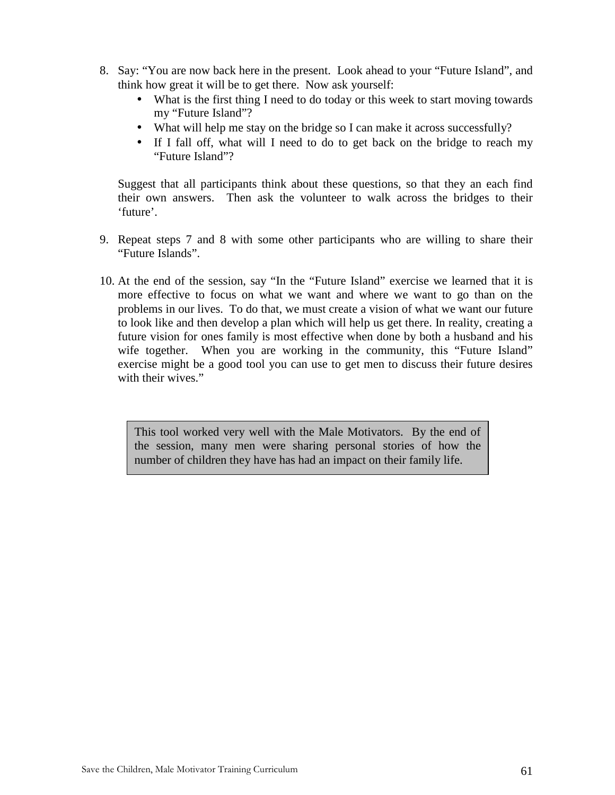- 8. Say: "You are now back here in the present. Look ahead to your "Future Island", and think how great it will be to get there. Now ask yourself:
	- What is the first thing I need to do today or this week to start moving towards my "Future Island"?
	- What will help me stay on the bridge so I can make it across successfully?
	- If I fall off, what will I need to do to get back on the bridge to reach my "Future Island"?

Suggest that all participants think about these questions, so that they an each find their own answers. Then ask the volunteer to walk across the bridges to their 'future'.

- 9. Repeat steps 7 and 8 with some other participants who are willing to share their "Future Islands".
- 10. At the end of the session, say "In the "Future Island" exercise we learned that it is more effective to focus on what we want and where we want to go than on the problems in our lives. To do that, we must create a vision of what we want our future to look like and then develop a plan which will help us get there. In reality, creating a future vision for ones family is most effective when done by both a husband and his wife together. When you are working in the community, this "Future Island" exercise might be a good tool you can use to get men to discuss their future desires with their wives."

This tool worked very well with the Male Motivators. By the end of the session, many men were sharing personal stories of how the number of children they have has had an impact on their family life.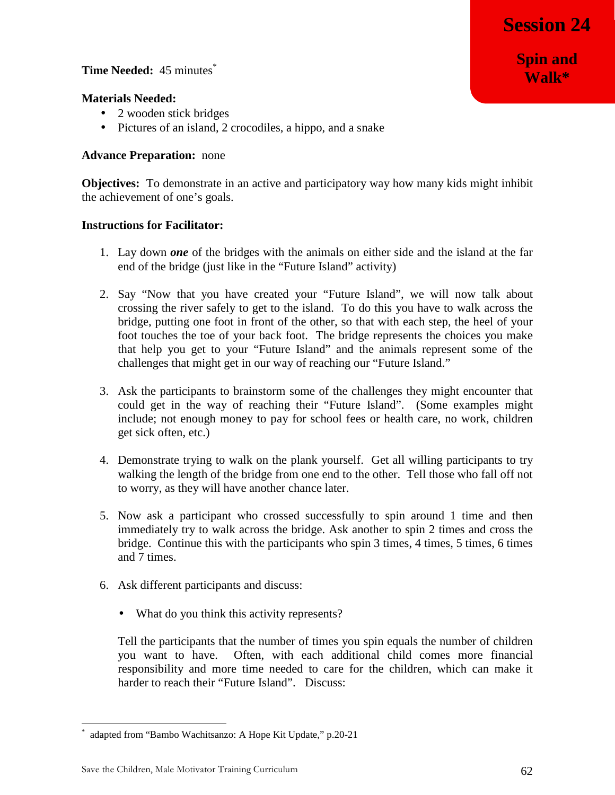**Spin and Walk\***

## **Time Needed:** 45 minutes<sup>\*</sup>

## **Materials Needed:**

- 2 wooden stick bridges
- Pictures of an island, 2 crocodiles, a hippo, and a snake

## **Advance Preparation:** none

**Objectives:** To demonstrate in an active and participatory way how many kids might inhibit the achievement of one's goals.

#### **Instructions for Facilitator:**

- 1. Lay down *one* of the bridges with the animals on either side and the island at the far end of the bridge (just like in the "Future Island" activity)
- 2. Say "Now that you have created your "Future Island", we will now talk about crossing the river safely to get to the island. To do this you have to walk across the bridge, putting one foot in front of the other, so that with each step, the heel of your foot touches the toe of your back foot. The bridge represents the choices you make that help you get to your "Future Island" and the animals represent some of the challenges that might get in our way of reaching our "Future Island."
- 3. Ask the participants to brainstorm some of the challenges they might encounter that could get in the way of reaching their "Future Island". (Some examples might include; not enough money to pay for school fees or health care, no work, children get sick often, etc.)
- 4. Demonstrate trying to walk on the plank yourself. Get all willing participants to try walking the length of the bridge from one end to the other. Tell those who fall off not to worry, as they will have another chance later.
- 5. Now ask a participant who crossed successfully to spin around 1 time and then immediately try to walk across the bridge. Ask another to spin 2 times and cross the bridge. Continue this with the participants who spin 3 times, 4 times, 5 times, 6 times and 7 times.
- 6. Ask different participants and discuss:
	- What do you think this activity represents?

Tell the participants that the number of times you spin equals the number of children you want to have. Often, with each additional child comes more financial responsibility and more time needed to care for the children, which can make it harder to reach their "Future Island". Discuss:

<u>.</u>

<sup>\*</sup> adapted from "Bambo Wachitsanzo: A Hope Kit Update," p.20-21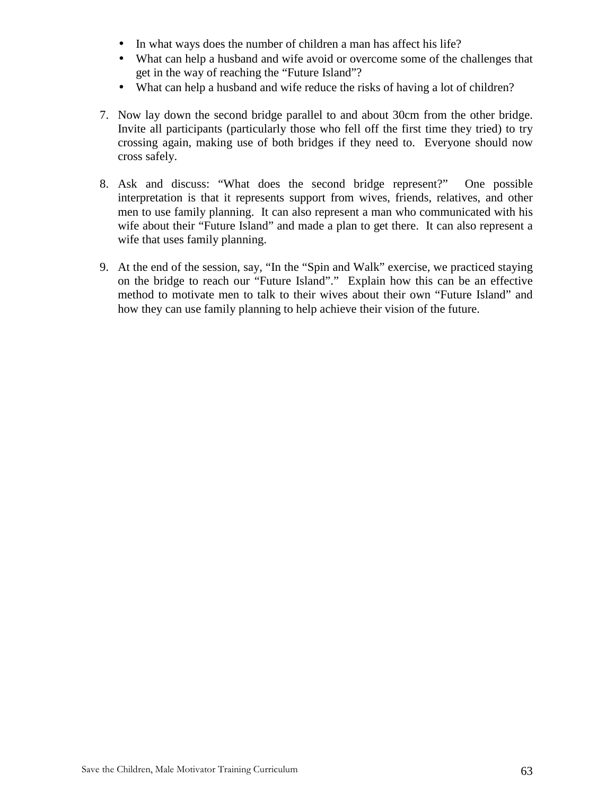- In what ways does the number of children a man has affect his life?
- What can help a husband and wife avoid or overcome some of the challenges that get in the way of reaching the "Future Island"?
- What can help a husband and wife reduce the risks of having a lot of children?
- 7. Now lay down the second bridge parallel to and about 30cm from the other bridge. Invite all participants (particularly those who fell off the first time they tried) to try crossing again, making use of both bridges if they need to. Everyone should now cross safely.
- 8. Ask and discuss: "What does the second bridge represent?" One possible interpretation is that it represents support from wives, friends, relatives, and other men to use family planning. It can also represent a man who communicated with his wife about their "Future Island" and made a plan to get there. It can also represent a wife that uses family planning.
- 9. At the end of the session, say, "In the "Spin and Walk" exercise, we practiced staying on the bridge to reach our "Future Island"." Explain how this can be an effective method to motivate men to talk to their wives about their own "Future Island" and how they can use family planning to help achieve their vision of the future.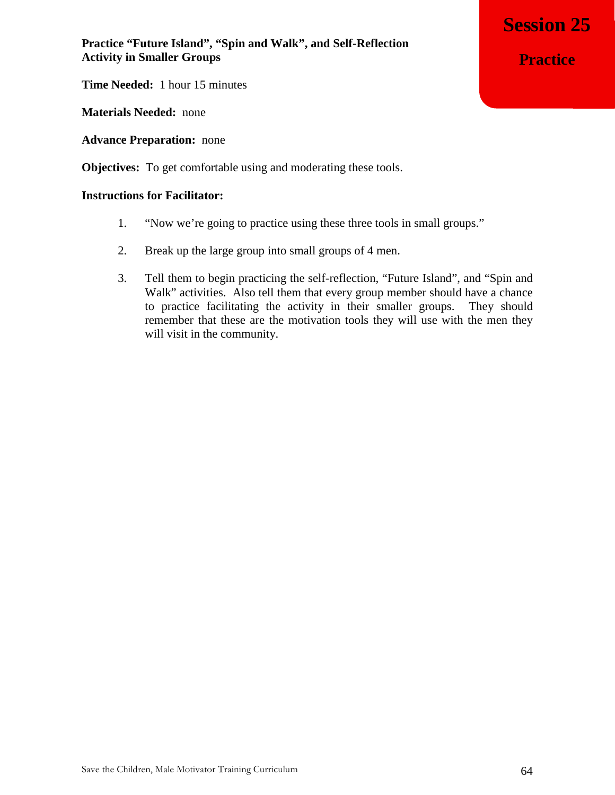**Time Needed:** 1 hour 15 minutes

**Materials Needed:** none

**Advance Preparation:** none

**Objectives:** To get comfortable using and moderating these tools.

## **Instructions for Facilitator:**

- 1. "Now we're going to practice using these three tools in small groups."
- 2. Break up the large group into small groups of 4 men.
- 3. Tell them to begin practicing the self-reflection, "Future Island", and "Spin and Walk" activities. Also tell them that every group member should have a chance to practice facilitating the activity in their smaller groups. They should remember that these are the motivation tools they will use with the men they will visit in the community.

**Session 25 Practice**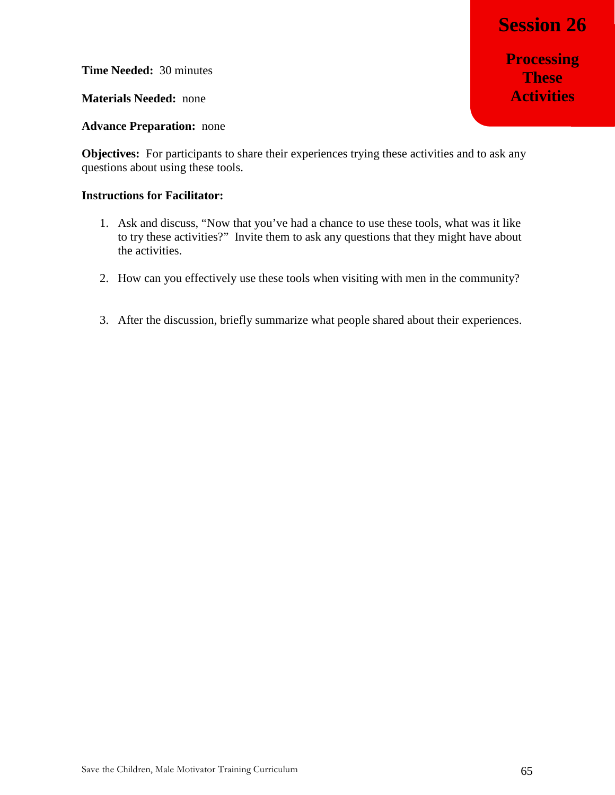**Processing These Activities**

**Time Needed:** 30 minutes

**Materials Needed:** none

**Advance Preparation:** none

**Objectives:** For participants to share their experiences trying these activities and to ask any questions about using these tools.

- 1. Ask and discuss, "Now that you've had a chance to use these tools, what was it like to try these activities?" Invite them to ask any questions that they might have about the activities.
- 2. How can you effectively use these tools when visiting with men in the community?
- 3. After the discussion, briefly summarize what people shared about their experiences.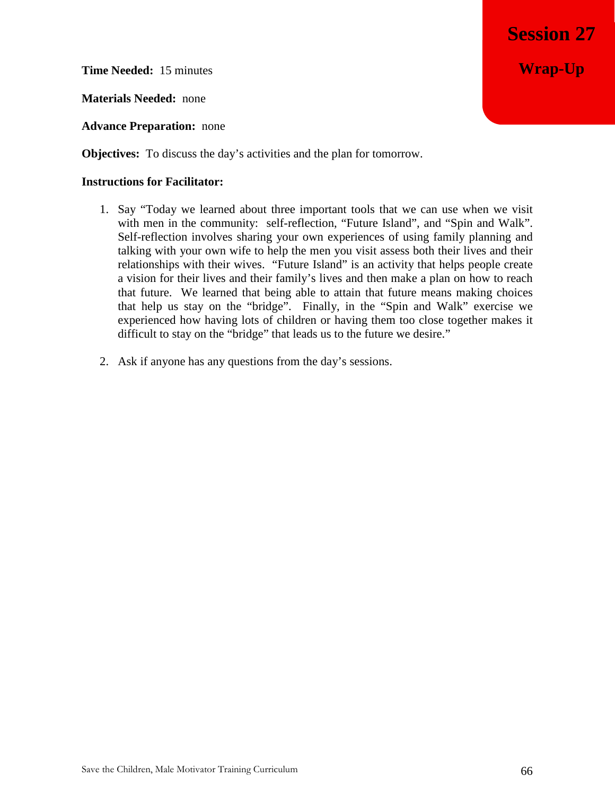**Time Needed:** 15 minutes

**Materials Needed:** none

**Advance Preparation:** none

**Objectives:** To discuss the day's activities and the plan for tomorrow.

- 1. Say "Today we learned about three important tools that we can use when we visit with men in the community: self-reflection, "Future Island", and "Spin and Walk". Self-reflection involves sharing your own experiences of using family planning and talking with your own wife to help the men you visit assess both their lives and their relationships with their wives. "Future Island" is an activity that helps people create a vision for their lives and their family's lives and then make a plan on how to reach that future. We learned that being able to attain that future means making choices that help us stay on the "bridge". Finally, in the "Spin and Walk" exercise we experienced how having lots of children or having them too close together makes it difficult to stay on the "bridge" that leads us to the future we desire."
- 2. Ask if anyone has any questions from the day's sessions.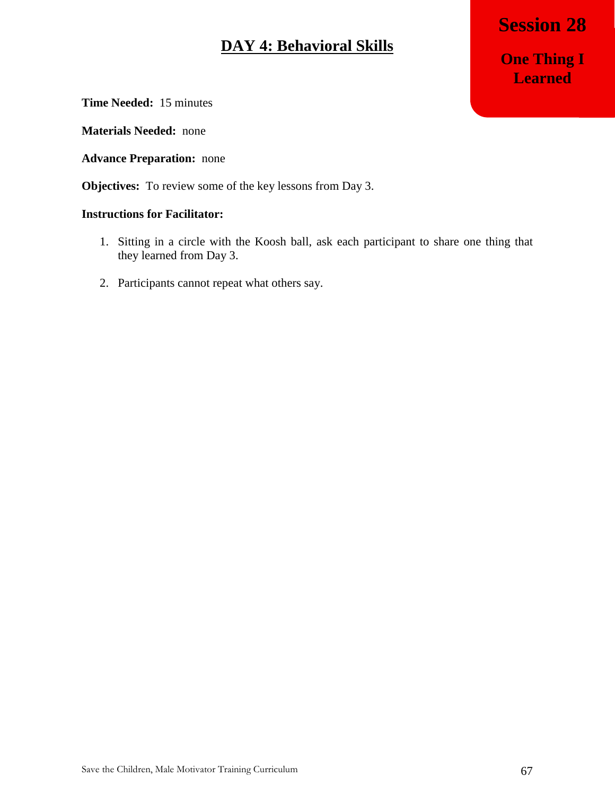## **DAY 4: Behavioral Skills**

**Session 28 One Thing I Learned**

**Time Needed:** 15 minutes

**Materials Needed:** none

**Advance Preparation:** none

**Objectives:** To review some of the key lessons from Day 3.

- 1. Sitting in a circle with the Koosh ball, ask each participant to share one thing that they learned from Day 3.
- 2. Participants cannot repeat what others say.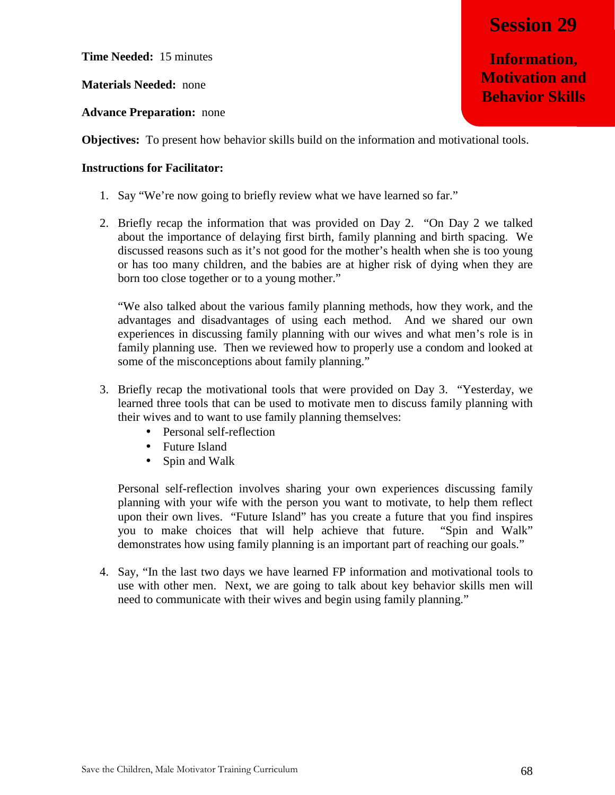**Information, Motivation and Behavior Skills**

**Time Needed:** 15 minutes

**Materials Needed:** none

**Advance Preparation:** none

**Objectives:** To present how behavior skills build on the information and motivational tools.

## **Instructions for Facilitator:**

- 1. Say "We're now going to briefly review what we have learned so far."
- 2. Briefly recap the information that was provided on Day 2. "On Day 2 we talked about the importance of delaying first birth, family planning and birth spacing. We discussed reasons such as it's not good for the mother's health when she is too young or has too many children, and the babies are at higher risk of dying when they are born too close together or to a young mother."

"We also talked about the various family planning methods, how they work, and the advantages and disadvantages of using each method. And we shared our own experiences in discussing family planning with our wives and what men's role is in family planning use. Then we reviewed how to properly use a condom and looked at some of the misconceptions about family planning."

- 3. Briefly recap the motivational tools that were provided on Day 3. "Yesterday, we learned three tools that can be used to motivate men to discuss family planning with their wives and to want to use family planning themselves:
	- Personal self-reflection
	- Future Island
	- Spin and Walk

Personal self-reflection involves sharing your own experiences discussing family planning with your wife with the person you want to motivate, to help them reflect upon their own lives. "Future Island" has you create a future that you find inspires you to make choices that will help achieve that future. "Spin and Walk" demonstrates how using family planning is an important part of reaching our goals."

4. Say, "In the last two days we have learned FP information and motivational tools to use with other men. Next, we are going to talk about key behavior skills men will need to communicate with their wives and begin using family planning."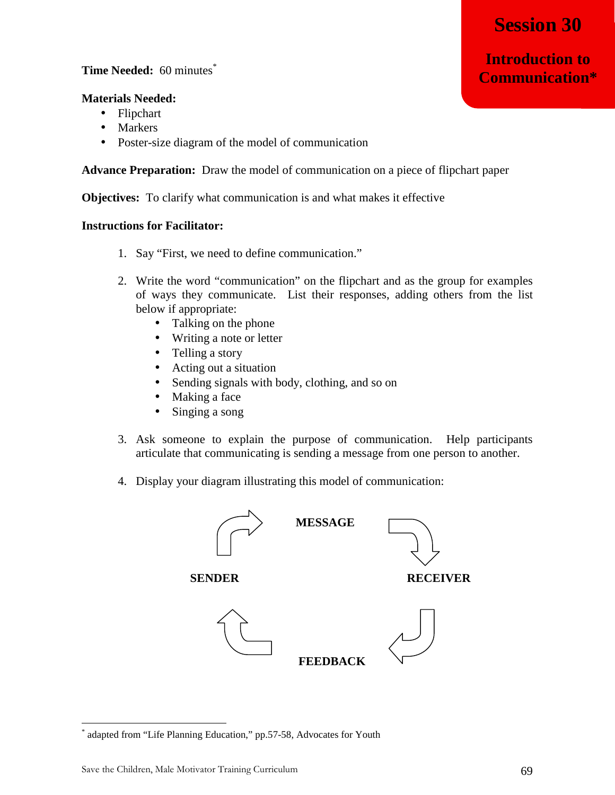**Introduction to Communication\***

## **Time Needed:** 60 minutes\*

## **Materials Needed:**

- Flipchart
- Markers
- Poster-size diagram of the model of communication

**Advance Preparation:** Draw the model of communication on a piece of flipchart paper

**Objectives:** To clarify what communication is and what makes it effective

## **Instructions for Facilitator:**

- 1. Say "First, we need to define communication."
- 2. Write the word "communication" on the flipchart and as the group for examples of ways they communicate. List their responses, adding others from the list below if appropriate:
	- Talking on the phone
	- Writing a note or letter
	- Telling a story
	- Acting out a situation
	- Sending signals with body, clothing, and so on
	- Making a face
	- Singing a song
- 3. Ask someone to explain the purpose of communication. Help participants articulate that communicating is sending a message from one person to another.
- 4. Display your diagram illustrating this model of communication:



<u>.</u>

<sup>\*</sup> adapted from "Life Planning Education," pp.57-58, Advocates for Youth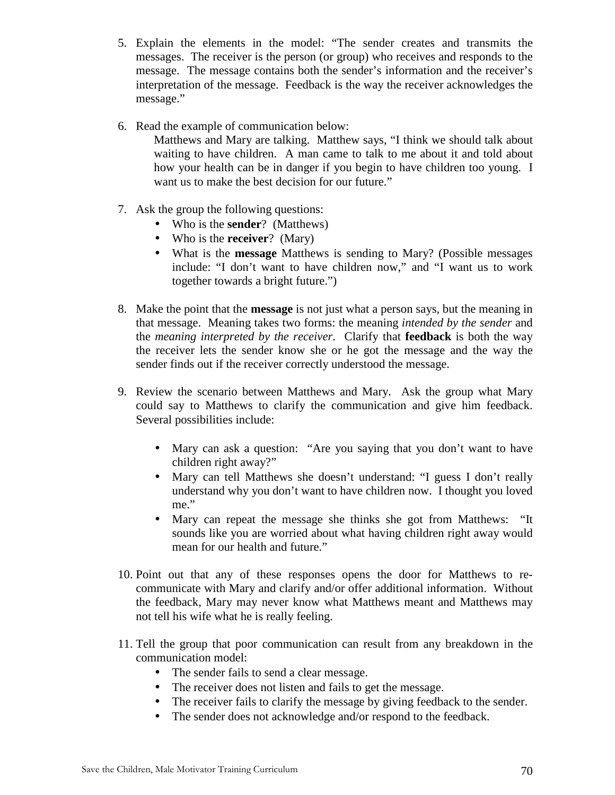- 5. Explain the elements in the model: "The sender creates and transmits the messages. The receiver is the person (or group) who receives and responds to the message. The message contains both the sender's information and the receiver's interpretation of the message. Feedback is the way the receiver acknowledges the message."
- 6. Read the example of communication below:
	- Matthews and Mary are talking. Matthew says, "I think we should talk about waiting to have children. A man came to talk to me about it and told about how your health can be in danger if you begin to have children too young. I want us to make the best decision for our future."
- 7. Ask the group the following questions:
	- Who is the **sender**? (Matthews)
	- Who is the **receiver**? (Mary)
	- What is the **message** Matthews is sending to Mary? (Possible messages include: "I don't want to have children now," and "I want us to work together towards a bright future.")
- 8. Make the point that the **message** is not just what a person says, but the meaning in that message. Meaning takes two forms: the meaning *intended by the sender* and the *meaning interpreted by the receiver*. Clarify that **feedback** is both the way the receiver lets the sender know she or he got the message and the way the sender finds out if the receiver correctly understood the message.
- 9. Review the scenario between Matthews and Mary. Ask the group what Mary could say to Matthews to clarify the communication and give him feedback. Several possibilities include:
	- Mary can ask a question: "Are you saying that you don't want to have children right away?"
	- Mary can tell Matthews she doesn't understand: "I guess I don't really understand why you don't want to have children now. I thought you loved me."
	- Mary can repeat the message she thinks she got from Matthews: "It sounds like you are worried about what having children right away would mean for our health and future."
- 10. Point out that any of these responses opens the door for Matthews to recommunicate with Mary and clarify and/or offer additional information. Without the feedback, Mary may never know what Matthews meant and Matthews may not tell his wife what he is really feeling.
- 11. Tell the group that poor communication can result from any breakdown in the communication model:
	- The sender fails to send a clear message.
	- The receiver does not listen and fails to get the message.
	- The receiver fails to clarify the message by giving feedback to the sender.
	- The sender does not acknowledge and/or respond to the feedback.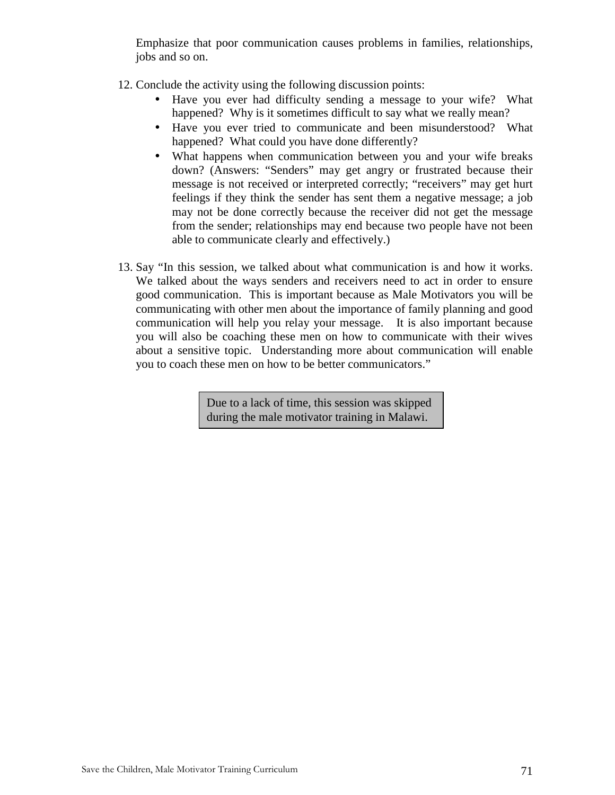Emphasize that poor communication causes problems in families, relationships, jobs and so on.

- 12. Conclude the activity using the following discussion points:
	- Have you ever had difficulty sending a message to your wife? What happened? Why is it sometimes difficult to say what we really mean?
	- Have you ever tried to communicate and been misunderstood? What happened? What could you have done differently?
	- What happens when communication between you and your wife breaks down? (Answers: "Senders" may get angry or frustrated because their message is not received or interpreted correctly; "receivers" may get hurt feelings if they think the sender has sent them a negative message; a job may not be done correctly because the receiver did not get the message from the sender; relationships may end because two people have not been able to communicate clearly and effectively.)
- 13. Say "In this session, we talked about what communication is and how it works. We talked about the ways senders and receivers need to act in order to ensure good communication. This is important because as Male Motivators you will be communicating with other men about the importance of family planning and good communication will help you relay your message. It is also important because you will also be coaching these men on how to communicate with their wives about a sensitive topic. Understanding more about communication will enable you to coach these men on how to be better communicators."

Due to a lack of time, this session was skipped during the male motivator training in Malawi.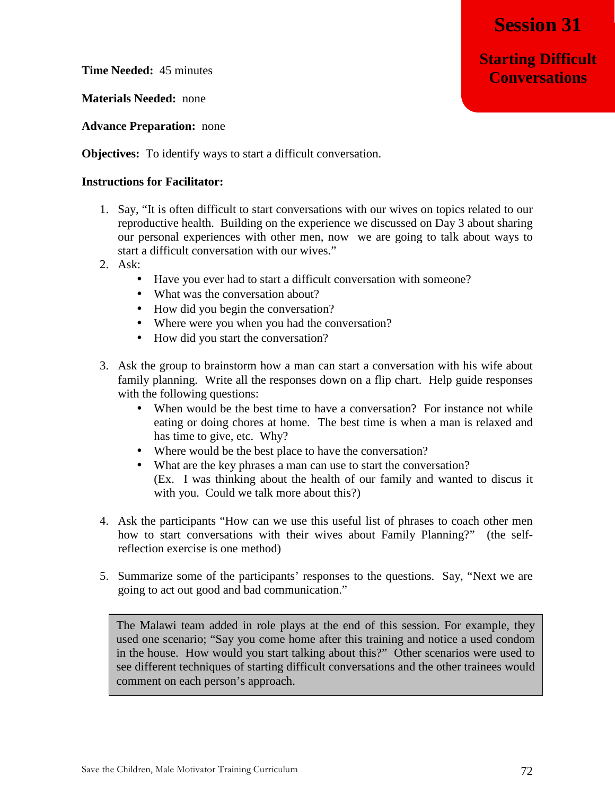**Starting Difficult Conversations**

**Time Needed:** 45 minutes

**Materials Needed:** none

**Advance Preparation:** none

**Objectives:** To identify ways to start a difficult conversation.

#### **Instructions for Facilitator:**

- 1. Say, "It is often difficult to start conversations with our wives on topics related to our reproductive health. Building on the experience we discussed on Day 3 about sharing our personal experiences with other men, now we are going to talk about ways to start a difficult conversation with our wives."
- 2. Ask:
	- Have you ever had to start a difficult conversation with someone?
	- What was the conversation about?
	- How did you begin the conversation?
	- Where were you when you had the conversation?
	- How did you start the conversation?
- 3. Ask the group to brainstorm how a man can start a conversation with his wife about family planning. Write all the responses down on a flip chart. Help guide responses with the following questions:
	- When would be the best time to have a conversation? For instance not while eating or doing chores at home. The best time is when a man is relaxed and has time to give, etc. Why?
	- Where would be the best place to have the conversation?
	- What are the key phrases a man can use to start the conversation? (Ex. I was thinking about the health of our family and wanted to discus it with you. Could we talk more about this?)
- 4. Ask the participants "How can we use this useful list of phrases to coach other men how to start conversations with their wives about Family Planning?" (the selfreflection exercise is one method)
- 5. Summarize some of the participants' responses to the questions. Say, "Next we are going to act out good and bad communication."

The Malawi team added in role plays at the end of this session. For example, they used one scenario; "Say you come home after this training and notice a used condom in the house. How would you start talking about this?" Other scenarios were used to see different techniques of starting difficult conversations and the other trainees would comment on each person's approach.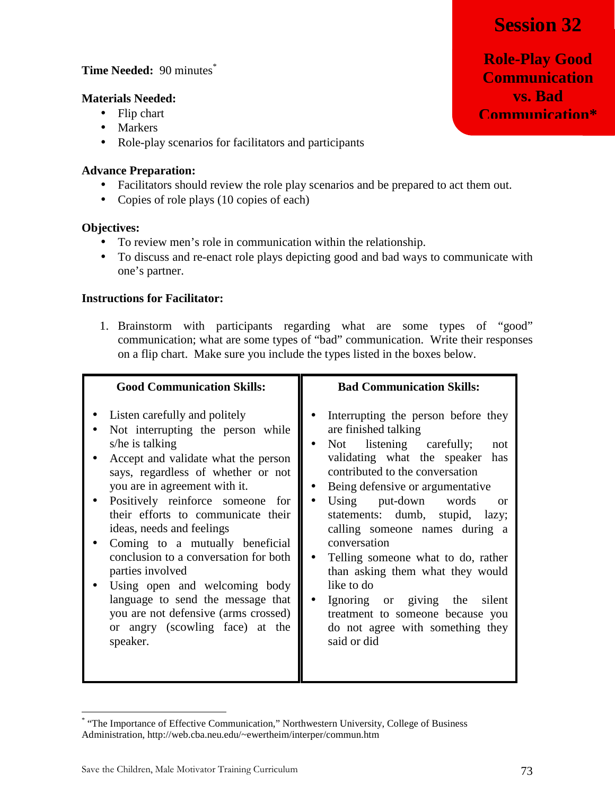## **Session 32**

## **Time Needed:** 90 minutes\*

#### **Materials Needed:**

- Flip chart
- Markers
- Role-play scenarios for facilitators and participants

## **Advance Preparation:**

- Facilitators should review the role play scenarios and be prepared to act them out.
- Copies of role plays (10 copies of each)

## **Objectives:**

- To review men's role in communication within the relationship.
- To discuss and re-enact role plays depicting good and bad ways to communicate with one's partner.

## **Instructions for Facilitator:**

1. Brainstorm with participants regarding what are some types of "good" communication; what are some types of "bad" communication. Write their responses on a flip chart. Make sure you include the types listed in the boxes below.

| <b>Good Communication Skills:</b>                                                                                                                                                                                                                                                                                                                                                                                                                                                                                                                                       | <b>Bad Communication Skills:</b>                                                                                                                                                                                                                                                                                                                                                                                                                                                                                                                                                         |  |
|-------------------------------------------------------------------------------------------------------------------------------------------------------------------------------------------------------------------------------------------------------------------------------------------------------------------------------------------------------------------------------------------------------------------------------------------------------------------------------------------------------------------------------------------------------------------------|------------------------------------------------------------------------------------------------------------------------------------------------------------------------------------------------------------------------------------------------------------------------------------------------------------------------------------------------------------------------------------------------------------------------------------------------------------------------------------------------------------------------------------------------------------------------------------------|--|
| Listen carefully and politely<br>Not interrupting the person while<br>s/he is talking<br>Accept and validate what the person<br>says, regardless of whether or not<br>you are in agreement with it.<br>Positively reinforce someone for<br>their efforts to communicate their<br>ideas, needs and feelings<br>Coming to a mutually beneficial<br>conclusion to a conversation for both<br>parties involved<br>Using open and welcoming body<br>language to send the message that<br>you are not defensive (arms crossed)<br>or angry (scowling face) at the<br>speaker. | Interrupting the person before they<br>are finished talking<br>Not listening carefully;<br>$\bullet$<br>not<br>validating what the speaker<br>has<br>contributed to the conversation<br>Being defensive or argumentative<br>Using put-down words<br>$\bullet$<br>or<br>statements: dumb, stupid, lazy;<br>calling someone names during a<br>conversation<br>Telling someone what to do, rather<br>than asking them what they would<br>like to do<br>Ignoring or giving the<br>silent<br>$\bullet$<br>treatment to someone because you<br>do not agree with something they<br>said or did |  |

<sup>\*</sup> "The Importance of Effective Communication," Northwestern University, College of Business Administration, http://web.cba.neu.edu/~ewertheim/interper/commun.htm

<u>.</u>

**Role-Play Good Communication vs. Bad Communication\***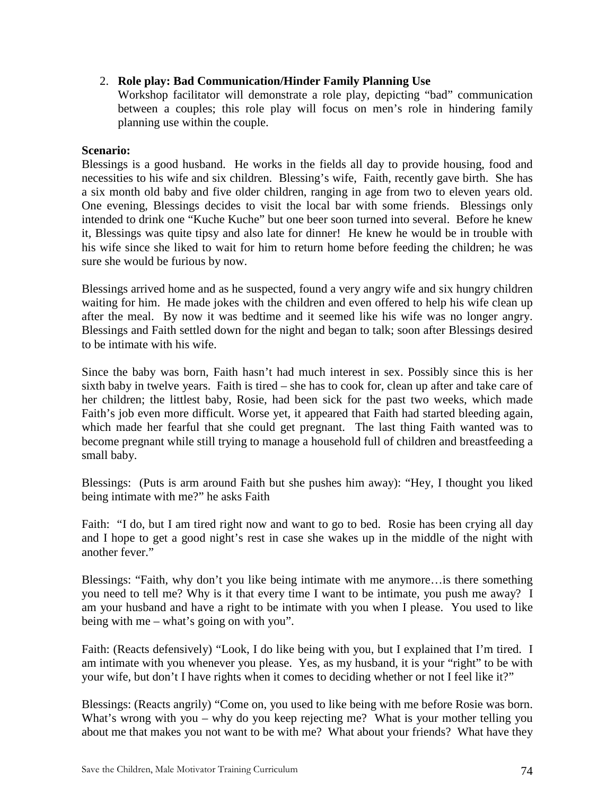### 2. **Role play: Bad Communication/Hinder Family Planning Use**

Workshop facilitator will demonstrate a role play, depicting "bad" communication between a couples; this role play will focus on men's role in hindering family planning use within the couple.

#### **Scenario:**

Blessings is a good husband. He works in the fields all day to provide housing, food and necessities to his wife and six children. Blessing's wife, Faith, recently gave birth. She has a six month old baby and five older children, ranging in age from two to eleven years old. One evening, Blessings decides to visit the local bar with some friends. Blessings only intended to drink one "Kuche Kuche" but one beer soon turned into several. Before he knew it, Blessings was quite tipsy and also late for dinner! He knew he would be in trouble with his wife since she liked to wait for him to return home before feeding the children; he was sure she would be furious by now.

Blessings arrived home and as he suspected, found a very angry wife and six hungry children waiting for him. He made jokes with the children and even offered to help his wife clean up after the meal. By now it was bedtime and it seemed like his wife was no longer angry. Blessings and Faith settled down for the night and began to talk; soon after Blessings desired to be intimate with his wife.

Since the baby was born, Faith hasn't had much interest in sex. Possibly since this is her sixth baby in twelve years. Faith is tired – she has to cook for, clean up after and take care of her children; the littlest baby, Rosie, had been sick for the past two weeks, which made Faith's job even more difficult. Worse yet, it appeared that Faith had started bleeding again, which made her fearful that she could get pregnant. The last thing Faith wanted was to become pregnant while still trying to manage a household full of children and breastfeeding a small baby.

Blessings: (Puts is arm around Faith but she pushes him away): "Hey, I thought you liked being intimate with me?" he asks Faith

Faith: "I do, but I am tired right now and want to go to bed. Rosie has been crying all day and I hope to get a good night's rest in case she wakes up in the middle of the night with another fever."

Blessings: "Faith, why don't you like being intimate with me anymore…is there something you need to tell me? Why is it that every time I want to be intimate, you push me away? I am your husband and have a right to be intimate with you when I please. You used to like being with me – what's going on with you".

Faith: (Reacts defensively) "Look, I do like being with you, but I explained that I'm tired. I am intimate with you whenever you please. Yes, as my husband, it is your "right" to be with your wife, but don't I have rights when it comes to deciding whether or not I feel like it?"

Blessings: (Reacts angrily) "Come on, you used to like being with me before Rosie was born. What's wrong with you – why do you keep rejecting me? What is your mother telling you about me that makes you not want to be with me? What about your friends? What have they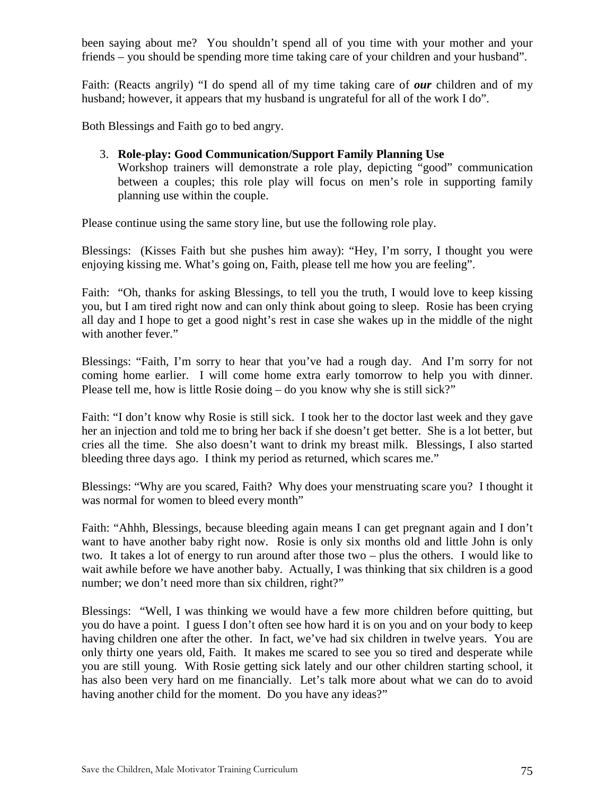been saying about me? You shouldn't spend all of you time with your mother and your friends – you should be spending more time taking care of your children and your husband".

Faith: (Reacts angrily) "I do spend all of my time taking care of *our* children and of my husband; however, it appears that my husband is ungrateful for all of the work I do".

Both Blessings and Faith go to bed angry.

### 3. **Role-play: Good Communication/Support Family Planning Use**

Workshop trainers will demonstrate a role play, depicting "good" communication between a couples; this role play will focus on men's role in supporting family planning use within the couple.

Please continue using the same story line, but use the following role play.

Blessings: (Kisses Faith but she pushes him away): "Hey, I'm sorry, I thought you were enjoying kissing me. What's going on, Faith, please tell me how you are feeling".

Faith: "Oh, thanks for asking Blessings, to tell you the truth, I would love to keep kissing you, but I am tired right now and can only think about going to sleep. Rosie has been crying all day and I hope to get a good night's rest in case she wakes up in the middle of the night with another fever."

Blessings: "Faith, I'm sorry to hear that you've had a rough day. And I'm sorry for not coming home earlier. I will come home extra early tomorrow to help you with dinner. Please tell me, how is little Rosie doing – do you know why she is still sick?"

Faith: "I don't know why Rosie is still sick. I took her to the doctor last week and they gave her an injection and told me to bring her back if she doesn't get better. She is a lot better, but cries all the time. She also doesn't want to drink my breast milk. Blessings, I also started bleeding three days ago. I think my period as returned, which scares me."

Blessings: "Why are you scared, Faith? Why does your menstruating scare you? I thought it was normal for women to bleed every month"

Faith: "Ahhh, Blessings, because bleeding again means I can get pregnant again and I don't want to have another baby right now. Rosie is only six months old and little John is only two. It takes a lot of energy to run around after those two – plus the others. I would like to wait awhile before we have another baby. Actually, I was thinking that six children is a good number; we don't need more than six children, right?"

Blessings: "Well, I was thinking we would have a few more children before quitting, but you do have a point. I guess I don't often see how hard it is on you and on your body to keep having children one after the other. In fact, we've had six children in twelve years. You are only thirty one years old, Faith. It makes me scared to see you so tired and desperate while you are still young. With Rosie getting sick lately and our other children starting school, it has also been very hard on me financially. Let's talk more about what we can do to avoid having another child for the moment. Do you have any ideas?"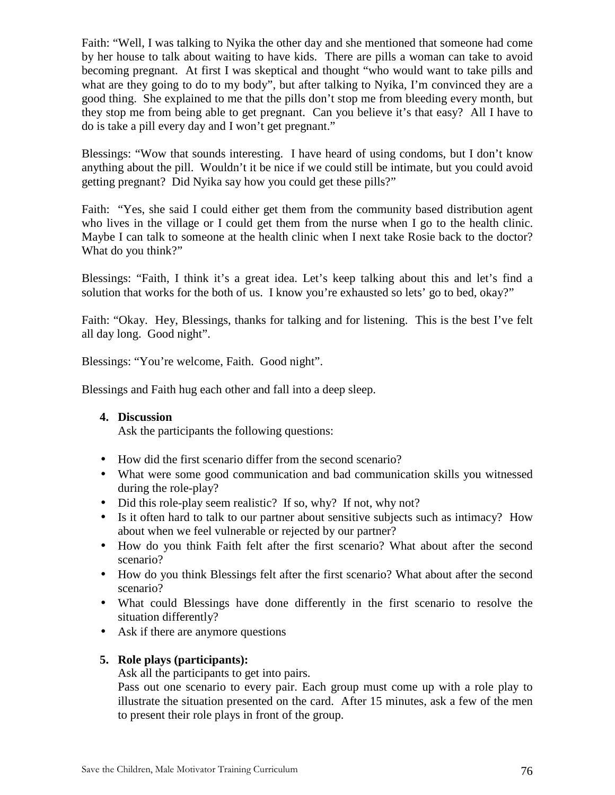Faith: "Well, I was talking to Nyika the other day and she mentioned that someone had come by her house to talk about waiting to have kids. There are pills a woman can take to avoid becoming pregnant. At first I was skeptical and thought "who would want to take pills and what are they going to do to my body", but after talking to Nyika, I'm convinced they are a good thing. She explained to me that the pills don't stop me from bleeding every month, but they stop me from being able to get pregnant. Can you believe it's that easy? All I have to do is take a pill every day and I won't get pregnant."

Blessings: "Wow that sounds interesting. I have heard of using condoms, but I don't know anything about the pill. Wouldn't it be nice if we could still be intimate, but you could avoid getting pregnant? Did Nyika say how you could get these pills?"

Faith: "Yes, she said I could either get them from the community based distribution agent who lives in the village or I could get them from the nurse when I go to the health clinic. Maybe I can talk to someone at the health clinic when I next take Rosie back to the doctor? What do you think?"

Blessings: "Faith, I think it's a great idea. Let's keep talking about this and let's find a solution that works for the both of us. I know you're exhausted so lets' go to bed, okay?"

Faith: "Okay. Hey, Blessings, thanks for talking and for listening. This is the best I've felt all day long. Good night".

Blessings: "You're welcome, Faith. Good night".

Blessings and Faith hug each other and fall into a deep sleep.

#### **4. Discussion**

Ask the participants the following questions:

- How did the first scenario differ from the second scenario?
- What were some good communication and bad communication skills you witnessed during the role-play?
- Did this role-play seem realistic? If so, why? If not, why not?
- Is it often hard to talk to our partner about sensitive subjects such as intimacy? How about when we feel vulnerable or rejected by our partner?
- How do you think Faith felt after the first scenario? What about after the second scenario?
- How do you think Blessings felt after the first scenario? What about after the second scenario?
- What could Blessings have done differently in the first scenario to resolve the situation differently?
- Ask if there are anymore questions

#### **5. Role plays (participants):**

Ask all the participants to get into pairs.

Pass out one scenario to every pair. Each group must come up with a role play to illustrate the situation presented on the card. After 15 minutes, ask a few of the men to present their role plays in front of the group.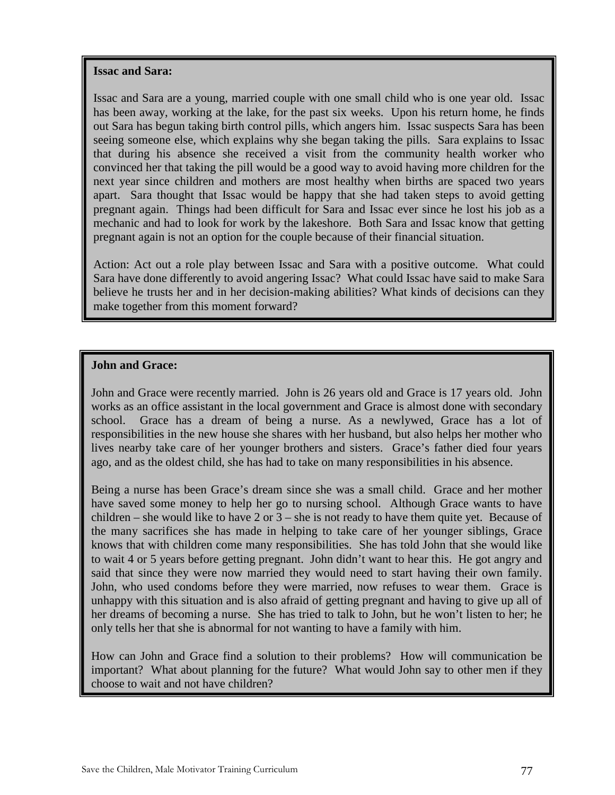#### **Issac and Sara:**

Issac and Sara are a young, married couple with one small child who is one year old. Issac has been away, working at the lake, for the past six weeks. Upon his return home, he finds out Sara has begun taking birth control pills, which angers him. Issac suspects Sara has been seeing someone else, which explains why she began taking the pills. Sara explains to Issac that during his absence she received a visit from the community health worker who convinced her that taking the pill would be a good way to avoid having more children for the next year since children and mothers are most healthy when births are spaced two years apart. Sara thought that Issac would be happy that she had taken steps to avoid getting pregnant again. Things had been difficult for Sara and Issac ever since he lost his job as a mechanic and had to look for work by the lakeshore. Both Sara and Issac know that getting pregnant again is not an option for the couple because of their financial situation.

Action: Act out a role play between Issac and Sara with a positive outcome. What could Sara have done differently to avoid angering Issac? What could Issac have said to make Sara believe he trusts her and in her decision-making abilities? What kinds of decisions can they make together from this moment forward?

### **John and Grace:**

6. Say, "In this session you got to watch and practice good and bad communication. These John and Grace were recently married. John is 26 years old and Grace is 17 years old. John works as an office assistant in the local government and Grace is almost done with secondary school. Grace has a dream of being a nurse. As a newlywed, Grace has a lot of responsibilities in the new house she shares with her husband, but also helps her mother who lives nearby take care of her younger brothers and sisters. Grace's father died four years ago, and as the oldest child, she has had to take on many responsibilities in his absence.

Being a nurse has been Grace's dream since she was a small child. Grace and her mother have saved some money to help her go to nursing school. Although Grace wants to have children – she would like to have 2 or  $3$  – she is not ready to have them quite yet. Because of the many sacrifices she has made in helping to take care of her younger siblings, Grace knows that with children come many responsibilities. She has told John that she would like to wait 4 or 5 years before getting pregnant. John didn't want to hear this. He got angry and said that since they were now married they would need to start having their own family. John, who used condoms before they were married, now refuses to wear them. Grace is unhappy with this situation and is also afraid of getting pregnant and having to give up all of her dreams of becoming a nurse. She has tried to talk to John, but he won't listen to her; he only tells her that she is abnormal for not wanting to have a family with him.

How can John and Grace find a solution to their problems? How will communication be important? What about planning for the future? What would John say to other men if they choose to wait and not have children?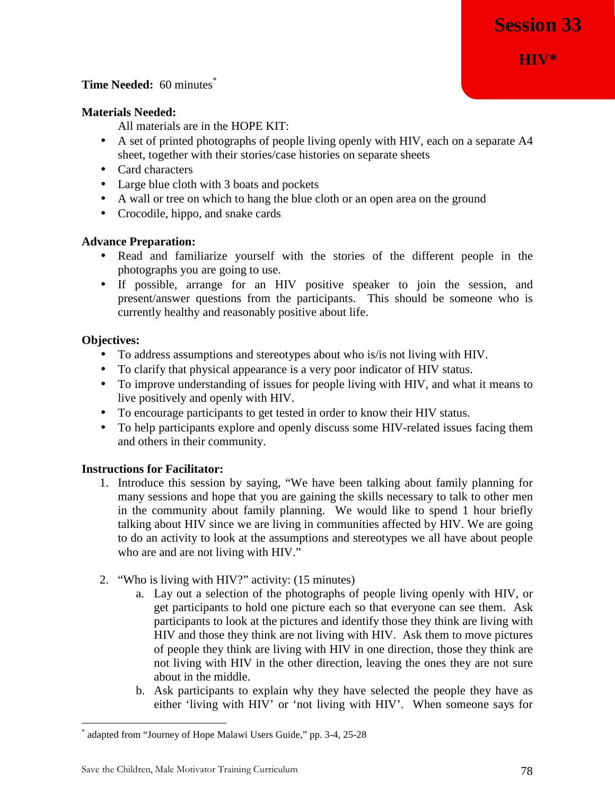#### **Time Needed:** 60 minutes<sup>\*</sup>

#### **Materials Needed:**

All materials are in the HOPE KIT:

- A set of printed photographs of people living openly with HIV, each on a separate A4 sheet, together with their stories/case histories on separate sheets
- Card characters
- Large blue cloth with 3 boats and pockets
- A wall or tree on which to hang the blue cloth or an open area on the ground
- Crocodile, hippo, and snake cards

#### **Advance Preparation:**

- Read and familiarize yourself with the stories of the different people in the photographs you are going to use.
- If possible, arrange for an HIV positive speaker to join the session, and present/answer questions from the participants. This should be someone who is currently healthy and reasonably positive about life.

#### **Objectives:**

<u>.</u>

- To address assumptions and stereotypes about who is/is not living with HIV.
- To clarify that physical appearance is a very poor indicator of HIV status.
- To improve understanding of issues for people living with HIV, and what it means to live positively and openly with HIV.
- To encourage participants to get tested in order to know their HIV status.
- To help participants explore and openly discuss some HIV-related issues facing them and others in their community.

- 1. Introduce this session by saying, "We have been talking about family planning for many sessions and hope that you are gaining the skills necessary to talk to other men in the community about family planning. We would like to spend 1 hour briefly talking about HIV since we are living in communities affected by HIV. We are going to do an activity to look at the assumptions and stereotypes we all have about people who are and are not living with HIV."
- 2. "Who is living with HIV?" activity: (15 minutes)
	- a. Lay out a selection of the photographs of people living openly with HIV, or get participants to hold one picture each so that everyone can see them. Ask participants to look at the pictures and identify those they think are living with HIV and those they think are not living with HIV. Ask them to move pictures of people they think are living with HIV in one direction, those they think are not living with HIV in the other direction, leaving the ones they are not sure about in the middle.
	- b. Ask participants to explain why they have selected the people they have as either 'living with HIV' or 'not living with HIV'. When someone says for

<sup>\*</sup> adapted from "Journey of Hope Malawi Users Guide," pp. 3-4, 25-28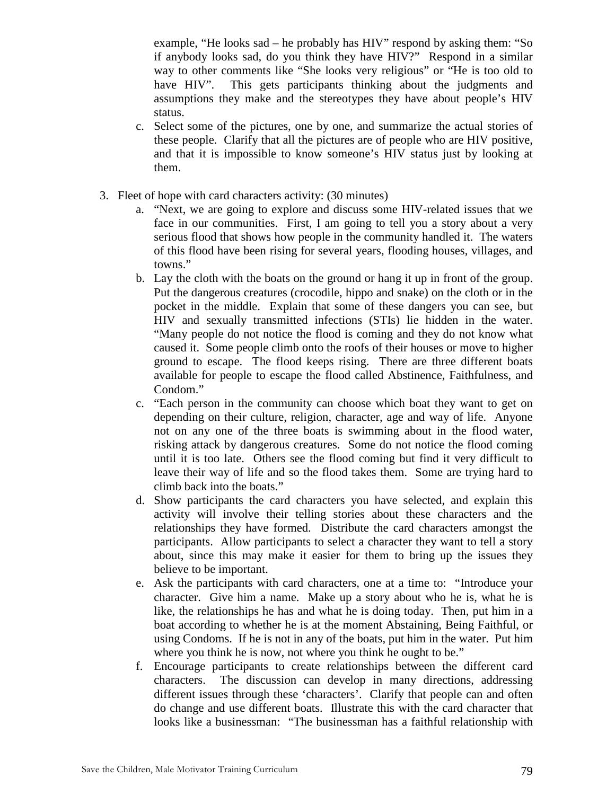example, "He looks sad – he probably has HIV" respond by asking them: "So if anybody looks sad, do you think they have HIV?" Respond in a similar way to other comments like "She looks very religious" or "He is too old to have HIV". This gets participants thinking about the judgments and assumptions they make and the stereotypes they have about people's HIV status.

- c. Select some of the pictures, one by one, and summarize the actual stories of these people. Clarify that all the pictures are of people who are HIV positive, and that it is impossible to know someone's HIV status just by looking at them.
- 3. Fleet of hope with card characters activity: (30 minutes)
	- a. "Next, we are going to explore and discuss some HIV-related issues that we face in our communities. First, I am going to tell you a story about a very serious flood that shows how people in the community handled it. The waters of this flood have been rising for several years, flooding houses, villages, and towns."
	- b. Lay the cloth with the boats on the ground or hang it up in front of the group. Put the dangerous creatures (crocodile, hippo and snake) on the cloth or in the pocket in the middle. Explain that some of these dangers you can see, but HIV and sexually transmitted infections (STIs) lie hidden in the water. "Many people do not notice the flood is coming and they do not know what caused it. Some people climb onto the roofs of their houses or move to higher ground to escape. The flood keeps rising. There are three different boats available for people to escape the flood called Abstinence, Faithfulness, and Condom."
	- c. "Each person in the community can choose which boat they want to get on depending on their culture, religion, character, age and way of life. Anyone not on any one of the three boats is swimming about in the flood water, risking attack by dangerous creatures. Some do not notice the flood coming until it is too late. Others see the flood coming but find it very difficult to leave their way of life and so the flood takes them. Some are trying hard to climb back into the boats."
	- d. Show participants the card characters you have selected, and explain this activity will involve their telling stories about these characters and the relationships they have formed. Distribute the card characters amongst the participants. Allow participants to select a character they want to tell a story about, since this may make it easier for them to bring up the issues they believe to be important.
	- e. Ask the participants with card characters, one at a time to: "Introduce your character. Give him a name. Make up a story about who he is, what he is like, the relationships he has and what he is doing today. Then, put him in a boat according to whether he is at the moment Abstaining, Being Faithful, or using Condoms. If he is not in any of the boats, put him in the water. Put him where you think he is now, not where you think he ought to be."
	- f. Encourage participants to create relationships between the different card characters. The discussion can develop in many directions, addressing different issues through these 'characters'. Clarify that people can and often do change and use different boats. Illustrate this with the card character that looks like a businessman: "The businessman has a faithful relationship with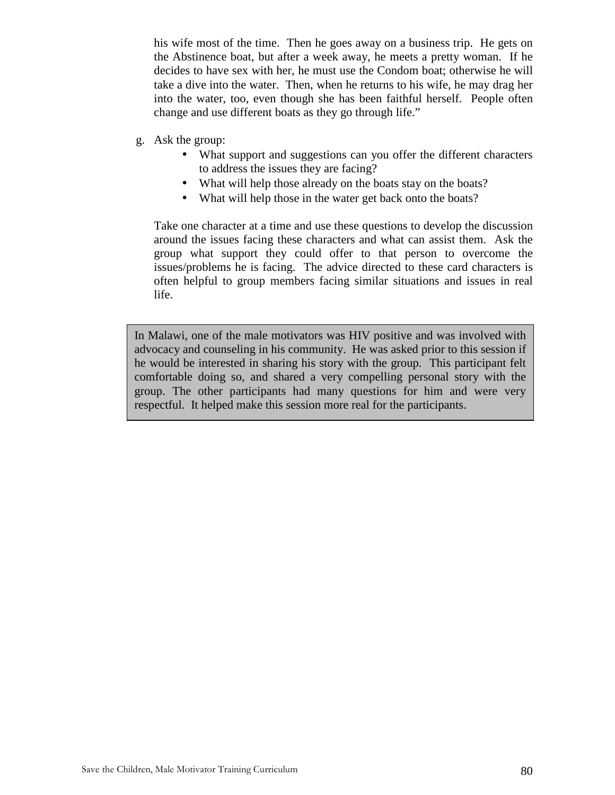his wife most of the time. Then he goes away on a business trip. He gets on the Abstinence boat, but after a week away, he meets a pretty woman. If he decides to have sex with her, he must use the Condom boat; otherwise he will take a dive into the water. Then, when he returns to his wife, he may drag her into the water, too, even though she has been faithful herself. People often change and use different boats as they go through life."

- g. Ask the group:
	- What support and suggestions can you offer the different characters to address the issues they are facing?
	- What will help those already on the boats stay on the boats?
	- What will help those in the water get back onto the boats?

Take one character at a time and use these questions to develop the discussion around the issues facing these characters and what can assist them. Ask the group what support they could offer to that person to overcome the issues/problems he is facing. The advice directed to these card characters is often helpful to group members facing similar situations and issues in real life.

In Malawi, one of the male motivators was HIV positive and was involved with advocacy and counseling in his community. He was asked prior to this session if he would be interested in sharing his story with the group. This participant felt comfortable doing so, and shared a very compelling personal story with the group. The other participants had many questions for him and were very respectful. It helped make this session more real for the participants.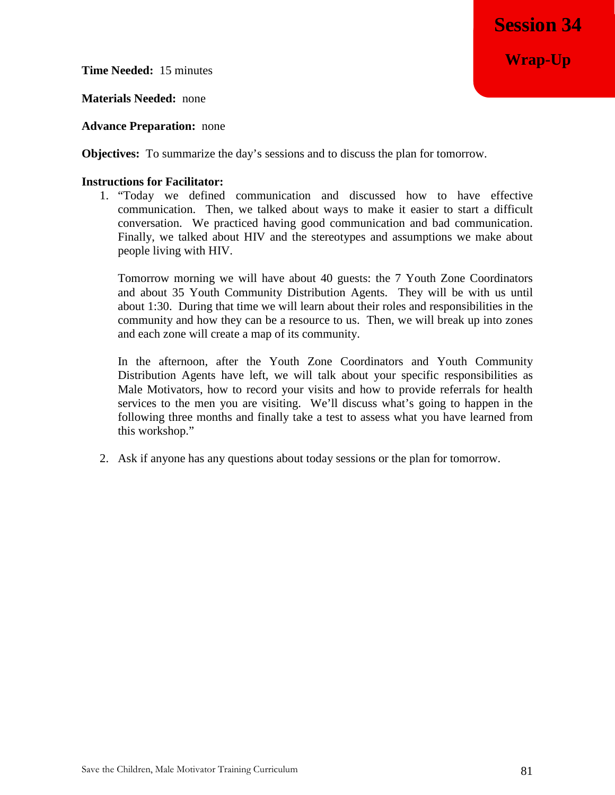**Wrap-Up**

**Time Needed:** 15 minutes

**Materials Needed:** none

**Advance Preparation:** none

**Objectives:** To summarize the day's sessions and to discuss the plan for tomorrow.

#### **Instructions for Facilitator:**

1. "Today we defined communication and discussed how to have effective communication. Then, we talked about ways to make it easier to start a difficult conversation. We practiced having good communication and bad communication. Finally, we talked about HIV and the stereotypes and assumptions we make about people living with HIV.

Tomorrow morning we will have about 40 guests: the 7 Youth Zone Coordinators and about 35 Youth Community Distribution Agents. They will be with us until about 1:30. During that time we will learn about their roles and responsibilities in the community and how they can be a resource to us. Then, we will break up into zones and each zone will create a map of its community.

In the afternoon, after the Youth Zone Coordinators and Youth Community Distribution Agents have left, we will talk about your specific responsibilities as Male Motivators, how to record your visits and how to provide referrals for health services to the men you are visiting. We'll discuss what's going to happen in the following three months and finally take a test to assess what you have learned from this workshop."

2. Ask if anyone has any questions about today sessions or the plan for tomorrow.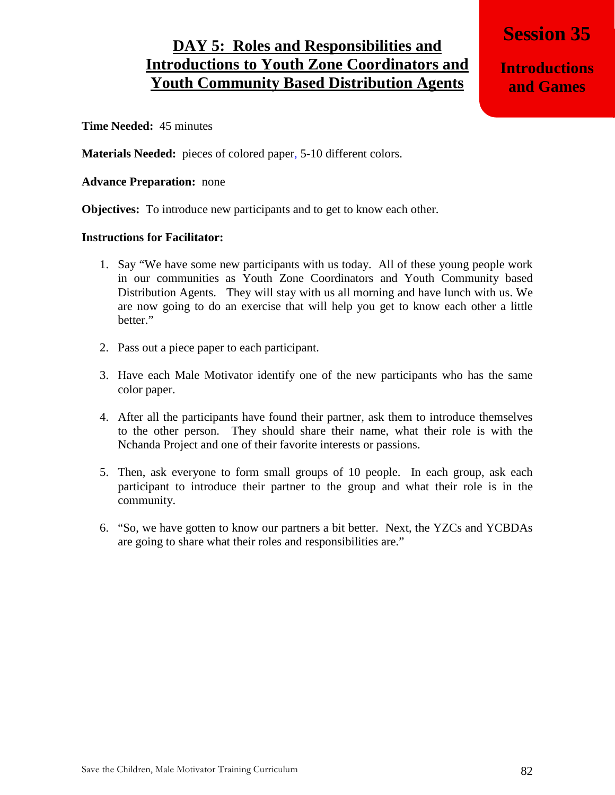## **DAY 5: Roles and Responsibilities and Introductions to Youth Zone Coordinators and Youth Community Based Distribution Agents**

**Session 35** 

**Introductions and Games**

**Time Needed:** 45 minutes

**Materials Needed:** pieces of colored paper, 5-10 different colors.

#### **Advance Preparation:** none

**Objectives:** To introduce new participants and to get to know each other.

- 1. Say "We have some new participants with us today. All of these young people work in our communities as Youth Zone Coordinators and Youth Community based Distribution Agents. They will stay with us all morning and have lunch with us. We are now going to do an exercise that will help you get to know each other a little better."
- 2. Pass out a piece paper to each participant.
- 3. Have each Male Motivator identify one of the new participants who has the same color paper.
- 4. After all the participants have found their partner, ask them to introduce themselves to the other person. They should share their name, what their role is with the Nchanda Project and one of their favorite interests or passions.
- 5. Then, ask everyone to form small groups of 10 people. In each group, ask each participant to introduce their partner to the group and what their role is in the community.
- 6. "So, we have gotten to know our partners a bit better. Next, the YZCs and YCBDAs are going to share what their roles and responsibilities are."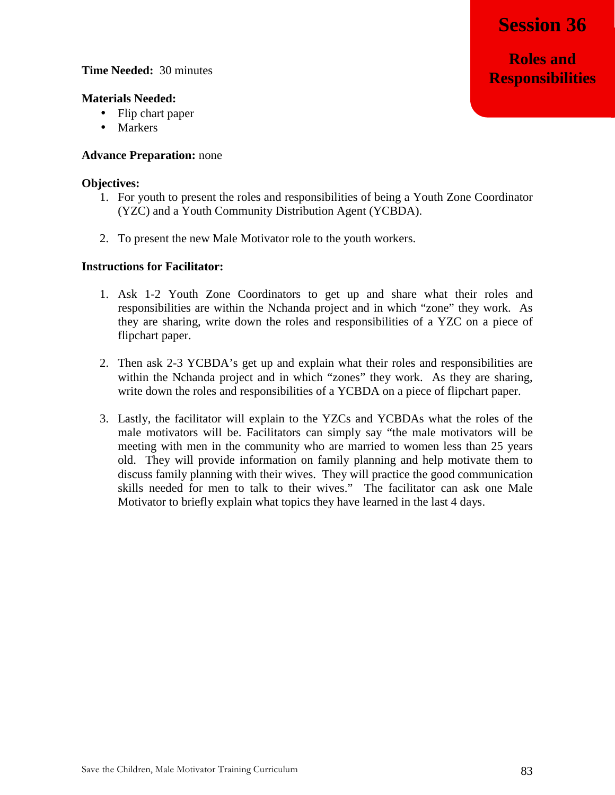**Roles and Responsibilities**

#### **Time Needed:** 30 minutes

#### **Materials Needed:**

- Flip chart paper
- Markers

#### **Advance Preparation:** none

#### **Objectives:**

- 1. For youth to present the roles and responsibilities of being a Youth Zone Coordinator (YZC) and a Youth Community Distribution Agent (YCBDA).
- 2. To present the new Male Motivator role to the youth workers.

- 1. Ask 1-2 Youth Zone Coordinators to get up and share what their roles and responsibilities are within the Nchanda project and in which "zone" they work. As they are sharing, write down the roles and responsibilities of a YZC on a piece of flipchart paper.
- 2. Then ask 2-3 YCBDA's get up and explain what their roles and responsibilities are within the Nchanda project and in which "zones" they work. As they are sharing, write down the roles and responsibilities of a YCBDA on a piece of flipchart paper.
- 3. Lastly, the facilitator will explain to the YZCs and YCBDAs what the roles of the male motivators will be. Facilitators can simply say "the male motivators will be meeting with men in the community who are married to women less than 25 years old. They will provide information on family planning and help motivate them to discuss family planning with their wives. They will practice the good communication skills needed for men to talk to their wives." The facilitator can ask one Male Motivator to briefly explain what topics they have learned in the last 4 days.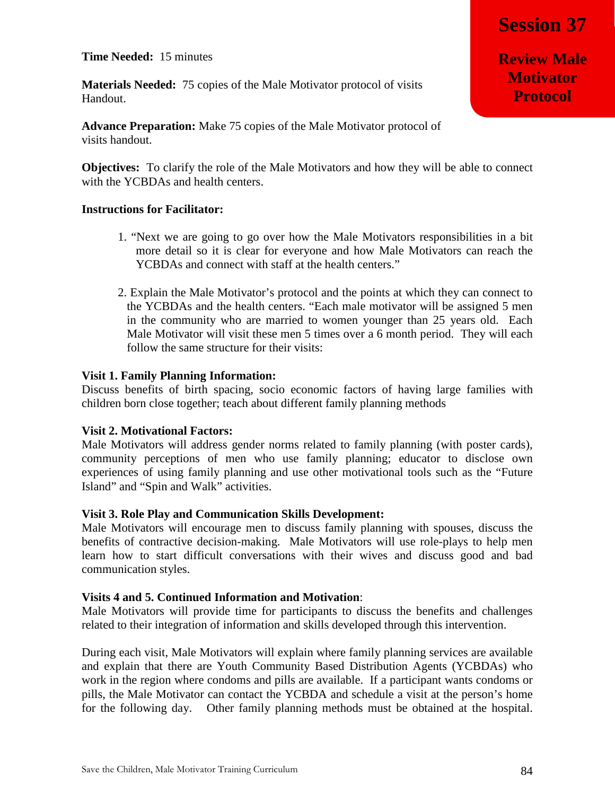**Time Needed:** 15 minutes

**Materials Needed:** 75 copies of the Male Motivator protocol of visits Handout.

**Advance Preparation:** Make 75 copies of the Male Motivator protocol of visits handout.

**Objectives:** To clarify the role of the Male Motivators and how they will be able to connect with the YCBDAs and health centers.

#### **Instructions for Facilitator:**

- 1. "Next we are going to go over how the Male Motivators responsibilities in a bit more detail so it is clear for everyone and how Male Motivators can reach the YCBDAs and connect with staff at the health centers."
- 2. Explain the Male Motivator's protocol and the points at which they can connect to the YCBDAs and the health centers. "Each male motivator will be assigned 5 men in the community who are married to women younger than 25 years old. Each Male Motivator will visit these men 5 times over a 6 month period. They will each follow the same structure for their visits:

#### **Visit 1. Family Planning Information:**

Discuss benefits of birth spacing, socio economic factors of having large families with children born close together; teach about different family planning methods

#### **Visit 2. Motivational Factors:**

Male Motivators will address gender norms related to family planning (with poster cards), community perceptions of men who use family planning; educator to disclose own experiences of using family planning and use other motivational tools such as the "Future Island" and "Spin and Walk" activities.

#### **Visit 3. Role Play and Communication Skills Development:**

Male Motivators will encourage men to discuss family planning with spouses, discuss the benefits of contractive decision-making. Male Motivators will use role-plays to help men learn how to start difficult conversations with their wives and discuss good and bad communication styles.

#### **Visits 4 and 5. Continued Information and Motivation**:

Male Motivators will provide time for participants to discuss the benefits and challenges related to their integration of information and skills developed through this intervention.

During each visit, Male Motivators will explain where family planning services are available and explain that there are Youth Community Based Distribution Agents (YCBDAs) who work in the region where condoms and pills are available. If a participant wants condoms or pills, the Male Motivator can contact the YCBDA and schedule a visit at the person's home for the following day. Other family planning methods must be obtained at the hospital.

**Review Male Motivator Protocol**

**Session 37**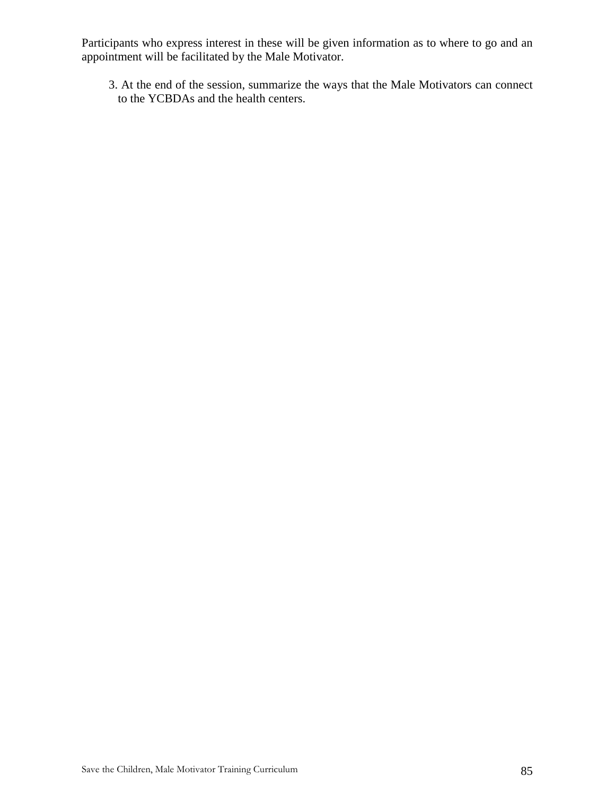Participants who express interest in these will be given information as to where to go and an appointment will be facilitated by the Male Motivator.

3. At the end of the session, summarize the ways that the Male Motivators can connect to the YCBDAs and the health centers.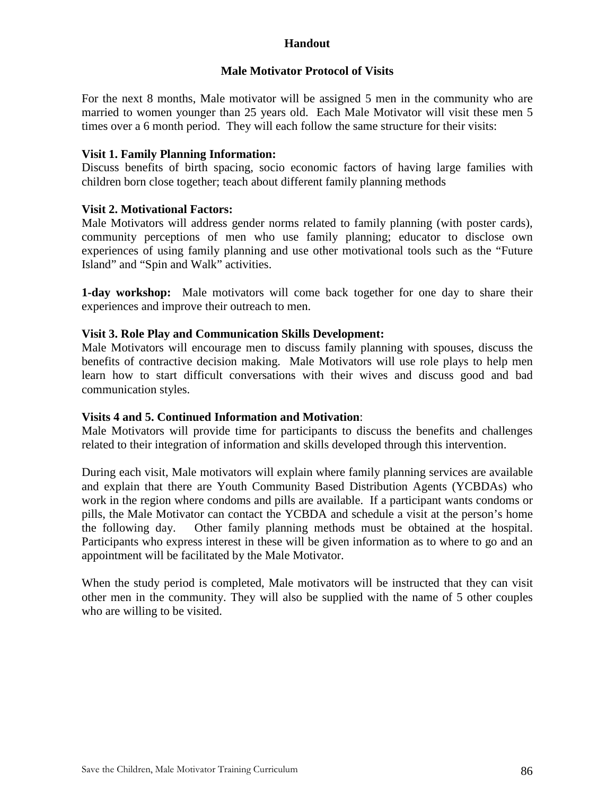### **Handout**

#### **Male Motivator Protocol of Visits**

For the next 8 months, Male motivator will be assigned 5 men in the community who are married to women younger than 25 years old. Each Male Motivator will visit these men 5 times over a 6 month period. They will each follow the same structure for their visits:

#### **Visit 1. Family Planning Information:**

Discuss benefits of birth spacing, socio economic factors of having large families with children born close together; teach about different family planning methods

### **Visit 2. Motivational Factors:**

Male Motivators will address gender norms related to family planning (with poster cards), community perceptions of men who use family planning; educator to disclose own experiences of using family planning and use other motivational tools such as the "Future Island" and "Spin and Walk" activities.

**1-day workshop:** Male motivators will come back together for one day to share their experiences and improve their outreach to men.

#### **Visit 3. Role Play and Communication Skills Development:**

Male Motivators will encourage men to discuss family planning with spouses, discuss the benefits of contractive decision making. Male Motivators will use role plays to help men learn how to start difficult conversations with their wives and discuss good and bad communication styles.

#### **Visits 4 and 5. Continued Information and Motivation**:

Male Motivators will provide time for participants to discuss the benefits and challenges related to their integration of information and skills developed through this intervention.

During each visit, Male motivators will explain where family planning services are available and explain that there are Youth Community Based Distribution Agents (YCBDAs) who work in the region where condoms and pills are available. If a participant wants condoms or pills, the Male Motivator can contact the YCBDA and schedule a visit at the person's home the following day. Other family planning methods must be obtained at the hospital. Participants who express interest in these will be given information as to where to go and an appointment will be facilitated by the Male Motivator.

When the study period is completed, Male motivators will be instructed that they can visit other men in the community. They will also be supplied with the name of 5 other couples who are willing to be visited.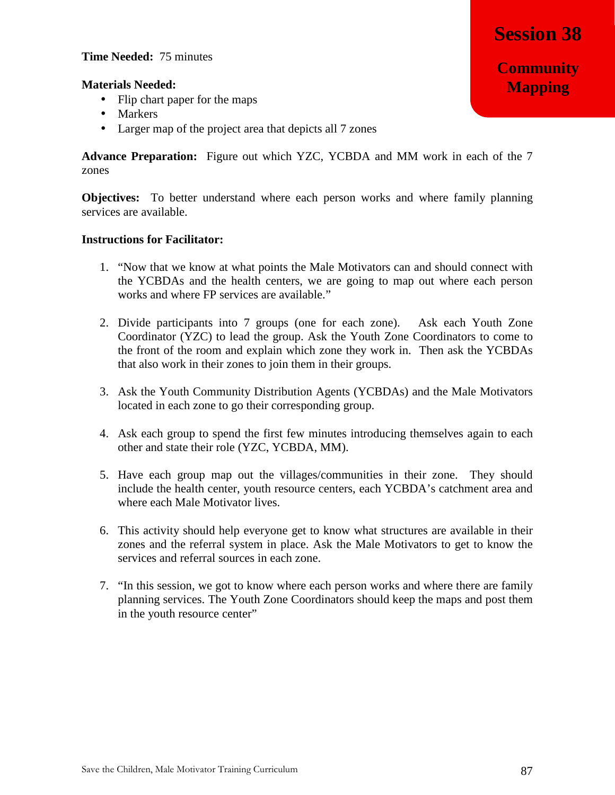- Flip chart paper for the maps
- Markers
- Larger map of the project area that depicts all 7 zones

**Advance Preparation:** Figure out which YZC, YCBDA and MM work in each of the 7 zones

**Objectives:** To better understand where each person works and where family planning services are available.

- 1. "Now that we know at what points the Male Motivators can and should connect with the YCBDAs and the health centers, we are going to map out where each person works and where FP services are available."
- 2. Divide participants into 7 groups (one for each zone). Ask each Youth Zone Coordinator (YZC) to lead the group. Ask the Youth Zone Coordinators to come to the front of the room and explain which zone they work in. Then ask the YCBDAs that also work in their zones to join them in their groups.
- 3. Ask the Youth Community Distribution Agents (YCBDAs) and the Male Motivators located in each zone to go their corresponding group.
- 4. Ask each group to spend the first few minutes introducing themselves again to each other and state their role (YZC, YCBDA, MM).
- 5. Have each group map out the villages/communities in their zone. They should include the health center, youth resource centers, each YCBDA's catchment area and where each Male Motivator lives.
- 6. This activity should help everyone get to know what structures are available in their zones and the referral system in place. Ask the Male Motivators to get to know the services and referral sources in each zone.
- 7. "In this session, we got to know where each person works and where there are family planning services. The Youth Zone Coordinators should keep the maps and post them in the youth resource center"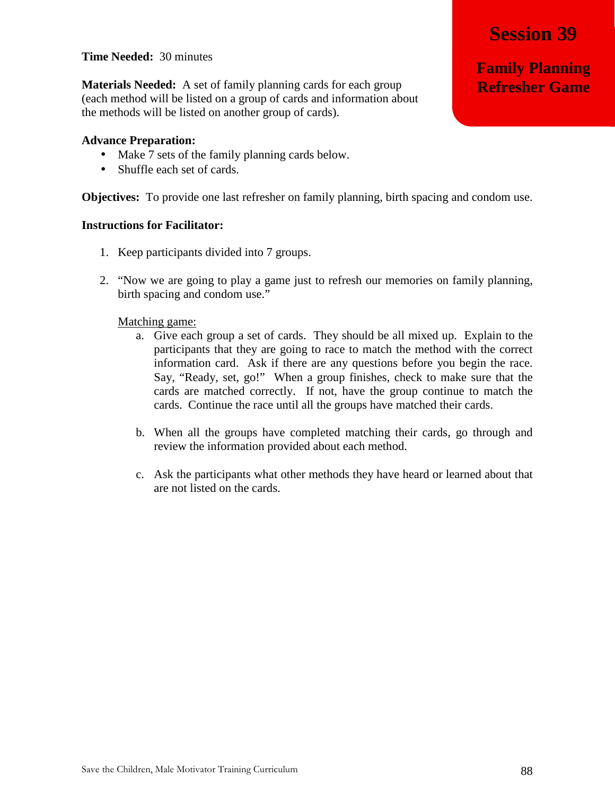#### **Time Needed:** 30 minutes

**Materials Needed:** A set of family planning cards for each group (each method will be listed on a group of cards and information about the methods will be listed on another group of cards).

#### **Advance Preparation:**

- Make 7 sets of the family planning cards below.
- Shuffle each set of cards.

**Objectives:** To provide one last refresher on family planning, birth spacing and condom use.

#### **Instructions for Facilitator:**

- 1. Keep participants divided into 7 groups.
- 2. "Now we are going to play a game just to refresh our memories on family planning, birth spacing and condom use."

#### Matching game:

- a. Give each group a set of cards. They should be all mixed up. Explain to the participants that they are going to race to match the method with the correct information card. Ask if there are any questions before you begin the race. Say, "Ready, set, go!" When a group finishes, check to make sure that the cards are matched correctly. If not, have the group continue to match the cards. Continue the race until all the groups have matched their cards.
- b. When all the groups have completed matching their cards, go through and review the information provided about each method.
- c. Ask the participants what other methods they have heard or learned about that are not listed on the cards.

Save the Children, Male Motivator Training Curriculum 88

**Session 39**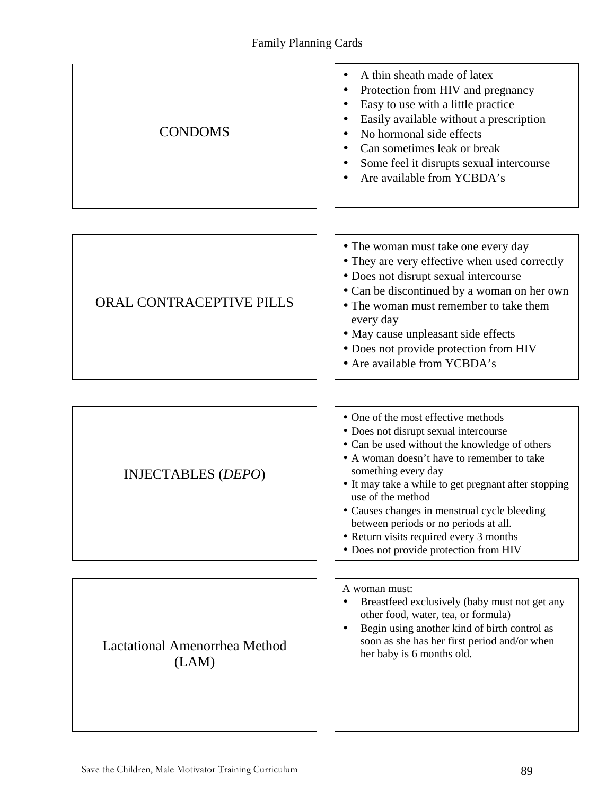| <b>CONDOMS</b>                                | A thin sheath made of latex<br>Protection from HIV and pregnancy<br>Easy to use with a little practice<br>Easily available without a prescription<br>No hormonal side effects<br>Can sometimes leak or break<br>Some feel it disrupts sexual intercourse<br>Are available from YCBDA's                                                                                                                                                                        |
|-----------------------------------------------|---------------------------------------------------------------------------------------------------------------------------------------------------------------------------------------------------------------------------------------------------------------------------------------------------------------------------------------------------------------------------------------------------------------------------------------------------------------|
|                                               |                                                                                                                                                                                                                                                                                                                                                                                                                                                               |
| <b>ORAL CONTRACEPTIVE PILLS</b>               | • The woman must take one every day<br>• They are very effective when used correctly<br>· Does not disrupt sexual intercourse<br>• Can be discontinued by a woman on her own<br>• The woman must remember to take them<br>every day<br>• May cause unpleasant side effects<br>• Does not provide protection from HIV<br>• Are available from YCBDA's                                                                                                          |
|                                               |                                                                                                                                                                                                                                                                                                                                                                                                                                                               |
| <b>INJECTABLES (DEPO)</b>                     | • One of the most effective methods<br>• Does not disrupt sexual intercourse<br>• Can be used without the knowledge of others<br>• A woman doesn't have to remember to take<br>something every day<br>• It may take a while to get pregnant after stopping<br>use of the method<br>• Causes changes in menstrual cycle bleeding<br>between periods or no periods at all.<br>• Return visits required every 3 months<br>• Does not provide protection from HIV |
|                                               |                                                                                                                                                                                                                                                                                                                                                                                                                                                               |
| <b>Lactational Amenorrhea Method</b><br>(LAM) | A woman must:<br>Breastfeed exclusively (baby must not get any<br>other food, water, tea, or formula)<br>Begin using another kind of birth control as<br>soon as she has her first period and/or when<br>her baby is 6 months old.                                                                                                                                                                                                                            |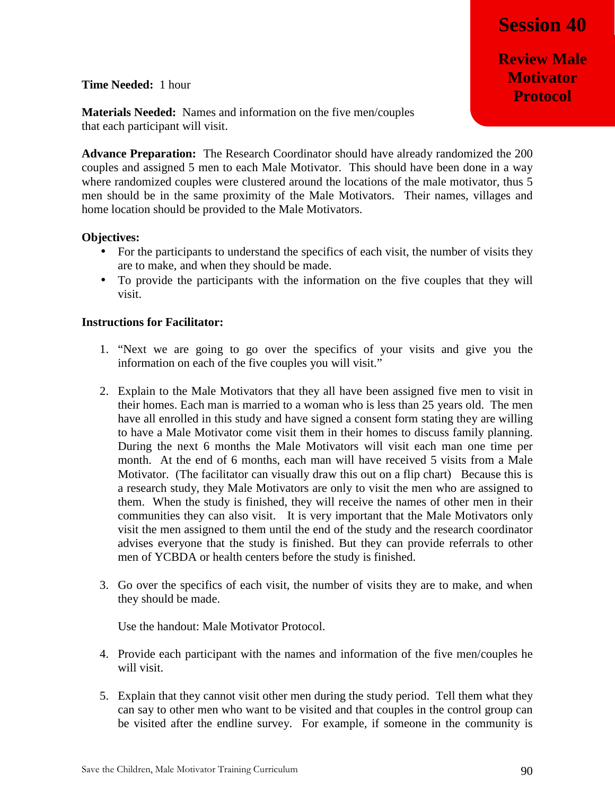**Review Male Motivator Protocol**

**Time Needed:** 1 hour

**Materials Needed:** Names and information on the five men/couples that each participant will visit.

**Advance Preparation:** The Research Coordinator should have already randomized the 200 couples and assigned 5 men to each Male Motivator. This should have been done in a way where randomized couples were clustered around the locations of the male motivator, thus 5 men should be in the same proximity of the Male Motivators. Their names, villages and home location should be provided to the Male Motivators.

#### **Objectives:**

- For the participants to understand the specifics of each visit, the number of visits they are to make, and when they should be made.
- To provide the participants with the information on the five couples that they will visit.

#### **Instructions for Facilitator:**

- 1. "Next we are going to go over the specifics of your visits and give you the information on each of the five couples you will visit."
- 2. Explain to the Male Motivators that they all have been assigned five men to visit in their homes. Each man is married to a woman who is less than 25 years old. The men have all enrolled in this study and have signed a consent form stating they are willing to have a Male Motivator come visit them in their homes to discuss family planning. During the next 6 months the Male Motivators will visit each man one time per month. At the end of 6 months, each man will have received 5 visits from a Male Motivator. (The facilitator can visually draw this out on a flip chart) Because this is a research study, they Male Motivators are only to visit the men who are assigned to them. When the study is finished, they will receive the names of other men in their communities they can also visit. It is very important that the Male Motivators only visit the men assigned to them until the end of the study and the research coordinator advises everyone that the study is finished. But they can provide referrals to other men of YCBDA or health centers before the study is finished.
- 3. Go over the specifics of each visit, the number of visits they are to make, and when they should be made.

Use the handout: Male Motivator Protocol.

- 4. Provide each participant with the names and information of the five men/couples he will visit.
- 5. Explain that they cannot visit other men during the study period. Tell them what they can say to other men who want to be visited and that couples in the control group can be visited after the endline survey. For example, if someone in the community is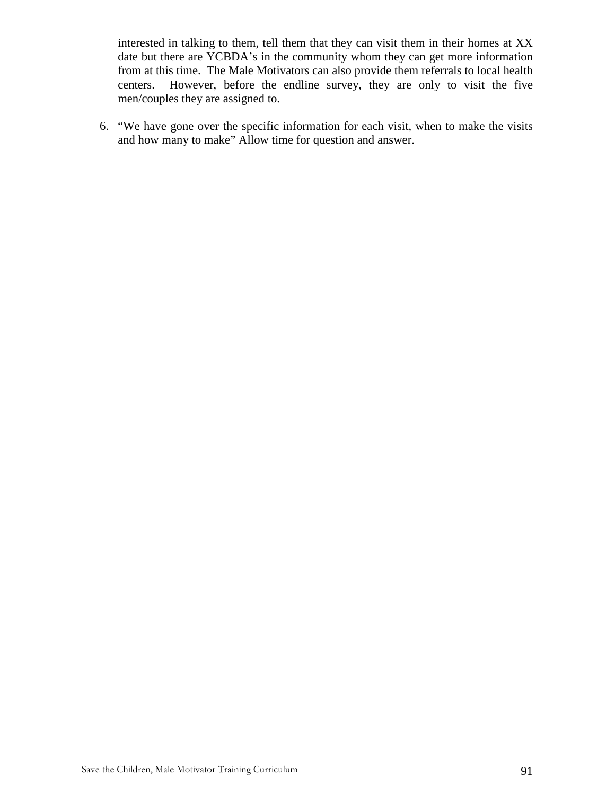interested in talking to them, tell them that they can visit them in their homes at XX date but there are YCBDA's in the community whom they can get more information from at this time. The Male Motivators can also provide them referrals to local health centers. However, before the endline survey, they are only to visit the five men/couples they are assigned to.

6. "We have gone over the specific information for each visit, when to make the visits and how many to make" Allow time for question and answer.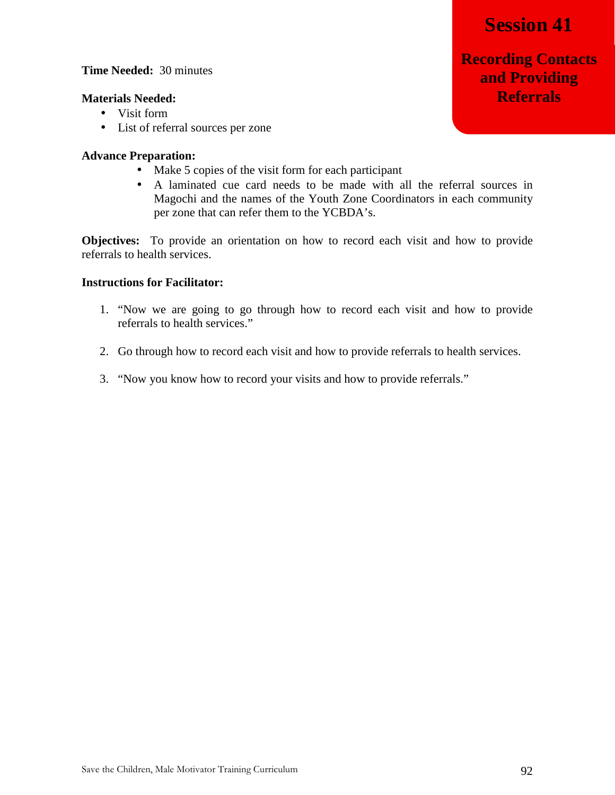#### **Time Needed:** 30 minutes

#### **Materials Needed:**

- Visit form
- List of referral sources per zone

#### **Advance Preparation:**

- Make 5 copies of the visit form for each participant
- A laminated cue card needs to be made with all the referral sources in Magochi and the names of the Youth Zone Coordinators in each community per zone that can refer them to the YCBDA's.

**Objectives:** To provide an orientation on how to record each visit and how to provide referrals to health services.

#### **Instructions for Facilitator:**

- 1. "Now we are going to go through how to record each visit and how to provide referrals to health services."
- 2. Go through how to record each visit and how to provide referrals to health services.
- 3. "Now you know how to record your visits and how to provide referrals."

## **Recording Contacts and Providing Referrals**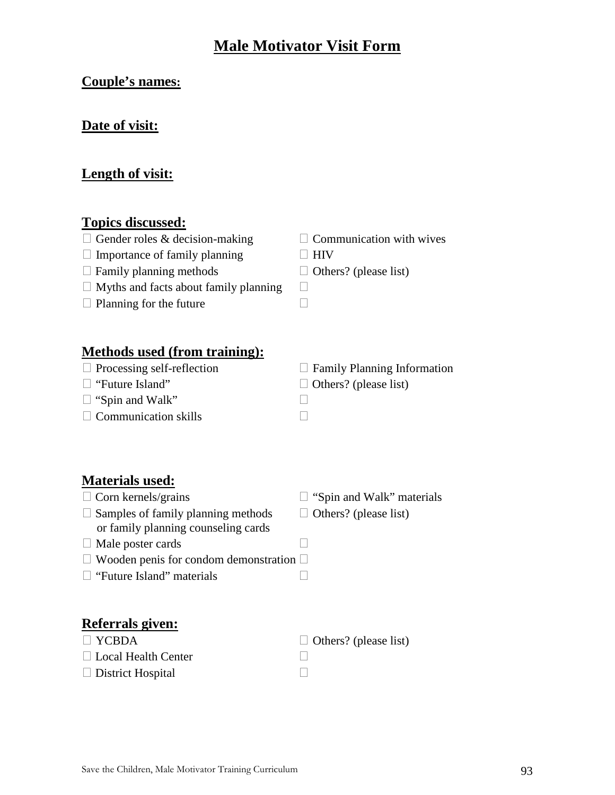## **Male Motivator Visit Form**

## **Couple's names:**

### **Date of visit:**

### **Length of visit:**

### **Topics discussed:**

- $\Box$  Gender roles & decision-making  $\Box$  Communication with wives
- $\Box$  Importance of family planning  $\Box$  HIV
- $\Box$  Family planning methods  $\Box$  Others? (please list)
- $\Box$  Myths and facts about family planning  $\Box$
- $\Box$  Planning for the future  $\Box$
- 
- 

### **Methods used (from training):**

- 
- 
- $\Box$  "Spin and Walk"
- $\Box$  Communication skills

 $\Box$  Processing self-reflection  $\Box$  Family Planning Information  $\Box$  "Future Island"  $\Box$  Others? (please list)

### **Materials used:**

- $\Box$  Corn kernels/grains  $\Box$  "Spin and Walk" materials  $\Box$  Samples of family planning methods  $\Box$  Others? (please list) or family planning counseling cards
- Male poster cards
- $\Box$  Wooden penis for condom demonstration  $\Box$
- □ "Future Island" materials

### **Referrals given:**

| $\Box$ YCBDA               | $\Box$ Others? (please list) |
|----------------------------|------------------------------|
| $\Box$ Local Health Center |                              |
| $\Box$ District Hospital   |                              |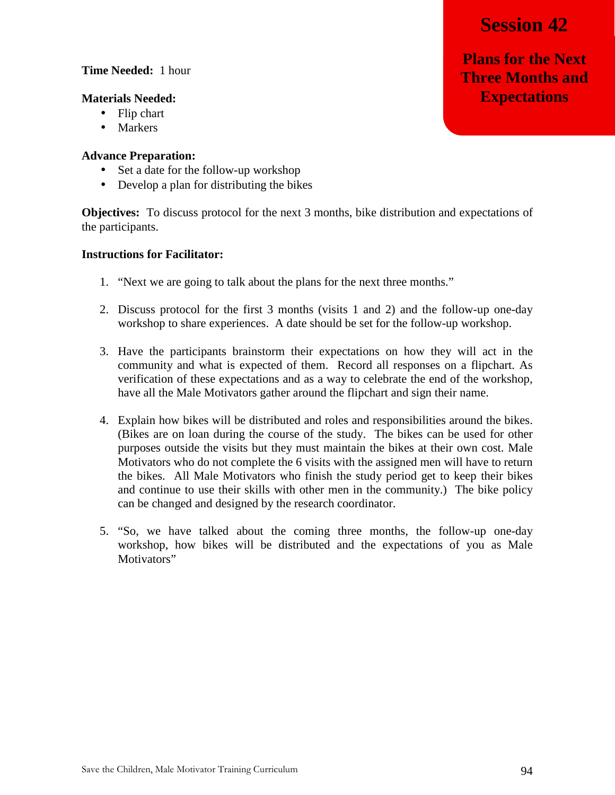**Plans for the Next Three Months and Expectations**

#### **Time Needed:** 1 hour

#### **Materials Needed:**

- Flip chart
- Markers

#### **Advance Preparation:**

- Set a date for the follow-up workshop
- Develop a plan for distributing the bikes

**Objectives:** To discuss protocol for the next 3 months, bike distribution and expectations of the participants.

- 1. "Next we are going to talk about the plans for the next three months."
- 2. Discuss protocol for the first 3 months (visits 1 and 2) and the follow-up one-day workshop to share experiences. A date should be set for the follow-up workshop.
- 3. Have the participants brainstorm their expectations on how they will act in the community and what is expected of them. Record all responses on a flipchart. As verification of these expectations and as a way to celebrate the end of the workshop, have all the Male Motivators gather around the flipchart and sign their name.
- 4. Explain how bikes will be distributed and roles and responsibilities around the bikes. (Bikes are on loan during the course of the study. The bikes can be used for other purposes outside the visits but they must maintain the bikes at their own cost. Male Motivators who do not complete the 6 visits with the assigned men will have to return the bikes. All Male Motivators who finish the study period get to keep their bikes and continue to use their skills with other men in the community.) The bike policy can be changed and designed by the research coordinator.
- 5. "So, we have talked about the coming three months, the follow-up one-day workshop, how bikes will be distributed and the expectations of you as Male Motivators"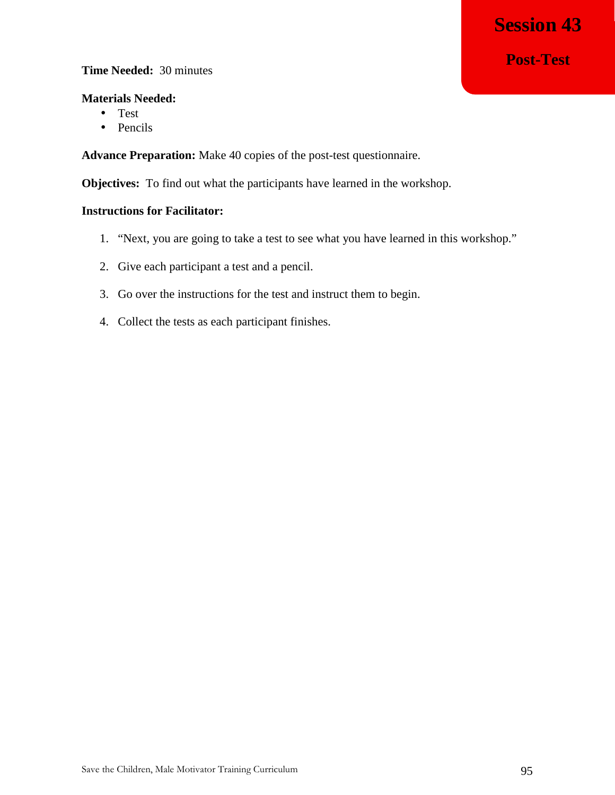## **Post-Test**

#### **Time Needed:** 30 minutes

#### **Materials Needed:**

- Test
- Pencils

**Advance Preparation:** Make 40 copies of the post-test questionnaire.

**Objectives:** To find out what the participants have learned in the workshop.

- 1. "Next, you are going to take a test to see what you have learned in this workshop."
- 2. Give each participant a test and a pencil.
- 3. Go over the instructions for the test and instruct them to begin.
- 4. Collect the tests as each participant finishes.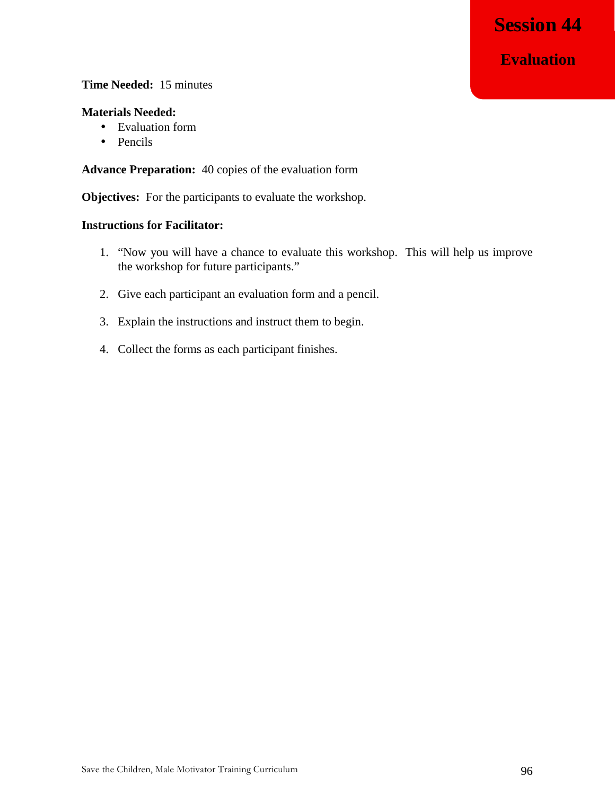#### **Time Needed:** 15 minutes

#### **Materials Needed:**

- Evaluation form
- Pencils

**Advance Preparation:** 40 copies of the evaluation form

**Objectives:** For the participants to evaluate the workshop.

- 1. "Now you will have a chance to evaluate this workshop. This will help us improve the workshop for future participants."
- 2. Give each participant an evaluation form and a pencil.
- 3. Explain the instructions and instruct them to begin.
- 4. Collect the forms as each participant finishes.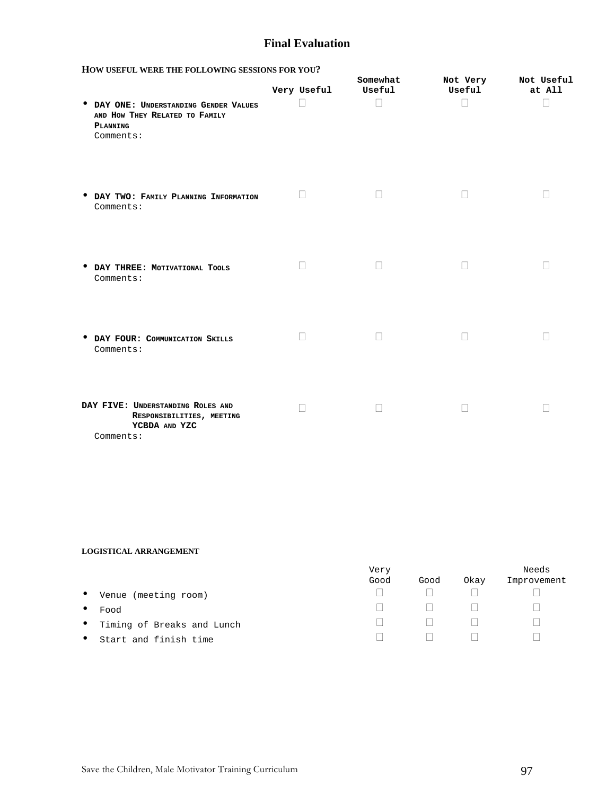#### **Final Evaluation**

| HOW USEFUL WERE THE FOLLOWING SESSIONS FOR YOU? |  |  |  |  |
|-------------------------------------------------|--|--|--|--|
|-------------------------------------------------|--|--|--|--|

| TION CSEFUL WERE THE FOLLOWING SESSIONS FOR TOO . |             |                    |                    |                      |
|---------------------------------------------------|-------------|--------------------|--------------------|----------------------|
|                                                   | Very Useful | Somewhat<br>Useful | Not Very<br>Useful | Not Useful<br>at All |
| <b>• DAY ONE: UNDERSTANDING GENDER VALUES</b>     |             |                    |                    |                      |
| AND HOW THEY RELATED TO FAMILY                    |             |                    |                    |                      |
| PLANNING                                          |             |                    |                    |                      |
| Comments:                                         |             |                    |                    |                      |

- **DAY TWO: <sup>F</sup>AMILY PLANNING INFORMATION** Comments:
- **DAY THREE: <sup>M</sup>OTIVATIONAL TOOLS**  Comments:
- **DAY FOUR: <sup>C</sup>OMMUNICATION SKILLS** Comments:
- **DAY FIVE: UNDERSTANDING ROLES AND RESPONSIBILITIES, MEETING YCBDA AND YZC**  Comments:

#### **LOGISTICAL ARRANGEMENT**

|           |                              | Very |      |      | Needs       |
|-----------|------------------------------|------|------|------|-------------|
|           |                              | Good | Good | Okay | Improvement |
| $\bullet$ | Venue (meeting room)         |      |      |      |             |
| $\bullet$ | Food                         |      |      |      |             |
|           | • Timing of Breaks and Lunch |      |      |      |             |
| $\bullet$ | Start and finish time        |      |      |      |             |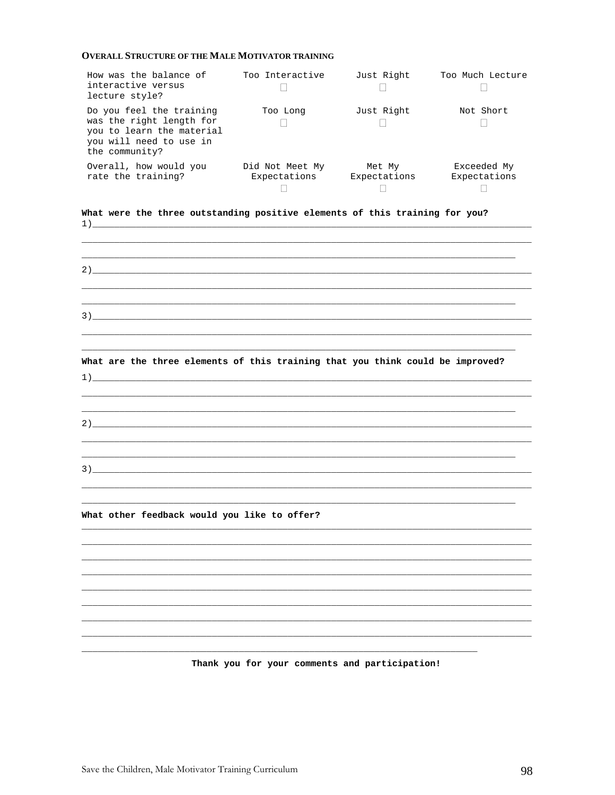#### **OVERALL STRUCTURE OF THE MALE MOTIVATOR TRAINING**

| How was the balance of<br>interactive versus<br>lecture style?                                                                 | Too Interactive                 | Just Right             | Too Much Lecture            |
|--------------------------------------------------------------------------------------------------------------------------------|---------------------------------|------------------------|-----------------------------|
| Do you feel the training<br>was the right length for<br>you to learn the material<br>you will need to use in<br>the community? | Too Long                        | Just Right             | Not Short                   |
| Overall, how would you<br>rate the training?                                                                                   | Did Not Meet My<br>Expectations | Met My<br>Expectations | Exceeded My<br>Expectations |

What were the three outstanding positive elements of this training for you?  $1)$ 

 $2)$  , and the contract of the contract of the contract of the contract of the contract of the contract of the contract of the contract of the contract of the contract of the contract of the contract of the contract of th

What are the three elements of this training that you think could be improved?

What other feedback would you like to offer?

 $1)$ 

Thank you for your comments and participation!